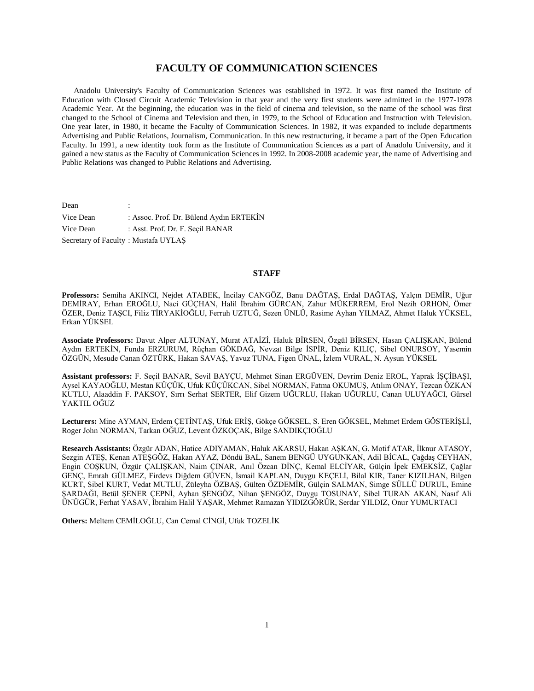# **FACULTY OF COMMUNICATION SCIENCES**

 Anadolu University's Faculty of Communication Sciences was established in 1972. It was first named the Institute of Education with Closed Circuit Academic Television in that year and the very first students were admitted in the 1977-1978 Academic Year. At the beginning, the education was in the field of cinema and television, so the name of the school was first changed to the School of Cinema and Television and then, in 1979, to the School of Education and Instruction with Television. One year later, in 1980, it became the Faculty of Communication Sciences. In 1982, it was expanded to include departments Advertising and Public Relations, Journalism, Communication. In this new restructuring, it became a part of the Open Education Faculty. In 1991, a new identity took form as the Institute of Communication Sciences as a part of Anadolu University, and it gained a new status as the Faculty of Communication Sciences in 1992. In 2008-2008 academic year, the name of Advertising and Public Relations was changed to Public Relations and Advertising.

Dean Vice Dean : Assoc. Prof. Dr. Bülend Aydın ERTEKİN Vice Dean : Asst. Prof. Dr. F. Seçil BANAR Secretary of Faculty : Mustafa UYLAŞ

# **STAFF**

**Professors:** Semiha AKINCI, Nejdet ATABEK, İncilay CANGÖZ, Banu DAĞTAŞ, Erdal DAĞTAŞ, Yalçın DEMİR, Uğur DEMİRAY, Erhan EROĞLU, Naci GÜÇHAN, Halil İbrahim GÜRCAN, Zahur MÜKERREM, Erol Nezih ORHON, Ömer ÖZER, Deniz TAŞCI, Filiz TİRYAKİOĞLU, Ferruh UZTUĞ, Sezen ÜNLÜ, Rasime Ayhan YILMAZ, Ahmet Haluk YÜKSEL, Erkan YÜKSEL

**Associate Professors:** Davut Alper ALTUNAY, Murat ATAİZİ, Haluk BİRSEN, Özgül BİRSEN, Hasan ÇALIŞKAN, Bülend Aydın ERTEKİN, Funda ERZURUM, Rüçhan GÖKDAĞ, Nevzat Bilge İSPİR, Deniz KILIÇ, Sibel ONURSOY, Yasemin ÖZGÜN, Mesude Canan ÖZTÜRK, Hakan SAVAŞ, Yavuz TUNA, Figen ÜNAL, İzlem VURAL, N. Aysun YÜKSEL

**Assistant professors:** F. Seçil BANAR, Sevil BAYÇU, Mehmet Sinan ERGÜVEN, Devrim Deniz EROL, Yaprak İŞÇİBAŞI, Aysel KAYAOĞLU, Mestan KÜÇÜK, Ufuk KÜÇÜKCAN, Sibel NORMAN, Fatma OKUMUŞ, Atılım ONAY, Tezcan ÖZKAN KUTLU, Alaaddin F. PAKSOY, Sırrı Serhat SERTER, Elif Gizem UĞURLU, Hakan UĞURLU, Canan ULUYAĞCI, Gürsel YAKTIL OĞUZ

**Lecturers:** Mine AYMAN, Erdem ÇETİNTAŞ, Ufuk ERİŞ, Gökçe GÖKSEL, S. Eren GÖKSEL, Mehmet Erdem GÖSTERİŞLİ, Roger John NORMAN, Tarkan OĞUZ, Levent ÖZKOÇAK, Bilge SANDIKÇIOĞLU

**Research Assistants:** Özgür ADAN, Hatice ADIYAMAN, Haluk AKARSU, Hakan AŞKAN, G. Motif ATAR, İlknur ATASOY, Sezgin ATEŞ, Kenan ATEŞGÖZ, Hakan AYAZ, Döndü BAL, Sanem BENGÜ UYGUNKAN, Adil BİCAL, Çağdaş CEYHAN, Engin COŞKUN, Özgür ÇALIŞKAN, Naim ÇINAR, Anıl Özcan DİNÇ, Kemal ELCİYAR, Gülçin İpek EMEKSİZ, Çağlar GENÇ, Emrah GÜLMEZ, Firdevs Diğdem GÜVEN, İsmail KAPLAN, Duygu KEÇELİ, Bilal KIR, Taner KIZILHAN, Bilgen KURT, Sibel KURT, Vedat MUTLU, Züleyha ÖZBAŞ, Gülten ÖZDEMİR, Gülçin SALMAN, Simge SÜLLÜ DURUL, Emine ŞARDAĞI, Betül ŞENER ÇEPNİ, Ayhan ŞENGÖZ, Nihan ŞENGÖZ, Duygu TOSUNAY, Sibel TURAN AKAN, Nasıf Ali ÜNÜGÜR, Ferhat YASAV, İbrahim Halil YAŞAR, Mehmet Ramazan YIDIZGÖRÜR, Serdar YILDIZ, Onur YUMURTACI

**Others:** Meltem CEMİLOĞLU, Can Cemal CİNGİ, Ufuk TOZELİK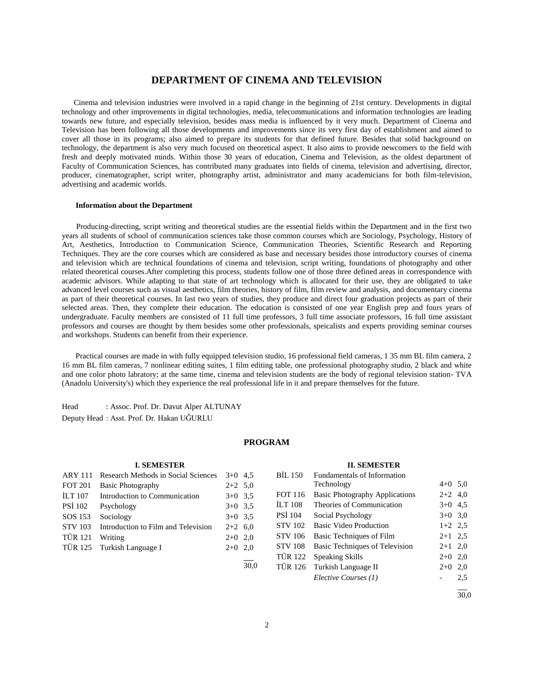# **DEPARTMENT OF CINEMA AND TELEVISION**

 Cinema and television industries were involved in a rapid change in the beginning of 21st century. Developments in digital technology and other improvements in digital technologies, media, telecommunications and information technologies are leading towards new future, and especially television, besides mass media is influenced by it very much. Department of Cinema and Television has been following all those developments and improvements since its very first day of establishment and aimed to cover all those in its programs; also aimed to prepare its students for that defined future. Besides that solid background on technology, the department is also very much focused on theoretical aspect. It also aims to provide newcomers to the field with fresh and deeply motivated minds. Within those 30 years of education, Cinema and Television, as the oldest department of Faculty of Communication Sciences, has contributed many graduates into fields of cinema, television and advertising, director, producer, cinematographer, script writer, photography artist, administrator and many academicians for both film-television, advertising and academic worlds.

#### **Information about the Department**

 Producing-directing, script writing and theoretical studies are the essential fields within the Department and in the first two years all students of school of communication sciences take those common courses which are Sociology, Psychology, History of Art, Aesthetics, Introduction to Communication Science, Communication Theories, Scientific Research and Reporting Techniques. They are the core courses which are considered as base and necessary besides those introductory courses of cinema and television which are technical foundations of cinema and television, script writing, foundations of photography and other related theoretical courses.After completing this process, students follow one of those three defined areas in correspondence with academic advisors. While adapting to that state of art technology which is allocated for their use, they are obligated to take advanced level courses such as visual aesthetics, film theories, history of film, film review and analysis, and documentary cinema as part of their theoretical courses. In last two years of studies, they produce and direct four graduation projects as part of their selected areas. Then, they complete their education. The education is consisted of one year English prep and fours years of undergraduate. Faculty members are consisted of 11 full time professors, 3 full time associate professors, 16 full time assistant professors and courses are thought by them besides some other professionals, speicalists and experts providing seminar courses and workshops. Students can benefit from their experience.

 Practical courses are made in with fully equipped television studio, 16 professional field cameras, 1 35 mm BL film camera, 2 16 mm BL film cameras, 7 nonlinear editing suites, 1 film editing table, one professional photography studio, 2 black and white and one color photo labratory; at the same time, cinema and television students are the body of regional television station- TVA (Anadolu University's) which they experience the real professional life in it and prepare themselves for the future.

Head : Assoc. Prof. Dr. Davut Alper ALTUNAY Deputy Head : Asst. Prof. Dr. Hakan UĞURLU

# **PROGRAM**

#### **I. SEMESTER**

| <b>ARY 111</b> | Research Methods in Social Sciences | $3+0$ 4.5 |     |
|----------------|-------------------------------------|-----------|-----|
| <b>FOT 201</b> | <b>Basic Photography</b>            | $2+2$ 5.0 |     |
| <b>ILT 107</b> | Introduction to Communication       | $3+0$ 3.5 |     |
| <b>PSI</b> 102 | Psychology                          | $3+0$ 3.5 |     |
| SOS 153        | Sociology                           | $3+0$ 3.5 |     |
| <b>STV 103</b> | Introduction to Film and Television | $2+2$ 6.0 |     |
| <b>TÜR 121</b> | Writing                             | $2+0$ 2,0 |     |
|                | TÜR 125 Turkish Language I          | $2+0$     | 2,0 |
|                |                                     |           |     |

#### **II. SEMESTER**

| <b>BIL 150</b> | Fundamentals of Information           |           |     |
|----------------|---------------------------------------|-----------|-----|
|                | Technology                            | $4+0$ 5,0 |     |
| <b>FOT 116</b> | <b>Basic Photography Applications</b> | $2+2$ 4,0 |     |
| <b>ILT 108</b> | Theories of Communication             | $3+0$ 4.5 |     |
| PSI 104        | Social Psychology                     | $3+0$ 3.0 |     |
| <b>STV 102</b> | <b>Basic Video Production</b>         | $1+2$ 2.5 |     |
| <b>STV 106</b> | Basic Techniques of Film              | $2+1$ 2,5 |     |
| <b>STV 108</b> | Basic Techniques of Television        | $2+1$ 2,0 |     |
| <b>TÜR 122</b> | Speaking Skills                       | $2+0$ 2,0 |     |
| <b>TÜR 126</b> | Turkish Language II                   | $2+0$     | 2,0 |
|                | Elective Courses (1)                  |           | 2,5 |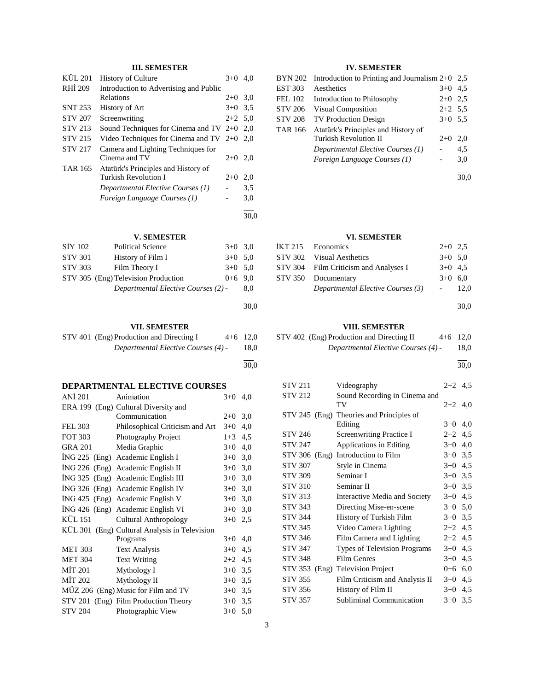# **III. SEMESTER**

| KÜL 201        | <b>History of Culture</b>                    | $3+0$     | 4.0  |
|----------------|----------------------------------------------|-----------|------|
| RHI 209        | Introduction to Advertising and Public       |           |      |
|                | Relations                                    | $2+0$ 3.0 |      |
| <b>SNT 253</b> | History of Art                               | $3+0$ 3.5 |      |
| <b>STV 207</b> | Screenwriting                                | $2+2$ 5.0 |      |
| <b>STV 213</b> | Sound Techniques for Cinema and TV $2+0$ 2,0 |           |      |
| <b>STV 215</b> | Video Techniques for Cinema and TV $2+0$ 2,0 |           |      |
| <b>STV 217</b> | Camera and Lighting Techniques for           |           |      |
|                | Cinema and TV                                | $2+0$ 2,0 |      |
| <b>TAR 165</b> | Atatürk's Principles and History of          |           |      |
|                | <b>Turkish Revolution I</b>                  | $2+0$     | 2,0  |
|                | Departmental Elective Courses (1)            |           | 3.5  |
|                | Foreign Language Courses (1)                 |           | 3,0  |
|                |                                              |           | 30.0 |
|                |                                              |           |      |

# **V. SEMESTER**

| SİY 102        | <b>Political Science</b>            | $3+0$ 3.0 |      |
|----------------|-------------------------------------|-----------|------|
| <b>STV 301</b> | History of Film I                   | $3+0$ 5.0 |      |
| <b>STV 303</b> | Film Theory I                       | $3+0$ 5.0 |      |
|                | STV 305 (Eng) Television Production | $0+6$ 9.0 |      |
|                | Departmental Elective Courses (2) - |           | 8.0  |
|                |                                     |           |      |
|                |                                     |           | 30,0 |

# **VII. SEMESTER**

| STV 401 (Eng) Production and Directing I | $4+6$ 12.0 |
|------------------------------------------|------------|
| Departmental Elective Courses (4) -      | 18,0       |

30,0

l

# **DEPARTMENTAL ELECTIVE COURSES**<br>ANJ 201 **Animation** 3+0 4.0

| ANI 201        | Animation                                     | $3+0$     | 4,0 |
|----------------|-----------------------------------------------|-----------|-----|
|                | ERA 199 (Eng) Cultural Diversity and          |           |     |
|                | Communication                                 | $2+0$     | 3,0 |
| <b>FEL 303</b> | Philosophical Criticism and Art               | $3+0$     | 4,0 |
| FOT 303        | Photography Project                           | $1 + 3$   | 4,5 |
| <b>GRA 201</b> | Media Graphic                                 | $3+0$     | 4,0 |
|                | ING 225 (Eng) Academic English I              | $3+0$     | 3,0 |
|                | ING 226 (Eng) Academic English II             | $3+0$     | 3,0 |
|                | ING 325 (Eng) Academic English III            | $3+0$     | 3,0 |
|                | ING 326 (Eng) Academic English IV             | $3+0$     | 3,0 |
|                | ING 425 (Eng) Academic English V              | $3+0$     | 3,0 |
|                | ING 426 (Eng) Academic English VI             | $3+0$     | 3,0 |
| KÜL 151        | Cultural Anthropology                         | $3+0$     | 2,5 |
|                | KÜL 301 (Eng) Cultural Analysis in Television |           |     |
|                | Programs                                      | $3+0$     | 4,0 |
| <b>MET 303</b> | <b>Text Analysis</b>                          | $3+0$     | 4,5 |
| <b>MET 304</b> | <b>Text Writing</b>                           | $2+2$ 4.5 |     |
| MIT 201        | Mythology I                                   | $3+0$     | 3,5 |
| MİT 202        | Mythology II                                  | $3+0$     | 3,5 |
|                | MUZ 206 (Eng) Music for Film and TV           | $3+0$     | 3,5 |
|                | STV 201 (Eng) Film Production Theory          | $3+0$     | 3,5 |
| <b>STV 204</b> | Photographic View                             | $3+0$     | 5,0 |

# **IV. SEMESTER**

| <b>BYN 202</b> | Introduction to Printing and Journalism $2+0$ 2,5 |           |      |
|----------------|---------------------------------------------------|-----------|------|
| <b>EST 303</b> | Aesthetics                                        | $3+0$ 4.5 |      |
| <b>FEL 102</b> | Introduction to Philosophy                        | $2+0$ 2.5 |      |
| <b>STV 206</b> | Visual Composition                                | $2+2$ 5.5 |      |
| <b>STV 208</b> | <b>TV Production Design</b>                       | $3+0$ 5.5 |      |
| <b>TAR 166</b> | Atatürk's Principles and History of               |           |      |
|                | <b>Turkish Revolution II</b>                      | $2+0$     | 2,0  |
|                | Departmental Elective Courses (1)                 |           | 4,5  |
|                | Foreign Language Courses (1)                      |           | 3,0  |
|                |                                                   |           | 30.0 |
|                |                                                   |           |      |

# **VI. SEMESTER**

| IKT 215 Economics                     | $2+0$ 2.5 |         |
|---------------------------------------|-----------|---------|
| STV 302 Visual Aesthetics             | $3+0$ 5.0 |         |
| STV 304 Film Criticism and Analyses I | $3+0$ 4.5 |         |
| STV 350 Documentary                   | $3+0$ 6.0 |         |
| Departmental Elective Courses (3)     |           | $-12,0$ |
|                                       |           | 30,0    |

# **VIII. SEMESTER**

| STV 402 (Eng) Production and Directing II | $4+6$ 12,0 |
|-------------------------------------------|------------|
| Departmental Elective Courses (4) -       | 18,0       |

l 30,0

| <b>STV 211</b> | Videography                              | $2+2$ 4.5 |     |
|----------------|------------------------------------------|-----------|-----|
| <b>STV 212</b> | Sound Recording in Cinema and            |           |     |
|                | TV                                       | $2+2$ 4,0 |     |
|                | STV 245 (Eng) Theories and Principles of |           |     |
|                | Editing                                  | $3+0$     | 4,0 |
| <b>STV 246</b> | <b>Screenwriting Practice I</b>          | $2 + 2$   | 4,5 |
| <b>STV 247</b> | Applications in Editing                  | $3+0$     | 4,0 |
| STV 306 (Eng)  | Introduction to Film                     | $3+0$     | 3,5 |
| <b>STV 307</b> | Style in Cinema                          | $3+0$ 4,5 |     |
| <b>STV 309</b> | Seminar I                                | $3+0$ 3,5 |     |
| <b>STV 310</b> | Seminar II                               | $3+0$ 3,5 |     |
| <b>STV 313</b> | Interactive Media and Society            | $3+0$     | 4,5 |
| <b>STV 343</b> | Directing Mise-en-scene                  | $3+0$     | 5,0 |
| <b>STV 344</b> | History of Turkish Film                  | $3+0$ 3,5 |     |
| <b>STV 345</b> | Video Camera Lighting                    | $2+2$     | 4,5 |
| <b>STV 346</b> | Film Camera and Lighting                 | $2 + 2$   | 4,5 |
| <b>STV 347</b> | <b>Types of Television Programs</b>      | $3+0$     | 4,5 |
| <b>STV 348</b> | <b>Film Genres</b>                       | $3+0$     | 4,5 |
| STV 353        | (Eng) Television Project                 | $0 + 6$   | 6,0 |
| <b>STV 355</b> | Film Criticism and Analysis II           | $3+0$     | 4,5 |
| <b>STV 356</b> | History of Film II                       | $3+0$     | 4,5 |
| <b>STV 357</b> | Subliminal Communication                 | $3+0$     | 3,5 |
|                |                                          |           |     |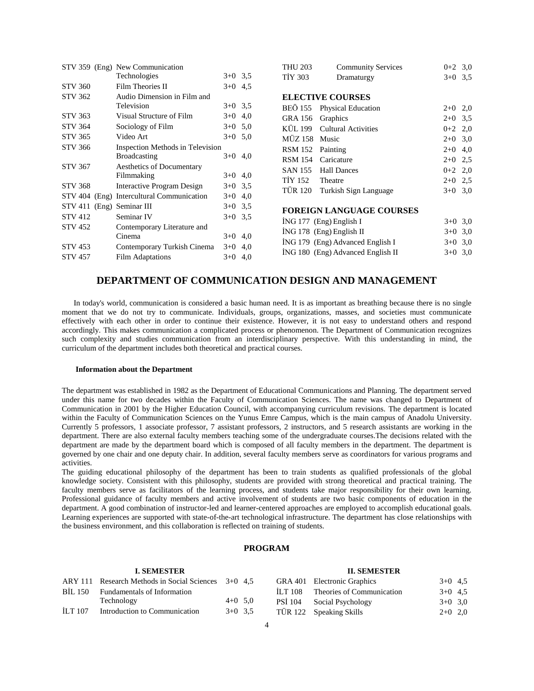|                           | STV 359 (Eng) New Communication           |           | <b>THU 203</b> | <b>Community Services</b>         | $0+2$ 3,0 |     |
|---------------------------|-------------------------------------------|-----------|----------------|-----------------------------------|-----------|-----|
|                           | Technologies                              | $3+0$ 3.5 | <b>TIY 303</b> | Dramaturgy                        | $3+0$ 3.5 |     |
| <b>STV 360</b>            | Film Theories II                          | $3+0$ 4.5 |                |                                   |           |     |
| <b>STV 362</b>            | Audio Dimension in Film and               |           |                | <b>ELECTIVE COURSES</b>           |           |     |
|                           | Television                                | $3+0$ 3.5 | <b>BEO 155</b> | <b>Physical Education</b>         | $2+0$ 2,0 |     |
| <b>STV 363</b>            | Visual Structure of Film                  | $3+0$ 4,0 | GRA 156        | Graphics                          | $2+0$ 3.5 |     |
| <b>STV 364</b>            | Sociology of Film                         | $3+0$ 5,0 | KÜL 199        | <b>Cultural Activities</b>        | $0+2$ 2,0 |     |
| <b>STV 365</b>            | Video Art                                 | $3+0$ 5.0 | MÜZ 158 Music  |                                   | $2+0$     | 3,0 |
| <b>STV 366</b>            | Inspection Methods in Television          |           | <b>RSM 152</b> | Painting                          | $2+0$     | 4,0 |
|                           | <b>Broadcasting</b>                       | $3+0$ 4,0 | <b>RSM 154</b> | Caricature                        | $2+0$     | 2,5 |
| <b>STV 367</b>            | Aesthetics of Documentary                 |           | <b>SAN 155</b> | <b>Hall Dances</b>                | $0+2$ 2,0 |     |
|                           | Filmmaking                                | $3+0$ 4,0 | <b>TIY 152</b> | Theatre                           | $2+0$ 2,5 |     |
| <b>STV 368</b>            | Interactive Program Design                | $3+0$ 3.5 | TÜR 120        | Turkish Sign Language             | $3+0$ 3,0 |     |
|                           | STV 404 (Eng) Intercultural Communication | $3+0$ 4,0 |                |                                   |           |     |
| STV 411 (Eng) Seminar III |                                           | $3+0$ 3,5 |                | <b>FOREIGN LANGUAGE COURSES</b>   |           |     |
| <b>STV 412</b>            | Seminar IV                                | $3+0$ 3,5 |                |                                   |           |     |
| <b>STV 452</b>            | Contemporary Literature and               |           |                | $ING 177$ (Eng) English I         | $3+0$ 3,0 |     |
|                           | Cinema                                    | $3+0$ 4,0 |                | İNG 178 (Eng) English II          | $3+0$ 3.0 |     |
| <b>STV 453</b>            | Contemporary Turkish Cinema               | $3+0$ 4,0 |                | ING 179 (Eng) Advanced English I  | $3+0$ 3,0 |     |
| <b>STV 457</b>            | <b>Film Adaptations</b>                   | $3+0$ 4,0 |                | ING 180 (Eng) Advanced English II | $3+0$ 3.0 |     |

# **DEPARTMENT OF COMMUNICATION DESIGN AND MANAGEMENT**

 In today's world, communication is considered a basic human need. It is as important as breathing because there is no single moment that we do not try to communicate. Individuals, groups, organizations, masses, and societies must communicate effectively with each other in order to continue their existence. However, it is not easy to understand others and respond accordingly. This makes communication a complicated process or phenomenon. The Department of Communication recognizes such complexity and studies communication from an interdisciplinary perspective. With this understanding in mind, the curriculum of the department includes both theoretical and practical courses.

### **Information about the Department**

The department was established in 1982 as the Department of Educational Communications and Planning. The department served under this name for two decades within the Faculty of Communication Sciences. The name was changed to Department of Communication in 2001 by the Higher Education Council, with accompanying curriculum revisions. The department is located within the Faculty of Communication Sciences on the Yunus Emre Campus, which is the main campus of Anadolu University. Currently 5 professors, 1 associate professor, 7 assistant professors, 2 instructors, and 5 research assistants are working in the department. There are also external faculty members teaching some of the undergraduate courses.The decisions related with the department are made by the department board which is composed of all faculty members in the department. The department is governed by one chair and one deputy chair. In addition, several faculty members serve as coordinators for various programs and activities.

The guiding educational philosophy of the department has been to train students as qualified professionals of the global knowledge society. Consistent with this philosophy, students are provided with strong theoretical and practical training. The faculty members serve as facilitators of the learning process, and students take major responsibility for their own learning. Professional guidance of faculty members and active involvement of students are two basic components of education in the department. A good combination of instructor-led and learner-centered approaches are employed to accomplish educational goals. Learning experiences are supported with state-of-the-art technological infrastructure. The department has close relationships with the business environment, and this collaboration is reflected on training of students.

# **PROGRAM**

# **I. SEMESTER**

|         | ARY 111 Research Methods in Social Sciences 3+0 4.5 |           |  |
|---------|-----------------------------------------------------|-----------|--|
| BIL 150 | Fundamentals of Information                         |           |  |
|         | Technology                                          | $4+0$ 5.0 |  |
| ILT 107 | Introduction to Communication                       | $3+0$ 3.5 |  |

# **II. SEMESTER**

|         | GRA 401 Electronic Graphics | $3+0$ 4.5 |  |
|---------|-----------------------------|-----------|--|
| ILT 108 | Theories of Communication   | $3+0$ 4.5 |  |
| PSI 104 | Social Psychology           | $3+0$ 3.0 |  |
|         | TÜR 122 Speaking Skills     | $2+0$ 2.0 |  |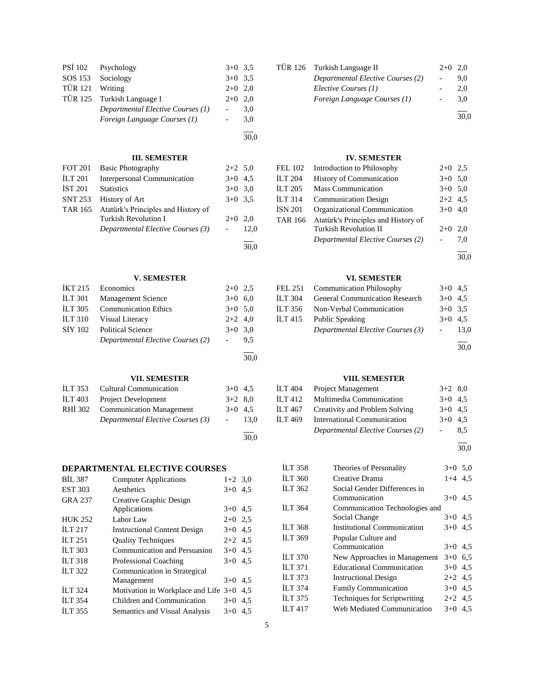|                 | PSİ 102 Psychology                | $3+0$ 3.5 |     |
|-----------------|-----------------------------------|-----------|-----|
|                 | SOS 153 Sociology                 | $3+0$ 3.5 |     |
| TÜR 121 Writing |                                   | $2+0$ 2.0 |     |
|                 | TÜR 125 Turkish Language I        | $2+0$ 2.0 |     |
|                 | Departmental Elective Courses (1) |           | 3.0 |
|                 | Foreign Language Courses (1)      |           | 3,0 |
|                 |                                   |           |     |

# **III. SEMESTER**

30,0

30,0

30,0

| <b>FOT 201</b> | <b>Basic Photography</b>                    | $2+2$ 5.0 |      |
|----------------|---------------------------------------------|-----------|------|
| <b>ILT 201</b> | <b>Interpersonal Communication</b>          | $3+0$ 4.5 |      |
| <b>IST 201</b> | <b>Statistics</b>                           | $3+0$ 3.0 |      |
| <b>SNT 253</b> | History of Art                              | $3+0$ 3.5 |      |
|                | TAR 165 Atatürk's Principles and History of |           |      |
|                | <b>Turkish Revolution I</b>                 | $2+0$ 2.0 |      |
|                | Departmental Elective Courses (3)           |           | 12.0 |
|                |                                             |           |      |

# **V. SEMESTER**

|                    | IKT 215 Economics                 | $2+0$ 2.5 |      |
|--------------------|-----------------------------------|-----------|------|
| <b>ILT 301</b>     | <b>Management Science</b>         | $3+0$ 6.0 |      |
| <b>ILT 305</b>     | <b>Communication Ethics</b>       | $3+0$ 5.0 |      |
| ILT <sub>310</sub> | Visual Literacy                   | $2+2$ 4,0 |      |
| SİY 102            | <b>Political Science</b>          | $3+0$ 3.0 |      |
|                    | Departmental Elective Courses (2) |           | 9.5  |
|                    |                                   |           | 30,0 |

# **VII. SEMESTER**

| ILT 353 Cultural Communication    | $3+0$ 4.5  |      |
|-----------------------------------|------------|------|
| ILT 403 Project Development       | $3+2$ 8.0  |      |
| RHİ 302 Communication Management  | $3+0$ 4.5  |      |
| Departmental Elective Courses (3) | $\sim 100$ | 13.0 |
|                                   |            |      |

# **DEPARTMENTAL ELECTIVE COURSES**

| <b>BIL 387</b> | <b>Computer Applications</b>               | $1+2$ 3,0 |  |
|----------------|--------------------------------------------|-----------|--|
| <b>EST 303</b> | Aesthetics                                 | $3+0$ 4.5 |  |
| <b>GRA 237</b> | Creative Graphic Design                    |           |  |
|                | Applications                               | $3+0$ 4.5 |  |
| <b>HUK 252</b> | Labor Law                                  | $2+0$ 2.5 |  |
| <b>ILT 217</b> | <b>Instructional Content Design</b>        | $3+0$ 4.5 |  |
| <b>ILT 251</b> | <b>Quality Techniques</b>                  | $2+2$ 4.5 |  |
| <b>ILT 303</b> | Communication and Persuasion               | $3+0$ 4.5 |  |
| <b>ILT 318</b> | Professional Coaching                      | $3+0$ 4.5 |  |
| ILT $322$      | Communication in Strategical               |           |  |
|                | Management                                 | $3+0$ 4.5 |  |
| <b>ILT 324</b> | Motivation in Workplace and Life $3+0$ 4,5 |           |  |
| <b>ILT 354</b> | Children and Communication                 | $3+0$ 4.5 |  |
| ILT 355        | Semantics and Visual Analysis              | $3+0$ 4.5 |  |
|                |                                            |           |  |

| TÜR 126 Turkish Language II       |                          | $2+0$ 2.0 |
|-----------------------------------|--------------------------|-----------|
| Departmental Elective Courses (2) |                          | 9.0       |
| Elective Courses (1)              |                          | 2.0       |
| Foreign Language Courses (1)      | $\overline{\phantom{a}}$ | 3.0       |
|                                   |                          | 30.0      |

# **IV. SEMESTER**

| FEL 102 | Introduction to Philosophy          | $2+0$ 2.5 |     |
|---------|-------------------------------------|-----------|-----|
| İLT 204 | <b>History of Communication</b>     | $3+0$ 5,0 |     |
| İLT 205 | <b>Mass Communication</b>           | $3+0$ 5.0 |     |
| İLT 314 | <b>Communication Design</b>         | $2+2$ 4.5 |     |
| İSN 201 | Organizational Communication        | $3+0$ 4,0 |     |
| TAR 166 | Atatürk's Principles and History of |           |     |
|         | <b>Turkish Revolution II</b>        | $2+0$     | 2,0 |
|         | Departmental Elective Courses (2)   |           | 7.0 |
|         |                                     |           |     |

30,0

# **VI. SEMESTER**

|         | FEL 251 Communication Philosophy      | $3+0$ 4.5      |      |
|---------|---------------------------------------|----------------|------|
| İLT 304 | <b>General Communication Research</b> | $3+0$ 4.5      |      |
| İLT 356 | Non-Verbal Communication              | $3+0$ 3.5      |      |
| İLT 415 | Public Speaking                       | $3+0$ 4.5      |      |
|         | Departmental Elective Courses (3)     | $\sim 10^{-1}$ | 13,0 |
|         |                                       |                | 30,0 |

# **VIII. SEMESTER**

| İLT 404 | <b>Project Management</b>         | $3+2$ 8,0 |     |
|---------|-----------------------------------|-----------|-----|
| ILT 412 | Multimedia Communication          | $3+0$ 4.5 |     |
| İLT 467 | Creativity and Problem Solving    | $3+0$ 4.5 |     |
| ILT 469 | International Communication       | $3+0$ 4.5 |     |
|         | Departmental Elective Courses (2) |           | 8,5 |

l 30,0

| <b>ILT 358</b>     | Theories of Personality                       | $3+0$ 5.0 |  |
|--------------------|-----------------------------------------------|-----------|--|
| <b>ILT 360</b>     | Creative Drama                                | $1+4$ 4.5 |  |
| ILT 362            | Social Gender Differences in<br>Communication | $3+0$ 4.5 |  |
| <b>ILT 364</b>     | Communication Technologies and                |           |  |
|                    | Social Change                                 | $3+0$ 4.5 |  |
| <b>ILT 368</b>     | <b>Institutional Communication</b>            | $3+0$ 4.5 |  |
| <b>ILT 369</b>     | Popular Culture and                           |           |  |
|                    | Communication                                 | $3+0$ 4.5 |  |
| <b>ILT 370</b>     | New Approaches in Management                  | $3+0$ 6.5 |  |
| <b>ILT 371</b>     | <b>Educational Communication</b>              | $3+0$ 4.5 |  |
| <b>ILT 373</b>     | <b>Instructional Design</b>                   | $2+2$ 4,5 |  |
| <b>ILT 374</b>     | <b>Family Communication</b>                   | $3+0$ 4.5 |  |
| <b>ILT 375</b>     | <b>Techniques for Scriptwriting</b>           | $2+2$ 4,5 |  |
| ILT <sub>417</sub> | Web Mediated Communication                    | $3+0$ 4.5 |  |
|                    |                                               |           |  |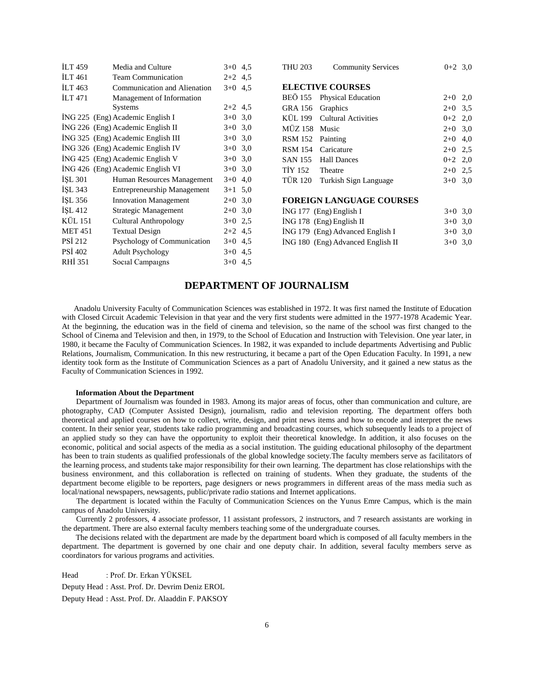| <b>ILT</b> 459 | Media and Culture                  | $3+0$     | 4,5 |
|----------------|------------------------------------|-----------|-----|
| ILT 461        | <b>Team Communication</b>          | $2+2$     | 4,5 |
| <b>ILT</b> 463 | Communication and Alienation       | $3+0$     | 4,5 |
| <b>ILT</b> 471 | Management of Information          |           |     |
|                | Systems                            | $2+2$ 4,5 |     |
|                | ING 225 (Eng) Academic English I   | $3+0$     | 3,0 |
|                | ING 226 (Eng) Academic English II  | $3+0$     | 3,0 |
|                | ING 325 (Eng) Academic English III | $3+0$     | 3,0 |
|                | ING 326 (Eng) Academic English IV  | $3+0$     | 3,0 |
|                | ING 425 (Eng) Academic English V   | $3+0$     | 3,0 |
|                | ING 426 (Eng) Academic English VI  | $3+0$ 3,0 |     |
| <b>ISL 301</b> | Human Resources Management         | $3+0$     | 4,0 |
| ISL 343        | <b>Entrepreneurship Management</b> | $3+1$     | 5,0 |
| ISL 356        | <b>Innovation Management</b>       | $2+0$     | 3,0 |
| ISL 412        | Strategic Management               | $2+0$     | 3,0 |
| KÜL 151        | <b>Cultural Anthropology</b>       | $3+0$ 2.5 |     |
| <b>MET 451</b> | <b>Textual Design</b>              | $2+2$     | 4,5 |
| <b>PSI 212</b> | Psychology of Communication        | $3+0$     | 4,5 |
| <b>PSI 402</b> | <b>Adult Psychology</b>            | $3+0$     | 4,5 |
| RHI 351        | Social Campaigns                   | $3+0$     | 4,5 |
|                |                                    |           |     |

| THU 203                 | <b>Community Services</b>       | $0+2$ 3.0 |  |  |  |  |
|-------------------------|---------------------------------|-----------|--|--|--|--|
| <b>ELECTIVE COURSES</b> |                                 |           |  |  |  |  |
|                         | BEÖ 155 Physical Education      | $2+0$ 2,0 |  |  |  |  |
| GRA 156 Graphics        |                                 | $2+0$ 3.5 |  |  |  |  |
|                         | KÜL 199 Cultural Activities     | $0+2$ 2.0 |  |  |  |  |
| MÜZ 158 Music           |                                 | $2+0$ 3.0 |  |  |  |  |
| RSM 152                 | Painting                        | $2+0$ 4,0 |  |  |  |  |
|                         | RSM 154 Caricature              | $2+0$ 2.5 |  |  |  |  |
|                         | SAN 155 Hall Dances             | $0+2$ 2,0 |  |  |  |  |
| TİY 152 Theatre         |                                 | $2+0$ 2.5 |  |  |  |  |
| TÜR 120                 | Turkish Sign Language           | $3+0$ 3.0 |  |  |  |  |
|                         |                                 |           |  |  |  |  |
|                         | <b>FOREIGN LANGUAGE COURSES</b> |           |  |  |  |  |

| $ING 177$ (Eng) English I         | $3+0$ 3.0 |  |
|-----------------------------------|-----------|--|
| $ING 178$ (Eng) English II        | $3+0$ 3.0 |  |
| ING 179 (Eng) Advanced English I  | $3+0$ 3.0 |  |
| ING 180 (Eng) Advanced English II | $3+0$ 3.0 |  |

# **DEPARTMENT OF JOURNALISM**

 Anadolu University Faculty of Communication Sciences was established in 1972. It was first named the Institute of Education with Closed Circuit Academic Television in that year and the very first students were admitted in the 1977-1978 Academic Year. At the beginning, the education was in the field of cinema and television, so the name of the school was first changed to the School of Cinema and Television and then, in 1979, to the School of Education and Instruction with Television. One year later, in 1980, it became the Faculty of Communication Sciences. In 1982, it was expanded to include departments Advertising and Public Relations, Journalism, Communication. In this new restructuring, it became a part of the Open Education Faculty. In 1991, a new identity took form as the Institute of Communication Sciences as a part of Anadolu University, and it gained a new status as the Faculty of Communication Sciences in 1992.

#### **Information About the Department**

 Department of Journalism was founded in 1983. Among its major areas of focus, other than communication and culture, are photography, CAD (Computer Assisted Design), journalism, radio and television reporting. The department offers both theoretical and applied courses on how to collect, write, design, and print news items and how to encode and interpret the news content. In their senior year, students take radio programming and broadcasting courses, which subsequently leads to a project of an applied study so they can have the opportunity to exploit their theoretical knowledge. In addition, it also focuses on the economic, political and social aspects of the media as a social institution. The guiding educational philosophy of the department has been to train students as qualified professionals of the global knowledge society.The faculty members serve as facilitators of the learning process, and students take major responsibility for their own learning. The department has close relationships with the business environment, and this collaboration is reflected on training of students. When they graduate, the students of the department become eligible to be reporters, page designers or news programmers in different areas of the mass media such as local/national newspapers, newsagents, public/private radio stations and Internet applications.

 The department is located within the Faculty of Communication Sciences on the Yunus Emre Campus, which is the main campus of Anadolu University.

 Currently 2 professors, 4 associate professor, 11 assistant professors, 2 instructors, and 7 research assistants are working in the department. There are also external faculty members teaching some of the undergraduate courses.

 The decisions related with the department are made by the department board which is composed of all faculty members in the department. The department is governed by one chair and one deputy chair. In addition, several faculty members serve as coordinators for various programs and activities.

Head : Prof. Dr. Erkan YÜKSEL Deputy Head : Asst. Prof. Dr. Devrim Deniz EROL

Deputy Head : Asst. Prof. Dr. Alaaddin F. PAKSOY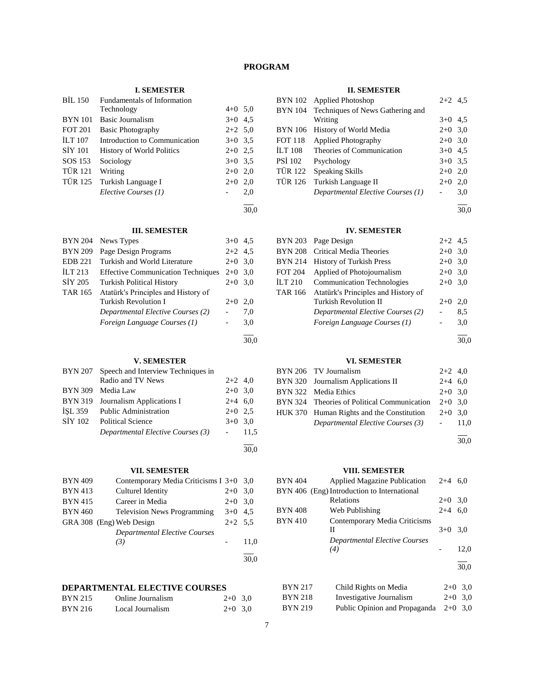# **PROGRAM**

# **I. SEMESTER**

| <b>BIL 150</b> | Fundamentals of Information      |           |     |
|----------------|----------------------------------|-----------|-----|
|                | Technology                       | $4+0$ 5.0 |     |
| <b>BYN</b> 101 | <b>Basic Journalism</b>          | $3+0$ 4.5 |     |
| <b>FOT 201</b> | <b>Basic Photography</b>         | $2+2$ 5.0 |     |
| <b>ILT</b> 107 | Introduction to Communication    | $3+0$ 3.5 |     |
| SIY 101        | <b>History of World Politics</b> | $2+0$ 2.5 |     |
| SOS 153        | Sociology                        | $3+0$ 3.5 |     |
| <b>TÜR 121</b> | Writing                          | $2+0$ 2,0 |     |
| <b>TÜR 125</b> | Turkish Language I               | $2+0$     | 2,0 |
|                | Elective Courses (1)             |           | 2,0 |
|                |                                  |           |     |

30,0

# **III. SEMESTER**

| <b>BYN 204</b> | News Types                                | $3+0$     | 4.5 |
|----------------|-------------------------------------------|-----------|-----|
| <b>BYN 209</b> | Page Design Programs                      | $2+2$ 4.5 |     |
| <b>EDB</b> 221 | Turkish and World Literature              | $2+0$     | 3.0 |
| ILT $213$      | <b>Effective Communication Techniques</b> | $2+0$     | 3.0 |
| SIY 205        | <b>Turkish Political History</b>          | $2+0$     | 3,0 |
| <b>TAR 165</b> | Atatürk's Principles and History of       |           |     |
|                | <b>Turkish Revolution I</b>               | $2+0$     | 2,0 |
|                | Departmental Elective Courses (2)         |           | 7,0 |
|                | Foreign Language Courses (1)              |           | 3,0 |
|                |                                           |           |     |

# **V. SEMESTER**

| BYN 207        | Speech and Interview Techniques in |           |      |
|----------------|------------------------------------|-----------|------|
|                | Radio and TV News                  | $2+2$ 4,0 |      |
| <b>BYN 309</b> | Media Law                          | $2+0$ 3.0 |      |
| <b>BYN 319</b> | Journalism Applications I          | $2+4$ 6.0 |      |
| ISL 359        | <b>Public Administration</b>       | $2+0$ 2.5 |      |
|                | SİY 102 Political Science          | $3+0$ 3.0 |      |
|                | Departmental Elective Courses (3)  |           | 11,5 |
|                |                                    |           | 30.0 |

# **VII. SEMESTER**

| <b>BYN 409</b> | Contemporary Media Criticisms I 3+0 3,0 |           |      |
|----------------|-----------------------------------------|-----------|------|
| <b>BYN 413</b> | Culturel Identity                       | $2+0$     | 3,0  |
| <b>BYN 415</b> | Career in Media                         | $2+0$ 3.0 |      |
| <b>BYN 460</b> | <b>Television News Programming</b>      | $3+0$ 4.5 |      |
|                | GRA 308 (Eng) Web Design                | $2+2$ 5.5 |      |
|                | <b>Departmental Elective Courses</b>    |           |      |
|                | (3)                                     |           | 11,0 |
|                |                                         |           |      |
|                |                                         |           | 30.0 |

# **DEPARTMENTAL ELECTIVE COURSES**

| <b>BYN 215</b> | Online Journalism | $2+0$ 3,0 |  |
|----------------|-------------------|-----------|--|
| <b>BYN 216</b> | Local Journalism  | $2+0$ 3,0 |  |

#### **II. SEMESTER**

|                | BYN 102 Applied Photoshop         | $2+2$ 4.5 |     |
|----------------|-----------------------------------|-----------|-----|
| <b>BYN 104</b> | Techniques of News Gathering and  |           |     |
|                | Writing                           | $3+0$ 4.5 |     |
| <b>BYN</b> 106 | History of World Media            | $2+0$ 3,0 |     |
| <b>FOT 118</b> | <b>Applied Photography</b>        | $2+0$ 3,0 |     |
| <b>ILT 108</b> | Theories of Communication         | $3+0$ 4.5 |     |
| <b>PSI 102</b> | Psychology                        | $3+0$ 3.5 |     |
| TÜR 122        | <b>Speaking Skills</b>            | $2+0$     | 2,0 |
| <b>TÜR 126</b> | Turkish Language II               | $2+0$     | 2,0 |
|                | Departmental Elective Courses (1) |           | 3,0 |
|                |                                   |           |     |

30,0

# **IV. SEMESTER**

| <b>BYN 203</b> | Page Design                         | $2+2$ 4.5                |     |
|----------------|-------------------------------------|--------------------------|-----|
| <b>BYN 208</b> | <b>Critical Media Theories</b>      | $2+0$ 3,0                |     |
| BYN 214        | <b>History of Turkish Press</b>     | $2+0$ 3,0                |     |
| <b>FOT 204</b> | Applied of Photojournalism          | $2+0$ 3,0                |     |
| İLT 210        | <b>Communication Technologies</b>   | $2+0$ 3,0                |     |
| TAR 166        | Atatürk's Principles and History of |                          |     |
|                | Turkish Revolution II               | $2+0$                    | 2,0 |
|                | Departmental Elective Courses (2)   |                          | 8,5 |
|                | Foreign Language Courses (1)        | $\overline{\phantom{a}}$ | 3,0 |
|                |                                     |                          |     |

30,0

# **VI. SEMESTER**

| BYN 206 TV Journalism                       | $2+2$ 4,0 |  |
|---------------------------------------------|-----------|--|
| BYN 320 Journalism Applications II          | $2+4$ 6.0 |  |
| BYN 322 Media Ethics                        | $2+0$ 3.0 |  |
| BYN 324 Theories of Political Communication | $2+0$ 3.0 |  |
| HUK 370 Human Rights and the Constitution   | $2+0$ 3.0 |  |
| Departmental Elective Courses (3)           | $-11.0$   |  |
|                                             |           |  |

30,0

# **VIII. SEMESTER**

|                | ,                                           |           |           |
|----------------|---------------------------------------------|-----------|-----------|
| <b>BYN 404</b> | <b>Applied Magazine Publication</b>         | $2+4$ 6,0 |           |
|                | BYN 406 (Eng) Introduction to International |           |           |
|                | Relations                                   | $2+0$ 3.0 |           |
| <b>BYN 408</b> | Web Publishing                              | $2 + 4$   | 6,0       |
| <b>BYN 410</b> | Contemporary Media Criticisms<br>Н          | $3+0$     | 3,0       |
|                | <b>Departmental Elective Courses</b><br>(4) |           | 12,0      |
|                |                                             |           | 30.0      |
| <b>BYN 217</b> | Child Rights on Media                       |           | $2+0$ 3,0 |
| <b>BYN 218</b> | Investigative Journalism                    | $2+0$     | 3,0       |
| <b>BYN 219</b> | Public Opinion and Propaganda               |           | $2+0$ 3.0 |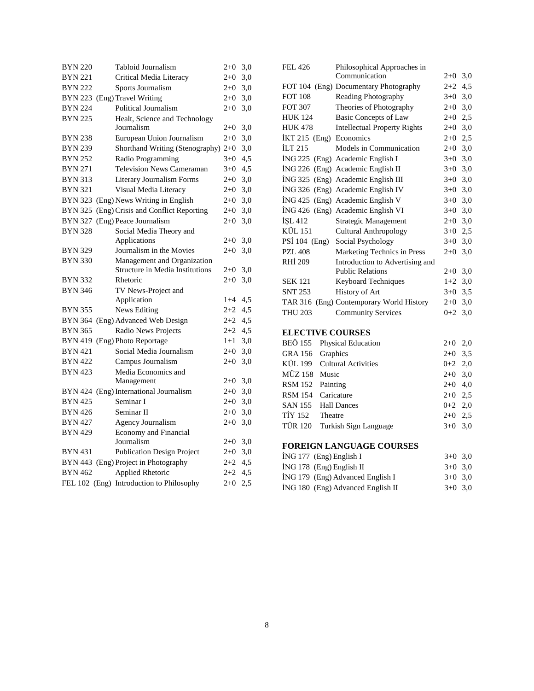| <b>BYN 220</b> | Tabloid Journalism                       | $2+0$   | 3,0 |
|----------------|------------------------------------------|---------|-----|
| <b>BYN 221</b> | Critical Media Literacy                  | $2 + 0$ | 3,0 |
| <b>BYN 222</b> | Sports Journalism                        | $2+0$   | 3,0 |
|                | BYN 223 (Eng) Travel Writing             | $2+0$   | 3,0 |
| <b>BYN 224</b> | Political Journalism                     | $2+0$   | 3,0 |
| <b>BYN 225</b> | Healt, Science and Technology            |         |     |
|                | Journalism                               | $2+0$   | 3,0 |
| <b>BYN 238</b> | European Union Journalism                | $2+0$   | 3,0 |
| <b>BYN 239</b> | Shorthand Writing (Stenography) 2+0      |         | 3,0 |
| <b>BYN 252</b> | Radio Programming                        | $3+0$   | 4,5 |
| <b>BYN 271</b> | <b>Television News Cameraman</b>         | $3+0$   | 4,5 |
| <b>BYN 313</b> | Literary Journalism Forms                | $2+0$   | 3,0 |
| <b>BYN 321</b> | Visual Media Literacy                    | $2 + 0$ | 3,0 |
| <b>BYN 323</b> | (Eng) News Writing in English            | $2+0$   | 3,0 |
| <b>BYN 325</b> | (Eng) Crisis and Conflict Reporting      | $2+0$   | 3,0 |
|                | BYN 327 (Eng) Peace Journalism           | $2+0$   | 3,0 |
| <b>BYN 328</b> | Social Media Theory and                  |         |     |
|                | Applications                             | $2 + 0$ | 3,0 |
| <b>BYN 329</b> | Journalism in the Movies                 | $2+0$   | 3,0 |
| <b>BYN 330</b> | Management and Organization              |         |     |
|                | <b>Structure in Media Institutions</b>   | $2+0$   | 3,0 |
| <b>BYN 332</b> | Rhetoric                                 | $2+0$   | 3,0 |
| <b>BYN 346</b> | TV News-Project and                      |         |     |
|                | Application                              | $1 + 4$ | 4,5 |
| <b>BYN 355</b> | News Editing                             | $2+2$   | 4,5 |
|                | BYN 364 (Eng) Advanced Web Design        | $2 + 2$ | 4,5 |
| <b>BYN 365</b> | Radio News Projects                      | $2+2$   | 4,5 |
|                | BYN 419 (Eng) Photo Reportage            | $1 + 1$ | 3,0 |
| <b>BYN 421</b> | Social Media Journalism                  | $2+0$   | 3,0 |
| <b>BYN 422</b> | Campus Journalism                        | $2 + 0$ | 3,0 |
| <b>BYN 423</b> | Media Economics and                      |         |     |
|                | Management                               | $2+0$   | 3,0 |
|                | BYN 424 (Eng) International Journalism   | $2 + 0$ | 3,0 |
| <b>BYN 425</b> | Seminar I                                | $2 + 0$ | 3,0 |
| <b>BYN 426</b> | Seminar II                               | $2 + 0$ | 3,0 |
| <b>BYN 427</b> | Agency Journalism                        | $2+0$   | 3,0 |
| <b>BYN 429</b> | Economy and Financial                    |         |     |
|                | Journalism                               | $2 + 0$ | 3,0 |
| <b>BYN 431</b> | <b>Publication Design Project</b>        | $2 + 0$ | 3,0 |
|                | BYN 443 (Eng) Project in Photography     | $2 + 2$ | 4,5 |
| <b>BYN 462</b> | Applied Rhetoric                         | $2 + 2$ | 4,5 |
|                | FEL 102 (Eng) Introduction to Philosophy | $2+0$   | 2.5 |

| FEL 426                  | Philosophical Approaches in              |           |     |
|--------------------------|------------------------------------------|-----------|-----|
|                          | Communication                            | $2 + 0$   | 3,0 |
|                          | FOT 104 (Eng) Documentary Photography    | $2+2$     | 4,5 |
| <b>FOT 108</b>           | Reading Photography                      | $3+0$     | 3,0 |
| <b>FOT 307</b>           | Theories of Photography                  | $2 + 0$   | 3,0 |
| HUK 124                  | <b>Basic Concepts of Law</b>             | $2 + 0$   | 2,5 |
| <b>HUK 478</b>           | <b>Intellectual Property Rights</b>      | $2+0$     | 3,0 |
| İKT 215 (Eng) Economics  |                                          | $2+0$     | 2,5 |
| İLT 215                  | Models in Communication                  | $2+0$     | 3,0 |
|                          | İNG 225 (Eng) Academic English I         | $3+0$     | 3,0 |
|                          | İNG 226 (Eng) Academic English II        | $3+0$     | 3,0 |
|                          | İNG 325 (Eng) Academic English III       | $3+0$     | 3,0 |
|                          | İNG 326 (Eng) Academic English IV        | $3+0$     | 3,0 |
|                          | İNG 425 (Eng) Academic English V         | $3+0$     | 3,0 |
|                          | İNG 426 (Eng) Academic English VI        | $3+0$     | 3,0 |
| İŞL 412                  | Strategic Management                     | $2 + 0$   | 3,0 |
| KÜL 151                  | <b>Cultural Anthropology</b>             | $3+0$     | 2,5 |
| PSİ 104 (Eng)            | Social Psychology                        | $3+0$     | 3,0 |
| <b>PZL 408</b>           | Marketing Technics in Press              | $2 + 0$   | 3,0 |
| RHİ 209                  | Introduction to Advertising and          |           |     |
|                          | <b>Public Relations</b>                  | $2+0$ 3,0 |     |
| <b>SEK 121</b>           | Keyboard Techniques                      | $1+2$     | 3,0 |
| SNT 253                  | History of Art                           | $3+0$     | 3,5 |
|                          | TAR 316 (Eng) Contemporary World History | $2 + 0$   | 3,0 |
| THU 203                  | <b>Community Services</b>                | $0 + 2$   | 3,0 |
| <b>ELECTIVE COURSES</b>  |                                          |           |     |
| BEÖ 155                  | Physical Education                       | $2 + 0$   | 2,0 |
| <b>GRA 156</b>           | Graphics                                 | $2 + 0$   | 3,5 |
| KÜL 199                  | <b>Cultural Activities</b>               | $0 + 2$   | 2,0 |
| MÜZ 158<br>Music         |                                          | $2 + 0$   | 3,0 |
| <b>RSM 152</b>           | Painting                                 | $2 + 0$   | 4,0 |
| <b>RSM 154</b>           | Caricature                               | $2+0$     | 2,5 |
| <b>SAN 155</b>           | <b>Hall Dances</b>                       | $0 + 2$   | 2,0 |
| TİY 152<br>Theatre       |                                          | $2 + 0$   | 2,5 |
| TÜR 120                  | Turkish Sign Language                    | $3+0$     | 3,0 |
|                          |                                          |           |     |
|                          | <b>FOREIGN LANGUAGE COURSES</b>          |           |     |
| İNG 177 (Eng) English I  |                                          | $3+0$ 3.0 |     |
| İNG 178 (Eng) English II |                                          | $3+0$ 3,0 |     |
|                          | İNG 179 (Eng) Advanced English I         | $3+0$     | 3,0 |

İNG 180 (Eng) Advanced English II 3+0 3,0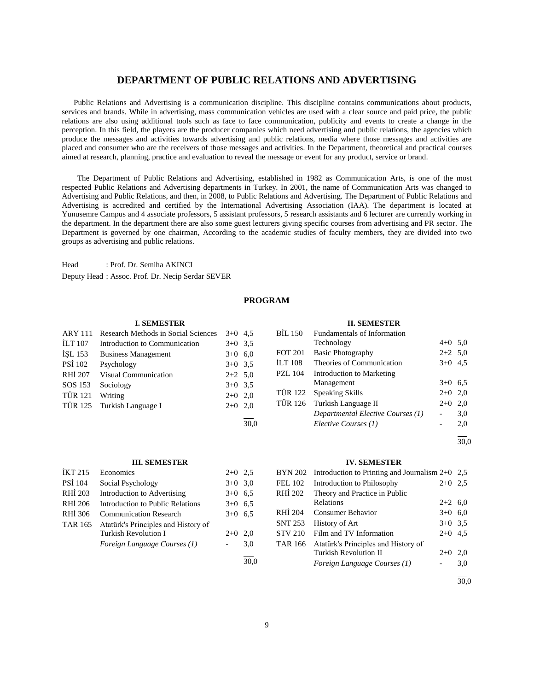# **DEPARTMENT OF PUBLIC RELATIONS AND ADVERTISING**

 Public Relations and Advertising is a communication discipline. This discipline contains communications about products, services and brands. While in advertising, mass communication vehicles are used with a clear source and paid price, the public relations are also using additional tools such as face to face communication, publicity and events to create a change in the perception. In this field, the players are the producer companies which need advertising and public relations, the agencies which produce the messages and activities towards advertising and public relations, media where those messages and activities are placed and consumer who are the receivers of those messages and activities. In the Department, theoretical and practical courses aimed at research, planning, practice and evaluation to reveal the message or event for any product, service or brand.

 The Department of Public Relations and Advertising, established in 1982 as Communication Arts, is one of the most respected Public Relations and Advertising departments in Turkey. In 2001, the name of Communication Arts was changed to Advertising and Public Relations, and then, in 2008, to Public Relations and Advertising. The Department of Public Relations and Advertising is accredited and certified by the International Advertising Association (IAA). The department is located at Yunusemre Campus and 4 associate professors, 5 assistant professors, 5 research assistants and 6 lecturer are currently working in the department. In the department there are also some guest lecturers giving specific courses from advertising and PR sector. The Department is governed by one chairman, According to the academic studies of faculty members, they are divided into two groups as advertising and public relations.

Head : Prof. Dr. Semiha AKINCI Deputy Head : Assoc. Prof. Dr. Necip Serdar SEVER

# **PROGRAM**

#### **I. SEMESTER**

| <b>ARY 111</b> | Research Methods in Social Sciences | $3+0$ 4.5 |      |
|----------------|-------------------------------------|-----------|------|
| <b>ILT 107</b> | Introduction to Communication       | $3+0$     | 3.5  |
| ISL 153        | <b>Business Management</b>          | $3+0$ 6.0 |      |
| <b>PSI 102</b> | Psychology                          | $3+0$ 3.5 |      |
| <b>RHI 207</b> | <b>Visual Communication</b>         | $2+2$ 5.0 |      |
| SOS 153        | Sociology                           | $3+0$ 3.5 |      |
| <b>TÜR 121</b> | Writing                             | $2+0$ 2,0 |      |
| TÜR 125        | Turkish Language I                  | $2+0$     | 2,0  |
|                |                                     |           | 30.0 |
|                |                                     |           |      |

#### **III. SEMESTER**

| <b>IKT 215</b> | Economics                           | $2+0$     | 2.5 |
|----------------|-------------------------------------|-----------|-----|
| <b>PSI</b> 104 | Social Psychology                   | $3+0$ 3,0 |     |
| RHI 203        | Introduction to Advertising         | $3+0$ 6.5 |     |
| RHI 206        | Introduction to Public Relations    | $3+0$ 6.5 |     |
| RHI 306        | <b>Communication Research</b>       | $3+0$ 6.5 |     |
| TAR 165        | Atatürk's Principles and History of |           |     |
|                | <b>Turkish Revolution I</b>         | $2+0$     | 2,0 |
|                | Foreign Language Courses (1)        |           | 3.0 |
|                |                                     |           |     |

#### **II. SEMESTER**

| BIL 150        | <b>Fundamentals of Information</b> |           |     |
|----------------|------------------------------------|-----------|-----|
|                | Technology                         | $4+0$ 5.0 |     |
| <b>FOT 201</b> | <b>Basic Photography</b>           | $2+2$ 5.0 |     |
| <b>ILT 108</b> | Theories of Communication          | $3+0$ 4.5 |     |
| <b>PZL 104</b> | <b>Introduction to Marketing</b>   |           |     |
|                | Management                         | $3+0$ 6.5 |     |
| TÜR 122        | Speaking Skills                    | $2+0$ 2,0 |     |
|                | TÜR 126 Turkish Language II        | $2+0$     | 2,0 |
|                | Departmental Elective Courses (1)  |           | 3,0 |
|                | Elective Courses (1)               |           | 2,0 |
|                |                                    |           |     |

30,0

#### **IV. SEMESTER**

|                | BYN 202 Introduction to Printing and Journalism $2+0$ 2,5 |           |     |
|----------------|-----------------------------------------------------------|-----------|-----|
| <b>FEL 102</b> | Introduction to Philosophy                                | $2+0$     | 2.5 |
| RHI 202        | Theory and Practice in Public                             |           |     |
|                | Relations                                                 | $2+2$ 6,0 |     |
| RHI 204        | <b>Consumer Behavior</b>                                  | $3+0$ 6,0 |     |
| <b>SNT 253</b> | History of Art                                            | $3+0$ 3.5 |     |
| <b>STV 210</b> | Film and TV Information                                   | $2+0$ 4.5 |     |
| <b>TAR 166</b> | Atatürk's Principles and History of                       |           |     |
|                | <b>Turkish Revolution II</b>                              | $2+0$     | 2.0 |
|                | Foreign Language Courses (1)                              |           | 3,0 |
|                |                                                           |           |     |

30,0

30,0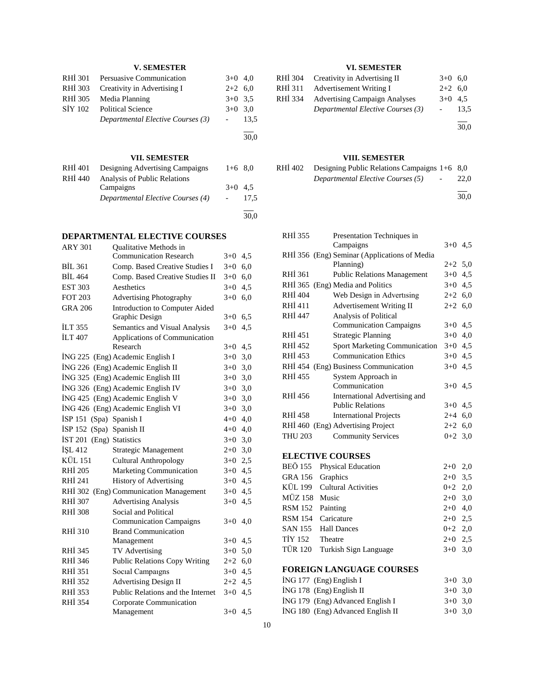# **V. SEMESTER**

| <b>Political Science</b><br>$3+0$ 3.0 |      |
|---------------------------------------|------|
|                                       |      |
| Departmental Elective Courses (3)     | 13,5 |
|                                       | 30,0 |
|                                       |      |

# **VII. SEMESTER**

| RHI 401 | Designing Advertising Campaigns   | $1+6$ 8.0 |      |
|---------|-----------------------------------|-----------|------|
| RHI 440 | Analysis of Public Relations      |           |      |
|         | Campaigns                         | $3+0$ 4.5 |      |
|         | Departmental Elective Courses (4) |           | 17.5 |
|         |                                   |           |      |
|         |                                   |           | 30,0 |

# **DEPARTMENTAL ELECTIVE COURSES**

| ARY 301        | <b>Oualitative Methods in</b>         |           |     |
|----------------|---------------------------------------|-----------|-----|
|                | <b>Communication Research</b>         | $3+0$     | 4,5 |
| <b>BIL 361</b> | Comp. Based Creative Studies I        | $3+0$     | 6,0 |
| <b>BIL 464</b> | Comp. Based Creative Studies II       | $3+0$     | 6,0 |
| <b>EST 303</b> | Aesthetics                            | $3+0$     | 4,5 |
| <b>FOT 203</b> | <b>Advertising Photography</b>        | $3+0$     | 6,0 |
| <b>GRA 206</b> | <b>Introduction to Computer Aided</b> |           |     |
|                | Graphic Design                        | $3+0$     | 6.5 |
| <b>ILT 355</b> | Semantics and Visual Analysis         | $3+0$     | 4,5 |
| <b>İLT 407</b> | Applications of Communication         |           |     |
|                | Research                              | $3+0$     | 4,5 |
| ING 225        | (Eng) Academic English I              | $3+0$     | 3,0 |
|                | İNG 226 (Eng) Academic English II     | $3+0$ 3,0 |     |
|                | İNG 325 (Eng) Academic English III    | $3+0$     | 3,0 |
|                | İNG 326 (Eng) Academic English IV     | $3+0$     | 3,0 |
|                | İNG 425 (Eng) Academic English V      | $3+0$     | 3,0 |
|                | İNG 426 (Eng) Academic English VI     | $3+0$     | 3,0 |
| ISP 151        | (Spa) Spanish I                       | $4 + 0$   | 4,0 |
| ISP 152        | (Spa) Spanish II                      | $4 + 0$   | 4,0 |
| <b>IST 201</b> | (Eng) Statistics                      | $3+0$ 3,0 |     |
| <b>İSL 412</b> | <b>Strategic Management</b>           | $2+0$ 3,0 |     |
| KÜL 151        | <b>Cultural Anthropology</b>          | $3+0$     | 2,5 |
| <b>RHİ 205</b> | Marketing Communication               | $3+0$ 4,5 |     |
| RHI 241        | <b>History of Advertising</b>         | $3+0$ 4,5 |     |
| RHI 302        | (Eng) Communication Management        | $3+0$     | 4,5 |
| RHI 307        | <b>Advertising Analysis</b>           | $3+0$     | 4,5 |
| <b>RHİ 308</b> | Social and Political                  |           |     |
|                | <b>Communication Campaigns</b>        | $3+0$     | 4,0 |
| <b>RHI 310</b> | <b>Brand Communication</b>            |           |     |
|                | Management                            | $3+0$     | 4,5 |
| <b>RHI 345</b> | TV Advertising                        | $3+0$     | 5,0 |
| RHI 346        | <b>Public Relations Copy Writing</b>  | $2 + 2$   | 6,0 |
| <b>RHI 351</b> | Social Campaigns                      | $3+0$     | 4,5 |
| RHI 352        | <b>Advertising Design II</b>          | $2+2$     | 4,5 |
| <b>RHI 353</b> | Public Relations and the Internet     | $3+0$     | 4,5 |
| <b>RHİ 354</b> | Corporate Communication               |           |     |
|                | Management                            | $3+0$ 4.5 |     |

# **VI. SEMESTER**

| RHI 304 | Creativity in Advertising II         | $3+0$ 6.0 |      |
|---------|--------------------------------------|-----------|------|
| RHI 311 | Advertisement Writing I              | $2+2$ 6,0 |      |
| RHI 334 | <b>Advertising Campaign Analyses</b> | $3+0$ 4.5 |      |
|         | Departmental Elective Courses (3)    |           | 13.5 |
|         |                                      |           | 30,0 |

# **VIII. SEMESTER**

| RHI 402 | Designing Public Relations Campaigns $1+6$ 8,0 |               |      |
|---------|------------------------------------------------|---------------|------|
|         | Departmental Elective Courses (5)              | $\sim$ $\sim$ | 22.0 |
|         |                                                |               |      |

30,0

| RHI 355        | Presentation Techniques in                   |           |     |
|----------------|----------------------------------------------|-----------|-----|
|                | Campaigns                                    | $3+0$ 4.5 |     |
|                | RHİ 356 (Eng) Seminar (Applications of Media |           |     |
|                | Planning)                                    | $2+2$ 5,0 |     |
| RHI 361        | <b>Public Relations Management</b>           | $3+0$     | 4,5 |
| RHI 365        | (Eng) Media and Politics                     | $3+0$     | 4,5 |
| <b>RHİ 404</b> | Web Design in Advertising                    | $2+2$ 6,0 |     |
| RHİ 411        | <b>Advertisement Writing II</b>              | $2+2$ 6,0 |     |
| <b>RHİ 447</b> | Analysis of Political                        |           |     |
|                | <b>Communication Campaigns</b>               | $3+0$ 4.5 |     |
| RHI 451        | <b>Strategic Planning</b>                    | $3+0$ 4,0 |     |
| RHI 452        | <b>Sport Marketing Communication</b>         | $3+0$ 4,5 |     |
| <b>RHİ 453</b> | <b>Communication Ethics</b>                  | $3+0$ 4,5 |     |
|                | RHİ 454 (Eng) Business Communication         | $3+0$ 4,5 |     |
| <b>RHI 455</b> | System Approach in                           |           |     |
|                | Communication                                | $3+0$     | 4,5 |
| RHI 456        | International Advertising and                |           |     |
|                | <b>Public Relations</b>                      | $3+0$ 4,5 |     |
| <b>RHI 458</b> | <b>International Projects</b>                | $2+4$ 6,0 |     |
|                | RHI 460 (Eng) Advertising Project            | $2+2$ 6,0 |     |
| <b>THU 203</b> | <b>Community Services</b>                    | $0+2$ 3.0 |     |
|                | <b>ELECTIVE COURSES</b>                      |           |     |
| <b>BEÖ 155</b> | Physical Education                           | $2+0$     | 2,0 |
| <b>GRA 156</b> | Graphics                                     | $2+0$     | 3,5 |
| KÜL 199        | <b>Cultural Activities</b>                   | $0+2$ 2,0 |     |
| <b>MÜZ 158</b> | Music                                        | $2+0$     | 3,0 |
| <b>RSM 152</b> | Painting                                     | $2+0$ 4,0 |     |
| <b>RSM 154</b> | Caricature                                   | $2+0$ 2,5 |     |
| <b>SAN 155</b> | <b>Hall Dances</b>                           |           |     |
| <b>TİY 152</b> | Theatre                                      | $0+2$ 2,0 |     |
|                |                                              | $2+0$ 2,5 |     |
| <b>TÜR 120</b> | Turkish Sign Language                        | $3+0$     | 3,0 |
|                | <b>FOREIGN LANGUAGE COURSES</b>              |           |     |

| $ING 177$ (Eng) English I         | $3+0$ 3.0 |  |
|-----------------------------------|-----------|--|
| $ING 178$ (Eng) English II        | $3+0$ 3.0 |  |
| İNG 179 (Eng) Advanced English I  | $3+0$ 3.0 |  |
| ING 180 (Eng) Advanced English II | $3+0$ 3.0 |  |
|                                   |           |  |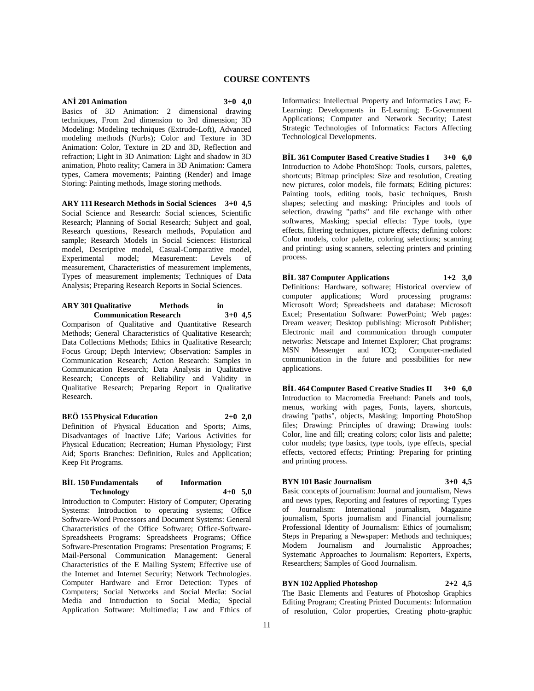# **COURSE CONTENTS**

# **ANİ 201 Animation 3+0 4,0**

Basics of 3D Animation: 2 dimensional drawing techniques, From 2nd dimension to 3rd dimension; 3D Modeling: Modeling techniques (Extrude-Loft), Advanced modeling methods (Nurbs); Color and Texture in 3D Animation: Color, Texture in 2D and 3D, Reflection and refraction; Light in 3D Animation: Light and shadow in 3D animation, Photo reality; Camera in 3D Animation: Camera types, Camera movements; Painting (Render) and Image Storing: Painting methods, Image storing methods.

**ARY 111 Research Methods in Social Sciences 3+0 4,5** Social Science and Research: Social sciences, Scientific Research; Planning of Social Research; Subject and goal, Research questions, Research methods, Population and sample; Research Models in Social Sciences: Historical model, Descriptive model, Casual-Comparative model, Experimental model; Measurement: Levels of measurement, Characteristics of measurement implements, Types of measurement implements; Techniques of Data Analysis; Preparing Research Reports in Social Sciences.

#### **ARY 301 Qualitative Methods in Communication Research 3+0 4,5**

Comparison of Qualitative and Quantitative Research Methods; General Characteristics of Qualitative Research; Data Collections Methods; Ethics in Qualitative Research; Focus Group; Depth Interview; Observation: Samples in Communication Research; Action Research: Samples in Communication Research; Data Analysis in Qualitative Research; Concepts of Reliability and Validity in Qualitative Research; Preparing Report in Qualitative Research.

# **BEÖ 155 Physical Education 2+0 2,0**

Definition of Physical Education and Sports; Aims, Disadvantages of Inactive Life; Various Activities for Physical Education; Recreation; Human Physiology; First Aid; Sports Branches: Definition, Rules and Application; Keep Fit Programs.

# **BİL 150 Fundamentals of Information Technology 4+0 5,0**

Introduction to Computer: History of Computer; Operating Systems: Introduction to operating systems; Office Software-Word Processors and Document Systems: General Characteristics of the Office Software; Office-Software-Spreadsheets Programs: Spreadsheets Programs; Office Software-Presentation Programs: Presentation Programs; E Mail-Personal Communication Management: General Characteristics of the E Mailing System; Effective use of the Internet and Internet Security; Network Technologies. Computer Hardware and Error Detection: Types of Computers; Social Networks and Social Media: Social Media and Introduction to Social Media; Special Application Software: Multimedia; Law and Ethics of

Informatics: Intellectual Property and Informatics Law; E-Learning: Developments in E-Learning; E-Government Applications; Computer and Network Security; Latest Strategic Technologies of Informatics: Factors Affecting Technological Developments.

**BİL 361 Computer Based Creative Studies I 3+0 6,0** Introduction to Adobe PhotoShop: Tools, cursors, palettes, shortcuts; Bitmap principles: Size and resolution, Creating new pictures, color models, file formats; Editing pictures: Painting tools, editing tools, basic techniques, Brush shapes; selecting and masking: Principles and tools of selection, drawing "paths" and file exchange with other softwares, Masking; special effects: Type tools, type effects, filtering techniques, picture effects; defining colors: Color models, color palette, coloring selections; scanning and printing: using scanners, selecting printers and printing process.

**BİL 387 Computer Applications 1+2 3,0** Definitions: Hardware, software; Historical overview of computer applications; Word processing programs: Microsoft Word; Spreadsheets and database: Microsoft Excel; Presentation Software: PowerPoint; Web pages: Dream weaver; Desktop publishing: Microsoft Publisher; Electronic mail and communication through computer networks: Netscape and Internet Explorer; Chat programs: MSN Messenger and ICQ; Computer-mediated communication in the future and possibilities for new applications.

**BİL 464 Computer Based Creative Studies II 3+0 6,0** Introduction to Macromedia Freehand: Panels and tools, menus, working with pages, Fonts, layers, shortcuts, drawing "paths", objects, Masking; Importing PhotoShop files; Drawing: Principles of drawing; Drawing tools: Color, line and fill; creating colors; color lists and palette; color models; type basics, type tools, type effects, special effects, vectored effects; Printing: Preparing for printing and printing process.

# **BYN 101 Basic Journalism 3+0 4,5**

Basic concepts of journalism: Journal and journalism, News and news types, Reporting and features of reporting; Types of Journalism: International journalism, Magazine journalism, Sports journalism and Financial journalism; Professional Identity of Journalism: Ethics of journalism; Steps in Preparing a Newspaper: Methods and techniques; Modern Journalism and Journalistic Approaches; Systematic Approaches to Journalism: Reporters, Experts, Researchers; Samples of Good Journalism.

#### **BYN 102 Applied Photoshop 2+2 4,5**

The Basic Elements and Features of Photoshop Graphics Editing Program; Creating Printed Documents: Information of resolution, Color properties, Creating photo-graphic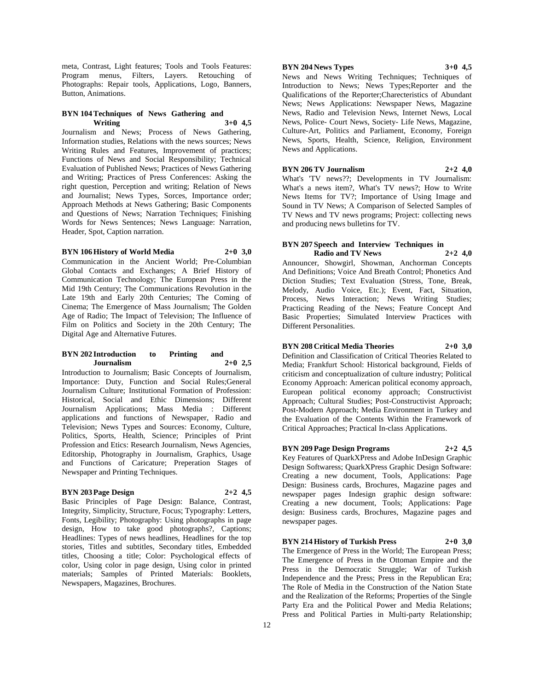meta, Contrast, Light features; Tools and Tools Features: Program menus, Filters, Layers. Retouching of Photographs: Repair tools, Applications, Logo, Banners, Button, Animations.

#### **BYN 104 Techniques of News Gathering and Writing 3+0 4,5**

Journalism and News; Process of News Gathering, Information studies, Relations with the news sources; News Writing Rules and Features, Improvement of practices; Functions of News and Social Responsibility; Technical Evaluation of Published News; Practices of News Gathering and Writing; Practices of Press Conferences: Asking the right question, Perception and writing; Relation of News and Journalist; News Types, Sorces, Importance order; Approach Methods at News Gathering; Basic Components and Questions of News; Narration Techniques; Finishing Words for News Sentences; News Language: Narration, Header, Spot, Caption narration.

# **BYN 106 History of World Media 2+0 3,0**

Communication in the Ancient World; Pre-Columbian Global Contacts and Exchanges; A Brief History of Communication Technology; The European Press in the Mid 19th Century; The Communications Revolution in the Late 19th and Early 20th Centuries; The Coming of Cinema; The Emergence of Mass Journalism; The Golden Age of Radio; The Impact of Television; The Influence of Film on Politics and Society in the 20th Century; The Digital Age and Alternative Futures.

#### **BYN 202 Introduction to Printing and Journalism 2+0 2,5**

Introduction to Journalism; Basic Concepts of Journalism, Importance: Duty, Function and Social Rules;General Journalism Culture; Institutional Formation of Profession: Historical, Social and Ethic Dimensions; Different Journalism Applications; Mass Media : Different applications and functions of Newspaper, Radio and Television; News Types and Sources: Economy, Culture, Politics, Sports, Health, Science; Principles of Print Profession and Etics: Research Journalism, News Agencies, Editorship, Photography in Journalism, Graphics, Usage and Functions of Caricature; Preperation Stages of Newspaper and Printing Techniques.

# **BYN 203 Page Design 2+2 4,5**

Basic Principles of Page Design: Balance, Contrast, Integrity, Simplicity, Structure, Focus; Typography: Letters, Fonts, Legibility; Photography: Using photographs in page design, How to take good photographs?, Captions; Headlines: Types of news headlines, Headlines for the top stories, Titles and subtitles, Secondary titles, Embedded titles, Choosing a title; Color: Psychological effects of color, Using color in page design, Using color in printed materials; Samples of Printed Materials: Booklets, Newspapers, Magazines, Brochures.

# **BYN 204 News Types 3+0 4,5**

News and News Writing Techniques; Techniques of Introduction to News; News Types;Reporter and the Qualifications of the Reporter;Charecteristics of Abundant News; News Applications: Newspaper News, Magazine News, Radio and Television News, Internet News, Local News, Police- Court News, Society- Life News, Magazine, Culture-Art, Politics and Parliament, Economy, Foreign News, Sports, Health, Science, Religion, Environment News and Applications.

# **BYN 206 TV Journalism 2+2 4,0**

What's 'TV news??; Developments in TV Journalism: What's a news item?, What's TV news?; How to Write News Items for TV?; Importance of Using Image and Sound in TV News; A Comparison of Selected Samples of TV News and TV news programs; Project: collecting news and producing news bulletins for TV.

# **BYN 207 Speech and Interview Techniques in Radio and TV News 2+2 4,0**

Announcer, Showgirl, Showman, Anchorman Concepts And Definitions; Voice And Breath Control; Phonetics And Diction Studies; Text Evaluation (Stress, Tone, Break, Melody, Audio Voice, Etc.); Event, Fact, Situation, Process, News Interaction; News Writing Studies; Practicing Reading of the News; Feature Concept And Basic Properties; Simulated Interview Practices with Different Personalities.

# **BYN 208 Critical Media Theories 2+0 3,0**

Definition and Classification of Critical Theories Related to Media; Frankfurt School: Historical background, Fields of criticism and conceptualization of culture industry; Political Economy Approach: American political economy approach, European political economy approach; Constructivist Approach; Cultural Studies; Post-Constructivist Approach; Post-Modern Approach; Media Environment in Turkey and the Evaluation of the Contents Within the Framework of Critical Approaches; Practical In-class Applications.

# **BYN 209 Page Design Programs 2+2 4,5**

Key Features of QuarkXPress and Adobe InDesign Graphic Design Softwaress; QuarkXPress Graphic Design Software: Creating a new document, Tools, Applications: Page Design: Business cards, Brochures, Magazine pages and newspaper pages Indesign graphic design software: Creating a new document, Tools; Applications: Page design: Business cards, Brochures, Magazine pages and newspaper pages.

# **BYN 214 History of Turkish Press 2+0 3,0**

The Emergence of Press in the World; The European Press; The Emergence of Press in the Ottoman Empire and the Press in the Democratic Struggle; War of Turkish Independence and the Press; Press in the Republican Era; The Role of Media in the Construction of the Nation State and the Realization of the Reforms; Properties of the Single Party Era and the Political Power and Media Relations; Press and Political Parties in Multi-party Relationship;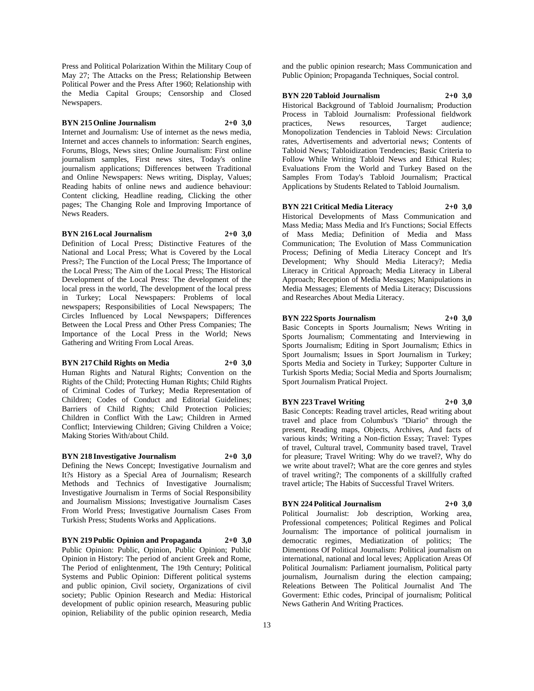Press and Political Polarization Within the Military Coup of May 27; The Attacks on the Press; Relationship Between Political Power and the Press After 1960; Relationship with the Media Capital Groups; Censorship and Closed Newspapers.

# **BYN 215 Online Journalism 2+0 3,0**

Internet and Journalism: Use of internet as the news media, Internet and acces channels to information: Search engines, Forums, Blogs, News sites; Online Journalism: First online journalism samples, First news sites, Today's online journalism applications; Differences between Traditional and Online Newspapers: News writing, Display, Values; Reading habits of online news and audience behaviour: Content clicking, Headline reading, Clicking the other pages; The Changing Role and Improving Importance of News Readers.

#### **BYN 216 Local Journalism 2+0 3,0**

Definition of Local Press; Distinctive Features of the National and Local Press; What is Covered by the Local Press?; The Function of the Local Press; The Importance of the Local Press; The Aim of the Local Press; The Historical Development of the Local Press: The development of the local press in the world, The development of the local press in Turkey; Local Newspapers: Problems of local newspapers; Responsibilities of Local Newspapers; The Circles Influenced by Local Newspapers; Differences Between the Local Press and Other Press Companies; The Importance of the Local Press in the World; News Gathering and Writing From Local Areas.

# **BYN 217 Child Rights on Media 2+0 3,0**

Human Rights and Natural Rights; Convention on the Rights of the Child; Protecting Human Rights; Child Rights of Criminal Codes of Turkey; Media Representation of Children; Codes of Conduct and Editorial Guidelines; Barriers of Child Rights; Child Protection Policies; Children in Conflict With the Law; Children in Armed Conflict; Interviewing Children; Giving Children a Voice; Making Stories With/about Child.

### **BYN 218 Investigative Journalism 2+0 3,0**

Defining the News Concept; Investigative Journalism and It?s History as a Special Area of Journalism; Research Methods and Technics of Investigative Journalism; Investigative Journalism in Terms of Social Responsibility and Journalism Missions; Investigative Journalism Cases From World Press; Investigative Journalism Cases From Turkish Press; Students Works and Applications.

**BYN 219 Public Opinion and Propaganda 2+0 3,0** Public Opinion: Public, Opinion, Public Opinion; Public Opinion in History: The period of ancient Greek and Rome, The Period of enlightenment, The 19th Century; Political Systems and Public Opinion: Different political systems and public opinion, Civil society, Organizations of civil society; Public Opinion Research and Media: Historical development of public opinion research, Measuring public opinion, Reliability of the public opinion research, Media

and the public opinion research; Mass Communication and Public Opinion; Propaganda Techniques, Social control.

#### **BYN 220 Tabloid Journalism 2+0 3,0**

Historical Background of Tabloid Journalism; Production Process in Tabloid Journalism: Professional fieldwork practices, News resources, Target audience; Monopolization Tendencies in Tabloid News: Circulation rates, Advertisements and advertorial news; Contents of Tabloid News; Tabloidization Tendencies; Basic Criteria to Follow While Writing Tabloid News and Ethical Rules; Evaluations From the World and Turkey Based on the Samples From Today's Tabloid Journalism; Practical Applications by Students Related to Tabloid Journalism.

### **BYN 221 Critical Media Literacy 2+0 3,0**

Historical Developments of Mass Communication and Mass Media; Mass Media and It's Functions; Social Effects of Mass Media; Definition of Media and Mass Communication; The Evolution of Mass Communication Process; Defining of Media Literacy Concept and It's Development; Why Should Media Literacy?; Media Literacy in Critical Approach; Media Literacy in Liberal Approach; Reception of Media Messages; Manipulations in Media Messages; Elements of Media Literacy; Discussions and Researches About Media Literacy.

# **BYN 222 Sports Journalism 2+0 3,0**

Basic Concepts in Sports Journalism; News Writing in Sports Journalism; Commentating and Interviewing in Sports Journalism; Editing in Sport Journalism; Ethics in Sport Journalism; Issues in Sport Journalism in Turkey; Sports Media and Society in Turkey; Supporter Culture in Turkish Sports Media; Social Media and Sports Journalism; Sport Journalism Pratical Project.

# **BYN 223 Travel Writing 2+0 3,0**

Basic Concepts: Reading travel articles, Read writing about travel and place from Columbus's "Diario" through the present, Reading maps, Objects, Archives, And facts of various kinds; Writing a Non-fiction Essay; Travel: Types of travel, Cultural travel, Community based travel, Travel for pleasure; Travel Writing: Why do we travel?, Why do we write about travel?; What are the core genres and styles of travel writing?; The components of a skillfully crafted travel article; The Habits of Successful Travel Writers.

# **BYN 224 Political Journalism 2+0 3,0**

Political Journalist: Job description, Working area, Professional competences; Political Regimes and Polical Journalism: The importance of political journalism in democratic regimes, Mediatization of politics; The Dimentions Of Political Journalism: Political journalism on international, national and local leves; Application Areas Of Political Journalism: Parliament journalism, Political party journalism, Journalism during the election campaing; Releations Between The Political Journalist And The Goverment: Ethic codes, Principal of journalism; Political News Gatherin And Writing Practices.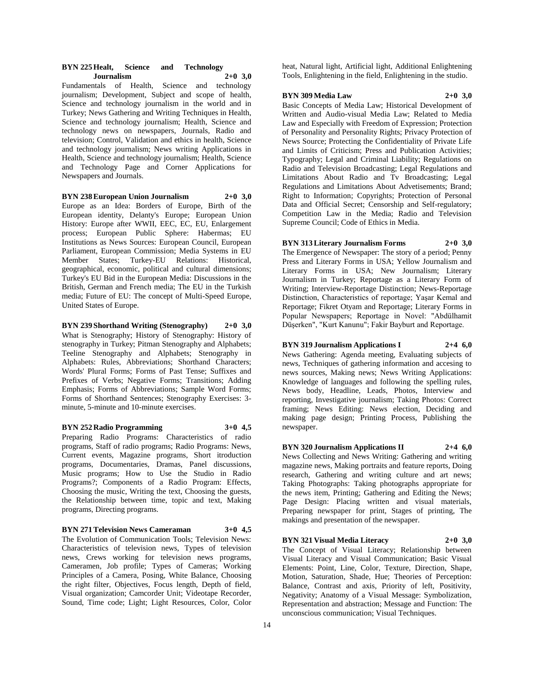# **BYN 225 Healt, Science and Technology Journalism 2+0 3,0**

Fundamentals of Health, Science and technology journalism; Development, Subject and scope of health, Science and technology journalism in the world and in Turkey; News Gathering and Writing Techniques in Health, Science and technology journalism; Health, Science and technology news on newspapers, Journals, Radio and television; Control, Validation and ethics in health, Science and technology journalism; News writing Applications in Health, Science and technology journalism; Health, Science and Technology Page and Corner Applications for Newspapers and Journals.

# **BYN 238 European Union Journalism 2+0 3,0**

Europe as an Idea: Borders of Europe, Birth of the European identity, Delanty's Europe; European Union History: Europe after WWII, EEC, EC, EU, Enlargement process; European Public Sphere: Habermas; EU Institutions as News Sources: European Council, European Parliament, European Commission; Media Systems in EU Member States; Turkey-EU Relations: Historical, geographical, economic, political and cultural dimensions; Turkey's EU Bid in the European Media: Discussions in the British, German and French media; The EU in the Turkish media; Future of EU: The concept of Multi-Speed Europe, United States of Europe.

**BYN 239 Shorthand Writing (Stenography) 2+0 3,0** What is Stenography; History of Stenography: History of stenography in Turkey; Pitman Stenography and Alphabets; Teeline Stenography and Alphabets; Stenography in Alphabets: Rules, Abbreviations; Shorthand Characters: Words' Plural Forms; Forms of Past Tense; Suffixes and Prefixes of Verbs; Negative Forms; Transitions; Adding Emphasis; Forms of Abbreviations; Sample Word Forms; Forms of Shorthand Sentences; Stenography Exercises: 3 minute, 5-minute and 10-minute exercises.

# **BYN 252 Radio Programming 3+0 4,5**

Preparing Radio Programs: Characteristics of radio programs, Staff of radio programs; Radio Programs: News, Current events, Magazine programs, Short itroduction programs, Documentaries, Dramas, Panel discussions, Music programs; How to Use the Studio in Radio Programs?; Components of a Radio Program: Effects, Choosing the music, Writing the text, Choosing the guests, the Relationship between time, topic and text, Making programs, Directing programs.

#### **BYN 271 Television News Cameraman 3+0 4,5**

The Evolution of Communication Tools; Television News: Characteristics of television news, Types of television news, Crews working for television news programs, Cameramen, Job profile; Types of Cameras; Working Principles of a Camera, Posing, White Balance, Choosing the right filter, Objectives, Focus length, Depth of field, Visual organization; Camcorder Unit; Videotape Recorder, Sound, Time code; Light; Light Resources, Color, Color

heat, Natural light, Artificial light, Additional Enlightening Tools, Enlightening in the field, Enlightening in the studio.

#### **BYN 309 Media Law 2+0 3,0**

Basic Concepts of Media Law; Historical Development of Written and Audio-visual Media Law; Related to Media Law and Especially with Freedom of Expression; Protection of Personality and Personality Rights; Privacy Protection of News Source; Protecting the Confidentiality of Private Life and Limits of Criticism; Press and Publication Activities; Typography; Legal and Criminal Liability; Regulations on Radio and Television Broadcasting; Legal Regulations and Limitations About Radio and Tv Broadcasting; Legal Regulations and Limitations About Advetisements; Brand; Right to Information; Copyrights; Protection of Personal Data and Official Secret; Censorship and Self-regulatory; Competition Law in the Media; Radio and Television Supreme Council; Code of Ethics in Media.

# **BYN 313 Literary Journalism Forms 2+0 3,0**

The Emergence of Newspaper: The story of a period; Penny Press and Literary Forms in USA; Yellow Journalism and Literary Forms in USA; New Journalism; Literary Journalism in Turkey; Reportage as a Literary Form of Writing; Interview-Reportage Distinction; News-Reportage Distinction, Characteristics of reportage; Yaşar Kemal and Reportage; Fikret Otyam and Reportage; Literary Forms in Popular Newspapers; Reportage in Novel: "Abdülhamit Düşerken", "Kurt Kanunu"; Fakir Bayburt and Reportage.

#### **BYN 319 Journalism Applications I 2+4 6,0**

News Gathering: Agenda meeting, Evaluating subjects of news, Techniques of gathering information and accesing to news sources, Making news; News Writing Applications: Knowledge of languages and following the spelling rules, News body, Headline, Leads, Photos, Interview and reporting, Investigative journalism; Taking Photos: Correct framing; News Editing: News election, Deciding and making page design; Printing Process, Publishing the newspaper.

# **BYN 320 Journalism Applications II 2+4 6,0**

News Collecting and News Writing: Gathering and writing magazine news, Making portraits and feature reports, Doing research, Gathering and writing culture and art news; Taking Photographs: Taking photographs appropriate for the news item, Printing; Gathering and Editing the News; Page Design: Placing written and visual materials, Preparing newspaper for print, Stages of printing, The makings and presentation of the newspaper.

#### **BYN 321 Visual Media Literacy 2+0 3,0**

The Concept of Visual Literacy; Relationship between Visual Literacy and Visual Communication; Basic Visual Elements: Point, Line, Color, Texture, Direction, Shape, Motion, Saturation, Shade, Hue; Theories of Perception: Balance, Contrast and axis, Priority of left, Positivity, Negativity; Anatomy of a Visual Message: Symbolization, Representation and abstraction; Message and Function: The unconscious communication; Visual Techniques.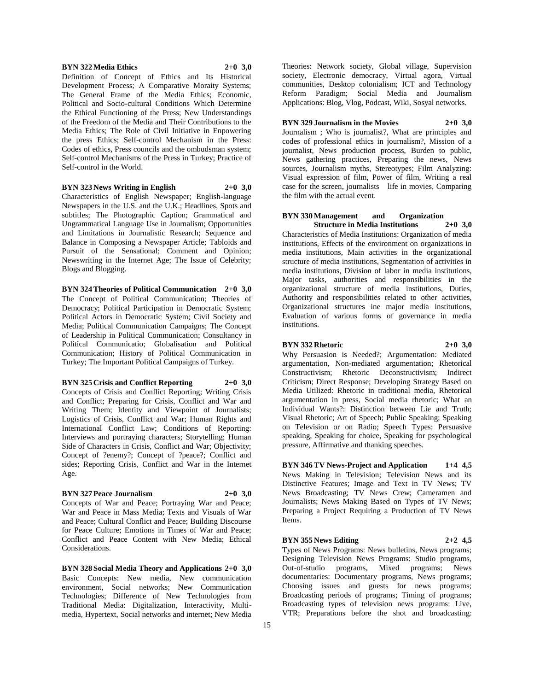#### **BYN 322 Media Ethics 2+0 3,0**

Definition of Concept of Ethics and Its Historical Development Process; A Comparative Moraity Systems; The General Frame of the Media Ethics; Economic, Political and Socio-cultural Conditions Which Determine the Ethical Functioning of the Press; New Understandings of the Freedom of the Media and Their Contributions to the Media Ethics; The Role of Civil Initiative in Enpowering the press Ethics; Self-control Mechanism in the Press: Codes of ethics, Press councils and the ombudsman system; Self-control Mechanisms of the Press in Turkey; Practice of Self-control in the World.

#### **BYN 323 News Writing in English 2+0 3,0**

Characteristics of English Newspaper; English-language Newspapers in the U.S. and the U.K.; Headlines, Spots and subtitles; The Photographic Caption; Grammatical and Ungrammatical Language Use in Journalism; Opportunities and Limitations in Journalistic Research; Sequence and Balance in Composing a Newspaper Article; Tabloids and Pursuit of the Sensational; Comment and Opinion; Newswriting in the Internet Age; The Issue of Celebrity; Blogs and Blogging.

**BYN 324 Theories of Political Communication 2+0 3,0** The Concept of Political Communication; Theories of Democracy; Political Participation in Democratic System; Political Actors in Democratic System; Civil Society and Media; Political Communication Campaigns; The Concept of Leadership in Political Communication; Consultancy in Political Communicatio; Globalisation and Political Communication; History of Political Communication in Turkey; The Important Political Campaigns of Turkey.

**BYN 325 Crisis and Conflict Reporting 2+0 3,0** Concepts of Crisis and Conflict Reporting; Writing Crisis and Conflict; Preparing for Crisis, Conflict and War and Writing Them; Identity and Viewpoint of Journalists; Logistics of Crisis, Conflict and War; Human Rights and International Conflict Law; Conditions of Reporting: Interviews and portraying characters; Storytelling; Human Side of Characters in Crisis, Conflict and War; Objectivity; Concept of ?enemy?; Concept of ?peace?; Conflict and sides; Reporting Crisis, Conflict and War in the Internet Age.

# **BYN 327 Peace Journalism 2+0 3,0**

Concepts of War and Peace; Portraying War and Peace; War and Peace in Mass Media; Texts and Visuals of War and Peace; Cultural Conflict and Peace; Building Discourse for Peace Culture; Emotions in Times of War and Peace; Conflict and Peace Content with New Media; Ethical Considerations.

**BYN 328 Social Media Theory and Applications 2+0 3,0** Basic Concepts: New media, New communication environment, Social networks; New Communication Technologies; Difference of New Technologies from Traditional Media: Digitalization, Interactivity, Multimedia, Hypertext, Social networks and internet; New Media

Theories: Network society, Global village, Supervision society, Electronic democracy, Virtual agora, Virtual communities, Desktop colonialism; ICT and Technology Reform Paradigm; Social Media and Journalism Applications: Blog, Vlog, Podcast, Wiki, Sosyal networks.

**BYN 329 Journalism in the Movies 2+0 3,0** Journalism ; Who is journalist?, What are principles and codes of professional ethics in journalism?, Mission of a journalist, News production process, Burden to public, News gathering practices, Preparing the news, News sources, Journalism myths, Stereotypes; Film Analyzing: Visual expression of film, Power of film, Writing a real case for the screen, journalists life in movies, Comparing the film with the actual event.

#### **BYN 330 Management and Organization Structure in Media Institutions 2+0 3,0**

Characteristics of Media Institutions: Organization of media institutions, Effects of the environment on organizations in media institutions, Main activities in the organizational structure of media institutions, Segmentation of activities in media institutions, Division of labor in media institutions, Major tasks, authorities and responsibilities in the organizational structure of media institutions, Duties, Authority and responsibilities related to other activities, Organizational structures ine major media institutions, Evaluation of various forms of governance in media institutions.

#### **BYN 332 Rhetoric 2+0 3,0**

Why Persuasion is Needed?; Argumentation: Mediated argumentation, Non-mediated argumentation; Rhetorical Constructivism; Rhetoric Deconstructivism; Indirect Criticism; Direct Response; Developing Strategy Based on Media Utilized: Rhetoric in traditional media, Rhetorical argumentation in press, Social media rhetoric; What an Individual Wants?: Distinction between Lie and Truth; Visual Rhetoric; Art of Speech; Public Speaking; Speaking on Television or on Radio; Speech Types: Persuasive speaking, Speaking for choice, Speaking for psychological pressure, Affirmative and thanking speeches.

**BYN 346 TV News-Project and Application 1+4 4,5** News Making in Television; Television News and its Distinctive Features; Image and Text in TV News; TV News Broadcasting; TV News Crew; Cameramen and Journalists; News Making Based on Types of TV News; Preparing a Project Requiring a Production of TV News Items.

#### **BYN 355 News Editing 2+2 4,5**

Types of News Programs: News bulletins, News programs; Designing Television News Programs: Studio programs, Out-of-studio programs, Mixed programs; News documentaries: Documentary programs, News programs; Choosing issues and guests for news programs; Broadcasting periods of programs; Timing of programs; Broadcasting types of television news programs: Live, VTR; Preparations before the shot and broadcasting: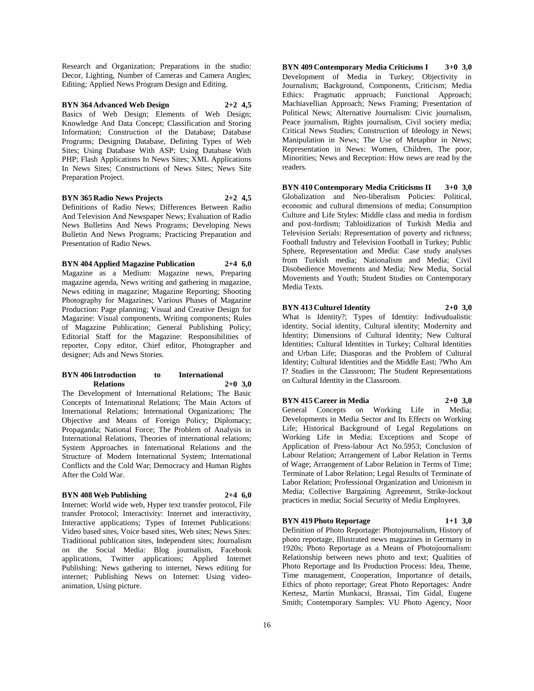Research and Organization; Preparations in the studio: Decor, Lighting, Number of Cameras and Camera Angles; Editing; Applied News Program Design and Editing.

**BYN 364 Advanced Web Design 2+2 4,5** Basics of Web Design; Elements of Web Design; Knowledge And Data Concept; Classification and Storing Information; Construction of the Database; Database Programs; Designing Database, Defining Types of Web Sites; Using Database With ASP; Using Database With PHP; Flash Applications In News Sites; XML Applications In News Sites; Constructions of News Sites; News Site Preparation Project.

# **BYN 365 Radio News Projects 2+2 4,5**

Definitions of Radio News; Differences Between Radio And Television And Newspaper News; Evaluation of Radio News Bulletins And News Programs; Developing News Bulletin And News Programs; Practicing Preparation and Presentation of Radio News.

# **BYN 404 Applied Magazine Publication 2+4 6,0**

Magazine as a Medium: Magazine news, Preparing magazine agenda, News writing and gathering in magazine, News editing in magazine; Magazine Reporting; Shooting Photography for Magazines; Various Phases of Magazine Production: Page planning; Visual and Creative Design for Magazine: Visual components, Writing components; Rules of Magazine Publication; General Publishing Policy; Editorial Staff for the Magazine: Responsibilities of reporter, Copy editor, Chief editor, Photographer and designer; Ads and News Stories.

# **BYN 406 Introduction to International Relations 2+0 3,0**

The Development of International Relations; The Basic Concepts of International Relations; The Main Actors of International Relations; International Organizations; The Objective and Means of Foreign Policy; Diplomacy; Propaganda; National Force; The Problem of Analysis in International Relations, Theories of international relations; System Approaches in International Relations and the Structure of Modern International System; International Conflicts and the Cold War; Democracy and Human Rights After the Cold War.

#### **BYN 408 Web Publishing 2+4 6,0**

Internet: World wide web, Hyper text transfer protocol, File transfer Protocol; Interactivity: Internet and interactivity, Interactive applications; Types of Internet Publications: Video based sites, Voice based sites, Web sites; News Sites: Traditional publication sites, Independent sites; Journalism on the Social Media: Blog journalism, Facebook applications, Twitter applications; Applied Internet Publishing: News gathering to internet, News editing for internet; Publishing News on Internet: Using videoanimation, Using picture.

**BYN 409 Contemporary Media Criticisms I 3+0 3,0** Development of Media in Turkey; Objectivity in Journalism; Background, Components, Criticism; Media Ethics: Pragmatic approach; Functional Approach; Machiavellian Approach; News Framing; Presentation of Political News; Alternative Journalism: Civic journalism, Peace journalism, Rights journalism, Civil society media; Critical News Studies; Construction of Ideology in News; Manipulation in News; The Use of Metaphor in News; Representation in News: Women, Children, The poor, Minorities; News and Reception: How news are read by the readers.

**BYN 410 Contemporary Media Criticisms II 3+0 3,0** Globalization and Neo-liberalism Policies: Political, economic and cultural dimensions of media; Consumption Culture and Life Styles: Middle class and media in fordism and post-fordism; Tabloidization of Turkish Media and Television Serials: Representation of poverty and richness; Football Industry and Television Football in Turkey; Public Sphere, Representation and Media: Case study analyses from Turkish media; Nationalism and Media; Civil Disobedience Movements and Media; New Media, Social Movements and Youth; Student Studies on Contemporary Media Texts.

# **BYN 413 Culturel Identity 2+0 3,0**

What is Identity?; Types of Identity: Indivudualistic identity, Social identity, Cultural identity; Modernity and Identity; Dimensions of Cultural Identity; New Cultural Identities; Cultural Identities in Turkey; Cultural Identities and Urban Life; Diasporas and the Problem of Cultural Identity; Cultural Identities and the Middle East; ?Who Am I? Studies in the Classroom; The Student Representations on Cultural Identity in the Classroom.

# **BYN 415 Career in Media 2+0 3,0**

General Concepts on Working Life in Media; Developments in Media Sector and Its Effects on Working Life; Historical Background of Legal Regulations on Working Life in Media; Exceptions and Scope of Application of Press-labour Act No.5953; Conclusion of Labour Relation; Arrangement of Labor Relation in Terms of Wage; Arrangement of Labor Relation in Terms of Time; Terminate of Labor Relation; Legal Results of Terminate of Labor Relation; Professional Organization and Unionism in Media; Collective Bargaining Agreement, Strike-lockout practices in media; Social Security of Media Employees.

#### **BYN 419 Photo Reportage 1+1 3,0**

Definition of Photo Reportage: Photojournalism, History of photo reportage, Illustrated news magazines in Germany in 1920s; Photo Reportage as a Means of Photojournalism: Relationship between news photo and text; Qualities of Photo Reportage and Its Production Process: Idea, Theme, Time management, Cooperation, Importance of details, Ethics of photo reportage; Great Photo Reportages: Andre Kertesz, Martin Munkacsi, Brassai, Tim Gidal, Eugene Smith; Contemporary Samples: VU Photo Agency, Noor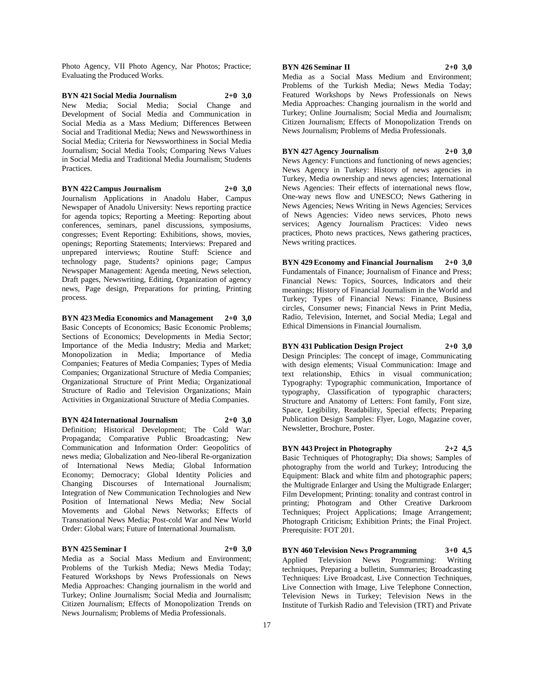Photo Agency, VII Photo Agency, Nar Photos; Practice; Evaluating the Produced Works.

**BYN 421 Social Media Journalism 2+0 3,0** New Media; Social Media; Social Change and Development of Social Media and Communication in Social Media as a Mass Medium; Differences Between Social and Traditional Media; News and Newsworthiness in Social Media; Criteria for Newsworthiness in Social Media Journalism; Social Media Tools; Comparing News Values in Social Media and Traditional Media Journalism; Students **Practices** 

# **BYN 422 Campus Journalism 2+0 3,0**

Journalism Applications in Anadolu Haber, Campus Newspaper of Anadolu University: News reporting practice for agenda topics; Reporting a Meeting: Reporting about conferences, seminars, panel discussions, symposiums, congresses; Event Reporting: Exhibitions, shows, movies, openings; Reporting Statements; Interviews: Prepared and unprepared interviews; Routine Stuff: Science and technology page, Students? opinions page; Campus Newspaper Management: Agenda meeting, News selection, Draft pages, Newswriting, Editing, Organization of agency news, Page design, Preparations for printing, Printing process.

**BYN 423 Media Economics and Management 2+0 3,0** Basic Concepts of Economics; Basic Economic Problems; Sections of Economics; Developments in Media Sector; Importance of the Media Industry; Media and Market; Monopolization in Media; Importance of Media Companies; Features of Media Companies; Types of Media Companies; Organizational Structure of Media Companies; Organizational Structure of Print Media; Organizational Structure of Radio and Television Organizations; Main Activities in Organizational Structure of Media Companies.

**BYN 424 International Journalism 2+0 3,0** Definition; Historical Development; The Cold War: Propaganda; Comparative Public Broadcasting; New Communication and Information Order: Geopolitics of news media; Globalization and Neo-liberal Re-organization of International News Media; Global Information Economy; Democracy; Global Identity Policies and Changing Discourses of International Journalism; Integration of New Communication Technologies and New Position of International News Media; New Social Movements and Global News Networks; Effects of Transnational News Media; Post-cold War and New World Order: Global wars; Future of International Journalism.

# **BYN 425 Seminar I 2+0 3,0**

Media as a Social Mass Medium and Environment; Problems of the Turkish Media; News Media Today; Featured Workshops by News Professionals on News Media Approaches: Changing journalism in the world and Turkey; Online Journalism; Social Media and Journalism; Citizen Journalism; Effects of Monopolization Trends on News Journalism; Problems of Media Professionals.

# **BYN 426 Seminar II 2+0 3,0**

Media as a Social Mass Medium and Environment; Problems of the Turkish Media; News Media Today; Featured Workshops by News Professionals on News Media Approaches: Changing journalism in the world and Turkey; Online Journalism; Social Media and Journalism; Citizen Journalism; Effects of Monopolization Trends on News Journalism; Problems of Media Professionals.

#### **BYN 427 Agency Journalism 2+0 3,0**

News Agency: Functions and functioning of news agencies; News Agency in Turkey: History of news agencies in Turkey, Media ownership and news agencies; International News Agencies: Their effects of international news flow, One-way news flow and UNESCO; News Gathering in News Agencies; News Writing in News Agencies; Services of News Agencies: Video news services, Photo news services; Agency Journalism Practices: Video news practices, Photo news practices, News gathering practices, News writing practices.

**BYN 429 Economy and Financial Journalism 2+0 3,0** Fundamentals of Finance; Journalism of Finance and Press; Financial News: Topics, Sources, Indicators and their meanings; History of Financial Journalism in the World and Turkey; Types of Financial News: Finance, Business circles, Consumer news; Financial News in Print Media, Radio, Television, Internet, and Social Media; Legal and Ethical Dimensions in Financial Journalism.

#### **BYN 431 Publication Design Project 2+0 3,0**

Design Principles: The concept of image, Communicating with design elements; Visual Communication: Image and text relationship, Ethics in visual communication; Typography: Typographic communication, Importance of typography, Classification of typographic characters; Structure and Anatomy of Letters: Font family, Font size, Space, Legibility, Readability, Special effects; Preparing Publication Design Samples: Flyer, Logo, Magazine cover, Newsletter, Brochure, Poster.

#### **BYN 443 Project in Photography 2+2 4,5**

Basic Techniques of Photography; Dia shows; Samples of photography from the world and Turkey; Introducing the Equipment: Black and white film and photographic papers; the Multigrade Enlarger and Using the Multigrade Enlarger; Film Development; Printing: tonality and contrast control in printing; Photogram and Other Creative Darkroom Techniques; Project Applications; Image Arrangement; Photograph Criticism; Exhibition Prints; the Final Project. Prerequisite: FOT 201.

**BYN 460 Television News Programming 3+0 4,5** Applied Television News Programming: Writing techniques, Preparing a bulletin, Summaries; Broadcasting Techniques: Live Broadcast, Live Connection Techniques, Live Connection with Image, Live Telephone Connection, Television News in Turkey; Television News in the Institute of Turkish Radio and Television (TRT) and Private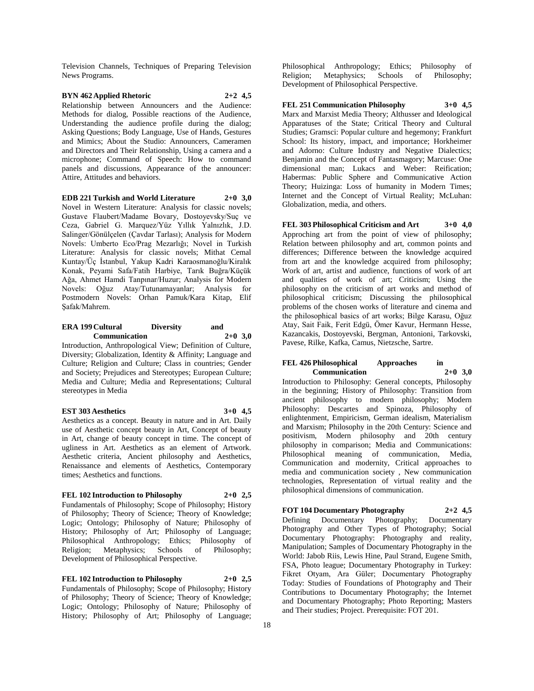Television Channels, Techniques of Preparing Television News Programs.

# **BYN 462 Applied Rhetoric 2+2 4,5**

Relationship between Announcers and the Audience: Methods for dialog, Possible reactions of the Audience, Understanding the audience profile during the dialog; Asking Questions; Body Language, Use of Hands, Gestures and Mimics; About the Studio: Announcers, Cameramen and Directors and Their Relationship, Using a camera and a microphone; Command of Speech: How to command panels and discussions, Appearance of the announcer: Attire, Attitudes and behaviors.

# **EDB 221 Turkish and World Literature 2+0 3,0**

Novel in Western Literature: Analysis for classic novels; Gustave Flaubert/Madame Bovary, Dostoyevsky/Suç ve Ceza, Gabriel G. Marquez/Yüz Yıllık Yalnızlık, J.D. Salinger/Gönülçelen (Çavdar Tarlası); Analysis for Modern Novels: Umberto Eco/Prag Mezarlığı; Novel in Turkish Literature: Analysis for classic novels; Mithat Cemal Kuntay/Üç İstanbul, Yakup Kadri Karaosmanoğlu/Kiralık Konak, Peyami Safa/Fatih Harbiye, Tarık Buğra/Küçük Ağa, Ahmet Hamdi Tanpınar/Huzur; Analysis for Modern Novels: Oğuz Atay/Tutunamayanlar; Analysis for Postmodern Novels: Orhan Pamuk/Kara Kitap, Elif Şafak/Mahrem.

#### **ERA 199 Cultural Diversity and Communication 2+0 3,0**

Introduction, Anthropological View; Definition of Culture, Diversity; Globalization, Identity & Affinity; Language and Culture; Religion and Culture; Class in countries; Gender and Society; Prejudices and Stereotypes; European Culture; Media and Culture; Media and Representations; Cultural stereotypes in Media

# **EST 303 Aesthetics 3+0 4,5**

Aesthetics as a concept. Beauty in nature and in Art. Daily use of Aesthetic concept beauty in Art, Concept of beauty in Art, change of beauty concept in time. The concept of ugliness in Art. Aesthetics as an element of Artwork. Aesthetic criteria, Ancient philosophy and Aesthetics, Renaissance and elements of Aesthetics, Contemporary times; Aesthetics and functions.

# **FEL 102 Introduction to Philosophy 2+0 2,5**

Fundamentals of Philosophy; Scope of Philosophy; History of Philosophy; Theory of Science; Theory of Knowledge; Logic; Ontology; Philosophy of Nature; Philosophy of History; Philosophy of Art; Philosophy of Language; Philosophical Anthropology; Ethics; Philosophy of Religion; Metaphysics; Schools of Philosophy; Development of Philosophical Perspective.

**FEL 102 Introduction to Philosophy 2+0 2,5** Fundamentals of Philosophy; Scope of Philosophy; History of Philosophy; Theory of Science; Theory of Knowledge; Logic; Ontology; Philosophy of Nature; Philosophy of History; Philosophy of Art; Philosophy of Language;

Philosophical Anthropology; Ethics; Philosophy of Religion; Metaphysics; Schools of Philosophy; Development of Philosophical Perspective.

# **FEL 251 Communication Philosophy 3+0 4,5** Marx and Marxist Media Theory; Althusser and Ideological Apparatuses of the State; Critical Theory and Cultural Studies; Gramsci: Popular culture and hegemony; Frankfurt School: Its history, impact, and importance; Horkheimer and Adorno: Culture Industry and Negative Dialectics; Benjamin and the Concept of Fantasmagory; Marcuse: One dimensional man; Lukacs and Weber: Reification; Habermas: Public Sphere and Communicative Action Theory; Huizinga: Loss of humanity in Modern Times; Internet and the Concept of Virtual Reality; McLuhan: Globalization, media, and others.

**FEL 303 Philosophical Criticism and Art 3+0 4,0** Approching art from the point of view of philosophy; Relation between philosophy and art, common points and differences; Difference between the knowledge acquired from art and the knowledge acquired from philosophy; Work of art, artist and audience, functions of work of art and qualities of work of art; Criticism; Using the philosophy on the criticism of art works and method of philosophical criticism; Discussing the philosophical problems of the chosen works of literature and cinema and the philosophical basics of art works; Bilge Karasu, Oğuz Atay, Sait Faik, Ferit Edgü, Ömer Kavur, Hermann Hesse, Kazancakis, Dostoyevski, Bergman, Antonioni, Tarkovski, Pavese, Rilke, Kafka, Camus, Nietzsche, Sartre.

#### **FEL 426 Philosophical Approaches in Communication 2+0 3,0**

Introduction to Philosophy: General concepts, Philosophy in the beginning; History of Philosophy: Transition from ancient philosophy to modern philosophy; Modern Philosophy: Descartes and Spinoza, Philosophy of enlightenment, Empiricism, German idealism, Materialism and Marxism; Philosophy in the 20th Century: Science and positivism, Modern philosophy and 20th century philosophy in comparison; Media and Communications: Philosophical meaning of communication, Media, Communication and modernity, Critical approaches to media and communication society , New communication technologies, Representation of virtual reality and the philosophical dimensions of communication.

# **FOT 104 Documentary Photography 2+2 4,5** Defining Documentary Photography; Photography and Other Types of Photography; Social Documentary Photography: Photography and reality, Manipulation; Samples of Documentary Photography in the World: Jabob Riis, Lewis Hine, Paul Strand, Eugene Smith, FSA, Photo league; Documentary Photography in Turkey: Fikret Otyam, Ara Güler; Documentary Photography Today: Studies of Foundations of Photography and Their Contributions to Documentary Photography; the Internet and Documentary Photography; Photo Reporting; Masters and Their studies; Project. Prerequisite: FOT 201.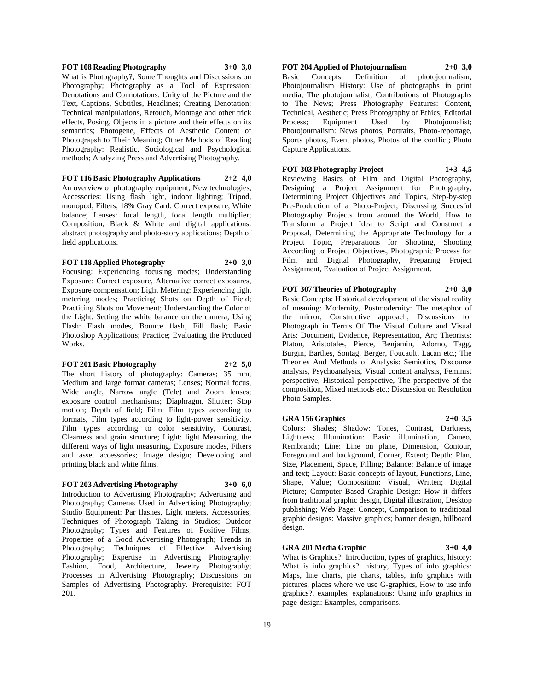#### **FOT 108 Reading Photography 3+0 3,0**

What is Photography?; Some Thoughts and Discussions on Photography; Photography as a Tool of Expression; Denotations and Connotations: Unity of the Picture and the Text, Captions, Subtitles, Headlines; Creating Denotation: Technical manipulations, Retouch, Montage and other trick effects, Posing, Objects in a picture and their effects on its semantics; Photogene, Effects of Aesthetic Content of Photograpsh to Their Meaning; Other Methods of Reading Photography: Realistic, Sociological and Psychological methods; Analyzing Press and Advertising Photography.

**FOT 116 Basic Photography Applications 2+2 4,0** An overview of photography equipment; New technologies, Accessories: Using flash light, indoor lighting; Tripod, monopod; Filters; 18% Gray Card: Correct exposure, White balance; Lenses: focal length, focal length multiplier; Composition; Black & White and digital applications: abstract photography and photo-story applications; Depth of field applications.

#### **FOT 118 Applied Photography 2+0 3,0**

Focusing: Experiencing focusing modes; Understanding Exposure: Correct exposure, Alternative correct exposures, Exposure compensation; Light Metering: Experiencing light metering modes; Practicing Shots on Depth of Field; Practicing Shots on Movement; Understanding the Color of the Light: Setting the white balance on the camera; Using Flash: Flash modes, Bounce flash, Fill flash; Basic Photoshop Applications; Practice; Evaluating the Produced Works.

#### **FOT 201 Basic Photography 2+2 5,0**

The short history of photography: Cameras; 35 mm, Medium and large format cameras; Lenses; Normal focus, Wide angle, Narrow angle (Tele) and Zoom lenses; exposure control mechanisms; Diaphragm, Shutter; Stop motion; Depth of field; Film: Film types according to formats, Film types according to light-power sensitivity, Film types according to color sensitivity, Contrast, Clearness and grain structure; Light: light Measuring, the different ways of light measuring, Exposure modes, Filters and asset accessories; Image design; Developing and printing black and white films.

# **FOT 203 Advertising Photography 3+0 6,0**

Introduction to Advertising Photography; Advertising and Photography; Cameras Used in Advertising Photography; Studio Equipment: Par flashes, Light meters, Accessories; Techniques of Photograph Taking in Studios; Outdoor Photography; Types and Features of Positive Films; Properties of a Good Advertising Photograph; Trends in Photography; Techniques of Effective Advertising Photography; Expertise in Advertising Photography: Fashion, Food, Architecture, Jewelry Photography; Processes in Advertising Photography; Discussions on Samples of Advertising Photography. Prerequisite: FOT 201.

**FOT 204 Applied of Photojournalism 2+0 3,0** Basic Concepts: Definition of photojournalism; Photojournalism History: Use of photographs in print media, The photojournalist; Contributions of Photographs to The News; Press Photography Features: Content, Technical, Aesthetic; Press Photography of Ethics; Editorial Process; Equipment Used by Photojounalist; Photojournalism: News photos, Portraits, Photo-reportage, Sports photos, Event photos, Photos of the conflict; Photo Capture Applications.

**FOT 303 Photography Project 1+3 4,5** Reviewing Basics of Film and Digital Photography, Designing a Project Assignment for Photography, Determining Project Objectives and Topics, Step-by-step Pre-Production of a Photo-Project, Discussing Succesful Photography Projects from around the World, How to Transform a Project Idea to Script and Construct a Proposal, Determining the Appropriate Technology for a Project Topic, Preparations for Shooting, Shooting According to Project Objectives, Photographic Process for Film and Digital Photography, Preparing Project Assignment, Evaluation of Project Assignment.

# **FOT 307 Theories of Photography 2+0 3,0**

Basic Concepts: Historical development of the visual reality of meaning: Modernity, Postmodernity: The metaphor of the mirror, Constructive approach; Discussions for Photograph in Terms Of The Visual Culture and Visual Arts: Document, Evidence, Representation, Art; Theorists: Platon, Aristotales, Pierce, Benjamin, Adorno, Tagg, Burgin, Barthes, Sontag, Berger, Foucault, Lacan etc.; The Theories And Methods of Analysis: Semiotics, Discourse analysis, Psychoanalysis, Visual content analysis, Feminist perspective, Historical perspective, The perspective of the composition, Mixed methods etc.; Discussion on Resolution Photo Samples.

#### **GRA 156 Graphics 2+0 3,5**

Colors: Shades; Shadow: Tones, Contrast, Darkness, Lightness; Illumination: Basic illumination, Cameo, Rembrandt; Line: Line on plane, Dimension, Contour, Foreground and background, Corner, Extent; Depth: Plan, Size, Placement, Space, Filling; Balance: Balance of image and text; Layout: Basic concepts of layout, Functions, Line, Shape, Value; Composition: Visual, Written; Digital Picture; Computer Based Graphic Design: How it differs from traditional graphic design, Digital illustration, Desktop publishing; Web Page: Concept, Comparison to traditional graphic designs: Massive graphics; banner design, billboard design.

#### **GRA 201 Media Graphic 3+0 4,0**

What is Graphics?: Introduction, types of graphics, history: What is info graphics?: history, Types of info graphics: Maps, line charts, pie charts, tables, info graphics with pictures, places where we use G-graphics, How to use info graphics?, examples, explanations: Using info graphics in page-design: Examples, comparisons.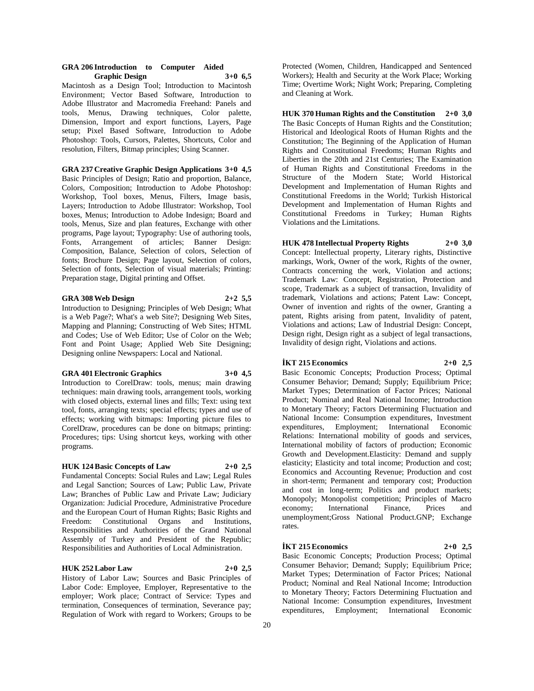#### **GRA 206 Introduction to Computer Aided Graphic Design 3+0 6,5**

Macintosh as a Design Tool; Introduction to Macintosh Environment; Vector Based Software, Introduction to Adobe Illustrator and Macromedia Freehand: Panels and tools, Menus, Drawing techniques, Color palette, Dimension, Import and export functions, Layers, Page setup; Pixel Based Software, Introduction to Adobe Photoshop: Tools, Cursors, Palettes, Shortcuts, Color and resolution, Filters, Bitmap principles; Using Scanner.

# **GRA 237 Creative Graphic Design Applications 3+0 4,5**

Basic Principles of Design; Ratio and proportion, Balance, Colors, Composition; Introduction to Adobe Photoshop: Workshop, Tool boxes, Menus, Filters, Image basis, Layers; Introduction to Adobe Illustrator: Workshop, Tool boxes, Menus; Introduction to Adobe Indesign; Board and tools, Menus, Size and plan features, Exchange with other programs, Page layout; Typography: Use of authoring tools, Fonts, Arrangement of articles; Banner Design: Composition, Balance, Selection of colors, Selection of fonts; Brochure Design; Page layout, Selection of colors, Selection of fonts, Selection of visual materials; Printing: Preparation stage, Digital printing and Offset.

#### **GRA 308 Web Design 2+2 5,5**

Introduction to Designing; Principles of Web Design; What is a Web Page?; What's a web Site?; Designing Web Sites, Mapping and Planning; Constructing of Web Sites; HTML and Codes; Use of Web Editor; Use of Color on the Web; Font and Point Usage; Applied Web Site Designing; Designing online Newspapers: Local and National.

# **GRA 401 Electronic Graphics 3+0 4,5**

Introduction to CorelDraw: tools, menus; main drawing techniques: main drawing tools, arrangement tools, working with closed objects, external lines and fills; Text: using text tool, fonts, arranging texts; special effects; types and use of effects; working with bitmaps: Importing picture files to CorelDraw, procedures can be done on bitmaps; printing: Procedures; tips: Using shortcut keys, working with other programs.

### **HUK 124 Basic Concepts of Law 2+0 2,5**

Fundamental Concepts: Social Rules and Law; Legal Rules and Legal Sanction; Sources of Law; Public Law, Private Law; Branches of Public Law and Private Law; Judiciary Organization: Judicial Procedure, Administrative Procedure and the European Court of Human Rights; Basic Rights and Freedom: Constitutional Organs and Institutions, Responsibilities and Authorities of the Grand National Assembly of Turkey and President of the Republic; Responsibilities and Authorities of Local Administration.

#### **HUK 252 Labor Law 2+0 2,5**

History of Labor Law; Sources and Basic Principles of Labor Code: Employee, Employer, Representative to the employer; Work place; Contract of Service: Types and termination, Consequences of termination, Severance pay; Regulation of Work with regard to Workers; Groups to be

Protected (Women, Children, Handicapped and Sentenced Workers); Health and Security at the Work Place; Working Time; Overtime Work; Night Work; Preparing, Completing and Cleaning at Work.

**HUK 370 Human Rights and the Constitution 2+0 3,0** The Basic Concepts of Human Rights and the Constitution; Historical and Ideological Roots of Human Rights and the Constitution; The Beginning of the Application of Human Rights and Constitutional Freedoms; Human Rights and Liberties in the 20th and 21st Centuries; The Examination of Human Rights and Constitutional Freedoms in the Structure of the Modern State; World Historical Development and Implementation of Human Rights and Constitutional Freedoms in the World; Turkish Historical Development and Implementation of Human Rights and Constitutional Freedoms in Turkey; Human Rights Violations and the Limitations.

# **HUK 478 Intellectual Property Rights 2+0 3,0**

Concept: Intellectual property, Literary rights, Distinctive markings, Work, Owner of the work, Rights of the owner, Contracts concerning the work, Violation and actions; Trademark Law: Concept, Registration, Protection and scope, Trademark as a subject of transaction, Invalidity of trademark, Violations and actions; Patent Law: Concept, Owner of invention and rights of the owner, Granting a patent, Rights arising from patent, Invalidity of patent, Violations and actions; Law of Industrial Design: Concept, Design right, Design right as a subject of legal transactions, Invalidity of design right, Violations and actions.

#### **İKT 215 Economics 2+0 2,5**

Basic Economic Concepts; Production Process; Optimal Consumer Behavior; Demand; Supply; Equilibrium Price; Market Types; Determination of Factor Prices; National Product; Nominal and Real National Income; Introduction to Monetary Theory; Factors Determining Fluctuation and National Income: Consumption expenditures, Investment expenditures, Employment; International Economic Relations: International mobility of goods and services, International mobility of factors of production; Economic Growth and Development.Elasticity: Demand and supply elasticity; Elasticity and total income; Production and cost; Economics and Accounting Revenue; Production and cost in short-term; Permanent and temporary cost; Production and cost in long-term; Politics and product markets; Monopoly; Monopolist competition; Principles of Macro<br>economy; International Finance, Prices and economy; International Finance, Prices and unemployment;Gross National Product.GNP; Exchange rates.

# **İKT 215 Economics 2+0 2,5**

Basic Economic Concepts; Production Process; Optimal Consumer Behavior; Demand; Supply; Equilibrium Price; Market Types; Determination of Factor Prices; National Product; Nominal and Real National Income; Introduction to Monetary Theory; Factors Determining Fluctuation and National Income: Consumption expenditures, Investment expenditures, Employment; International Economic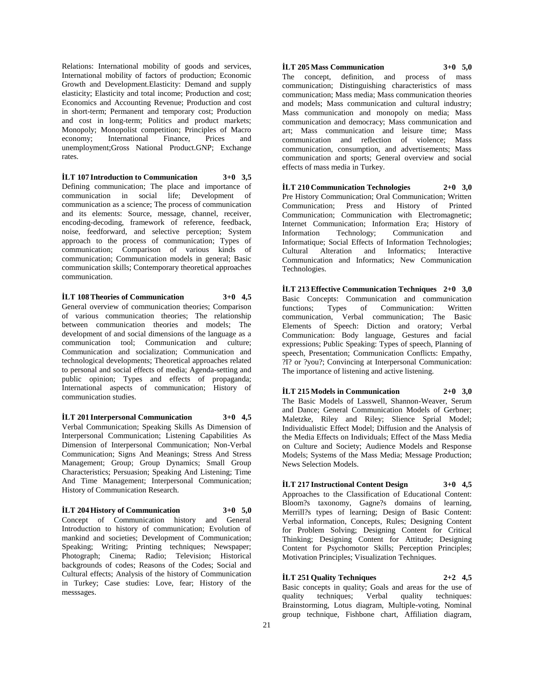Relations: International mobility of goods and services, International mobility of factors of production; Economic Growth and Development.Elasticity: Demand and supply elasticity; Elasticity and total income; Production and cost; Economics and Accounting Revenue; Production and cost in short-term; Permanent and temporary cost; Production and cost in long-term; Politics and product markets; Monopoly; Monopolist competition; Principles of Macro<br>economy; International Finance, Prices and economy; International Finance, Prices and unemployment;Gross National Product.GNP; Exchange rates.

**İLT 107 Introduction to Communication 3+0 3,5** Defining communication; The place and importance of communication in social life; Development of communication as a science; The process of communication and its elements: Source, message, channel, receiver, encoding-decoding, framework of reference, feedback, noise, feedforward, and selective perception; System approach to the process of communication; Types of communication; Comparison of various kinds of communication; Communication models in general; Basic communication skills; Contemporary theoretical approaches communication.

**İLT 108 Theories of Communication 3+0 4,5**

General overview of communication theories; Comparison of various communication theories; The relationship between communication theories and models; The development of and social dimensions of the language as a communication tool; Communication and culture; Communication and socialization; Communication and technological developments; Theoretical approaches related to personal and social effects of media; Agenda-setting and public opinion; Types and effects of propaganda; International aspects of communication; History of communication studies.

**İLT 201 Interpersonal Communication 3+0 4,5** Verbal Communication; Speaking Skills As Dimension of Interpersonal Communication; Listening Capabilities As Dimension of Interpersonal Communication; Non-Verbal Communication; Signs And Meanings; Stress And Stress Management; Group; Group Dynamics; Small Group Characteristics; Persuasion; Speaking And Listening; Time And Time Management; Interpersonal Communication; History of Communication Research.

# **İLT 204 History of Communication 3+0 5,0**

Concept of Communication history and General Introduction to history of communication; Evolution of mankind and societies; Development of Communication; Speaking; Writing; Printing techniques; Newspaper; Photograph; Cinema; Radio; Television; Historical backgrounds of codes; Reasons of the Codes; Social and Cultural effects; Analysis of the history of Communication in Turkey; Case studies: Love, fear; History of the messsages.

# **İLT 205 Mass Communication 3+0 5,0**

The concept, definition, and process of mass communication; Distinguishing characteristics of mass communication; Mass media; Mass communication theories and models; Mass communication and cultural industry; Mass communication and monopoly on media; Mass communication and democracy; Mass communication and art; Mass communication and leisure time; Mass communication and reflection of violence; Mass communication, consumption, and advertisements; Mass communication and sports; General overview and social effects of mass media in Turkey.

**İLT 210 Communication Technologies 2+0 3,0** Pre History Communication; Oral Communication; Written Communication; Press and History of Printed Communication; Communication with Electromagnetic; Internet Communication; Information Era; History of Information Technology; Communication and Information Technology; Communication and Informatique; Social Effects of Information Technologies; Cultural Alteration and Informatics; Interactive Communication and Informatics; New Communication Technologies.

**İLT 213 Effective Communication Techniques 2+0 3,0** Basic Concepts: Communication and communication functions; Types of Communication: Written communication, Verbal communication; The Basic Elements of Speech: Diction and oratory; Verbal Communication: Body language, Gestures and facial expressions; Public Speaking: Types of speech, Planning of speech, Presentation; Communication Conflicts: Empathy, ?I? or ?you?; Convincing at Interpersonal Communication: The importance of listening and active listening.

**İLT 215 Models in Communication 2+0 3,0** The Basic Models of Lasswell, Shannon-Weaver, Serum and Dance; General Communication Models of Gerbner; Maletzke, Riley and Riley; Slience Sprial Model; Individualistic Effect Model; Diffusion and the Analysis of the Media Effects on Individuals; Effect of the Mass Media on Culture and Society; Audience Models and Response Models; Systems of the Mass Media; Message Production; News Selection Models.

**İLT 217 Instructional Content Design 3+0 4,5** Approaches to the Classification of Educational Content: Bloom?s taxonomy, Gagne?s domains of learning, Merrill?s types of learning; Design of Basic Content: Verbal information, Concepts, Rules; Designing Content for Problem Solving; Designing Content for Critical Thinking; Designing Content for Attitude; Designing Content for Psychomotor Skills; Perception Principles; Motivation Principles; Visualization Techniques.

# **İLT 251 Quality Techniques 2+2 4,5**

Basic concepts in quality; Goals and areas for the use of quality techniques; Verbal quality techniques: Brainstorming, Lotus diagram, Multiple-voting, Nominal group technique, Fishbone chart, Affiliation diagram,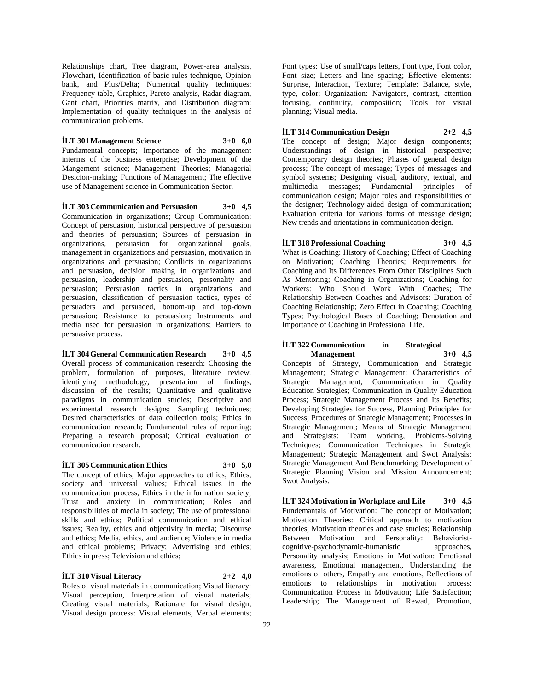Relationships chart, Tree diagram, Power-area analysis, Flowchart, Identification of basic rules technique, Opinion bank, and Plus/Delta; Numerical quality techniques: Frequency table, Graphics, Pareto analysis, Radar diagram, Gant chart, Priorities matrix, and Distribution diagram; Implementation of quality techniques in the analysis of communication problems.

#### **İLT 301 Management Science 3+0 6,0**

Fundamental concepts; Importance of the management interms of the business enterprise; Development of the Mangement science; Management Theories; Managerial Desicion-making; Functions of Management; The effective use of Management science in Communication Sector.

#### **İLT 303 Communication and Persuasion 3+0 4,5**

Communication in organizations; Group Communication; Concept of persuasion, historical perspective of persuasion and theories of persuasion; Sources of persuasion in organizations, persuasion for organizational goals, management in organizations and persuasion, motivation in organizations and persuasion; Conflicts in organizations and persuasion, decision making in organizations and persuasion, leadership and persuasion, personality and persuasion; Persuasion tactics in organizations and persuasion, classification of persuasion tactics, types of persuaders and persuaded, bottom-up and top-down persuasion; Resistance to persuasion; Instruments and media used for persuasion in organizations; Barriers to persuasive process.

# **İLT 304 General Communication Research 3+0 4,5**

Overall process of communication research: Choosing the problem, formulation of purposes, literature review, identifying methodology, presentation of findings, discussion of the results; Quantitative and qualitative paradigms in communication studies; Descriptive and experimental research designs; Sampling techniques; Desired characteristics of data collection tools; Ethics in communication research; Fundamental rules of reporting; Preparing a research proposal; Critical evaluation of communication research.

#### **İLT 305 Communication Ethics 3+0 5,0**

The concept of ethics; Major approaches to ethics; Ethics, society and universal values; Ethical issues in the communication process; Ethics in the information society; Trust and anxiety in communication; Roles and responsibilities of media in society; The use of professional skills and ethics; Political communication and ethical issues; Reality, ethics and objectivity in media; Discourse and ethics; Media, ethics, and audience; Violence in media and ethical problems; Privacy; Advertising and ethics; Ethics in press; Television and ethics;

# **İLT 310 Visual Literacy 2+2 4,0**

Roles of visual materials in communication; Visual literacy: Visual perception, Interpretation of visual materials; Creating visual materials; Rationale for visual design; Visual design process: Visual elements, Verbal elements; Font types: Use of small/caps letters, Font type, Font color, Font size; Letters and line spacing; Effective elements: Surprise, Interaction, Texture; Template: Balance, style, type, color; Organization: Navigators, contrast, attention focusing, continuity, composition; Tools for visual planning; Visual media.

# **İLT 314 Communication Design 2+2 4,5**

The concept of design; Major design components; Understandings of design in historical perspective; Contemporary design theories; Phases of general design process; The concept of message; Types of messages and symbol systems; Designing visual, auditory, textual, and multimedia messages; Fundamental principles of communication design; Major roles and responsibilities of the designer; Technology-aided design of communication; Evaluation criteria for various forms of message design; New trends and orientations in communication design.

**İLT 318 Professional Coaching 3+0 4,5**

What is Coaching: History of Coaching; Effect of Coaching on Motivation; Coaching Theories; Requirements for Coaching and Its Differences From Other Disciplines Such As Mentoring; Coaching in Organizations; Coaching for Workers: Who Should Work With Coaches; The Relationship Between Coaches and Advisors: Duration of Coaching Relationship; Zero Effect in Coaching; Coaching Types; Psychological Bases of Coaching; Denotation and Importance of Coaching in Professional Life.

# **İLT 322 Communication in Strategical Management 3+0 4,5**

Concepts of Strategy, Communication and Strategic Management; Strategic Management; Characteristics of Strategic Management; Communication in Quality Education Strategies; Communication in Quality Education Process; Strategic Management Process and Its Benefits; Developing Strategies for Success, Planning Principles for Success; Procedures of Strategic Management; Processes in Strategic Management; Means of Strategic Management and Strategists: Team working, Problems-Solving Techniques; Communication Techniques in Strategic Management; Strategic Management and Swot Analysis; Strategic Management And Benchmarking; Development of Strategic Planning Vision and Mission Announcement; Swot Analysis.

**İLT 324 Motivation in Workplace and Life 3+0 4,5** Fundemantals of Motivation: The concept of Motivation; Motivation Theories: Critical approach to motivation theories, Motivation theories and case studies; Relationship Between Motivation and Personality: Behavioristcognitive-psychodynamic-humanistic approaches, Personality analysis; Emotions in Motivation: Emotional awareness, Emotional management, Understanding the emotions of others, Empathy and emotions, Reflections of emotions to relationships in motivation process; Communication Process in Motivation; Life Satisfaction; Leadership; The Management of Rewad, Promotion,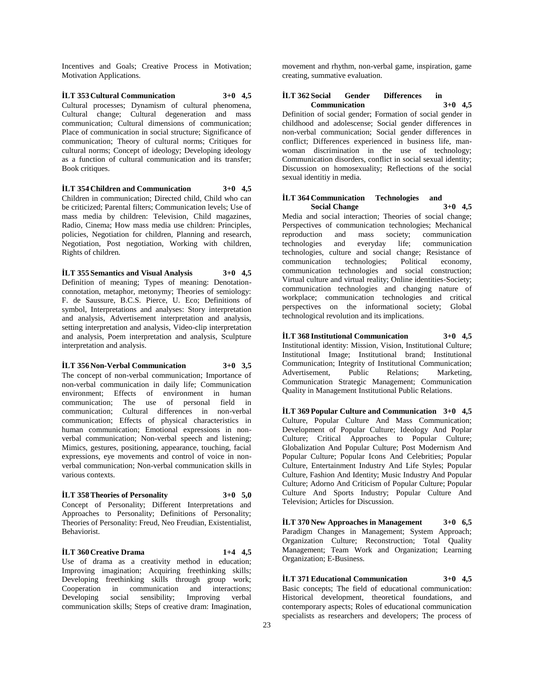Incentives and Goals; Creative Process in Motivation; Motivation Applications.

**İLT 353 Cultural Communication 3+0 4,5** Cultural processes; Dynamism of cultural phenomena, Cultural change; Cultural degeneration and mass communication; Cultural dimensions of communication; Place of communication in social structure; Significance of communication; Theory of cultural norms; Critiques for cultural norms; Concept of ideology; Developing ideology as a function of cultural communication and its transfer; Book critiques.

**İLT 354 Children and Communication 3+0 4,5** Children in communication; Directed child, Child who can be criticized; Parental filters; Communication levels; Use of mass media by children: Television, Child magazines, Radio, Cinema; How mass media use children: Principles, policies, Negotiation for children, Planning and research, Negotiation, Post negotiation, Working with children, Rights of children.

**İLT 355 Semantics and Visual Analysis 3+0 4,5** Definition of meaning; Types of meaning: Denotationconnotation, metaphor, metonymy; Theories of semiology: F. de Saussure, B.C.S. Pierce, U. Eco; Definitions of symbol, Interpretations and analyses: Story interpretation and analysis, Advertisement interpretation and analysis, setting interpretation and analysis, Video-clip interpretation and analysis, Poem interpretation and analysis, Sculpture interpretation and analysis.

**İLT 356 Non-Verbal Communication 3+0 3,5** The concept of non-verbal communication; Importance of non-verbal communication in daily life; Communication environment; Effects of environment in human communication; The use of personal field in communication; Cultural differences in non-verbal communication; Effects of physical characteristics in human communication; Emotional expressions in nonverbal communication; Non-verbal speech and listening; Mimics, gestures, positioning, appearance, touching, facial expressions, eye movements and control of voice in nonverbal communication; Non-verbal communication skills in various contexts.

#### **İLT 358 Theories of Personality 3+0 5,0** Concept of Personality; Different Interpretations and Approaches to Personality; Definitions of Personality; Theories of Personality: Freud, Neo Freudian, Existentialist, Behaviorist.

**İLT 360 Creative Drama 1+4 4,5** Use of drama as a creativity method in education; Improving imagination; Acquiring freethinking skills; Developing freethinking skills through group work; Cooperation in communication and interactions; Developing social sensibility; Improving verbal communication skills; Steps of creative dram: Imagination,

movement and rhythm, non-verbal game, inspiration, game creating, summative evaluation.

# **İLT 362 Social Gender Differences in Communication 3+0 4,5**

Definition of social gender; Formation of social gender in childhood and adolescense; Social gender differences in non-verbal communication; Social gender differences in conflict; Differences experienced in business life, manwoman discrimination in the use of technology; Communication disorders, conflict in social sexual identity; Discussion on homosexuality; Reflections of the social sexual identitiy in media.

#### **İLT 364 Communication Technologies and Social Change 3+0 4,5**

Media and social interaction; Theories of social change; Perspectives of communication technologies; Mechanical reproduction and mass society; communication technologies and everyday life; communication technologies, culture and social change; Resistance of communication technologies; Political economy, communication technologies and social construction; Virtual culture and virtual reality; Online identities-Society; communication technologies and changing nature of workplace; communication technologies and critical perspectives on the informational society; Global technological revolution and its implications.

**İLT 368 Institutional Communication 3+0 4,5** Institutional identity: Mission, Vision, Institutional Culture; Institutional Image; Institutional brand; Institutional Communication; Integrity of Institutional Communication; Advertisement, Public Relations; Marketing, Communication Strategic Management; Communication Quality in Management Institutional Public Relations.

**İLT 369 Popular Culture and Communication 3+0 4,5** Culture, Popular Culture And Mass Communication; Development of Popular Culture; Ideology And Poplar Culture; Critical Approaches to Popular Culture; Globalization And Popular Culture; Post Modernism And Popular Culture; Popular Icons And Celebrities; Popular Culture, Entertainment Industry And Life Styles; Popular Culture, Fashion And Identity; Music Industry And Popular Culture; Adorno And Criticism of Popular Culture; Popular Culture And Sports Industry; Popular Culture And Television; Articles for Discussion.

**İLT 370 New Approaches in Management 3+0 6,5** Paradigm Changes in Management; System Approach; Organization Culture; Reconstruction; Total Quality Management; Team Work and Organization; Learning Organization; E-Business.

**İLT 371 Educational Communication 3+0 4,5** Basic concepts; The field of educational communication: Historical development, theoretical foundations, and contemporary aspects; Roles of educational communication specialists as researchers and developers; The process of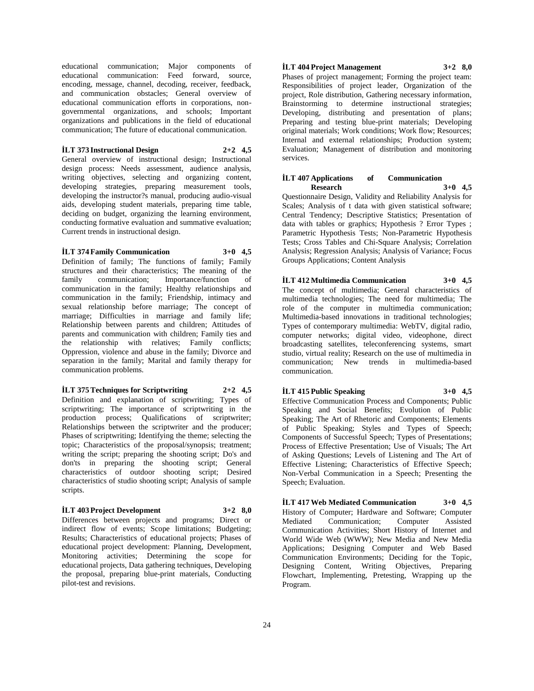educational communication; Major components of educational communication: Feed forward, source, encoding, message, channel, decoding, receiver, feedback, and communication obstacles; General overview of educational communication efforts in corporations, nongovernmental organizations, and schools; Important organizations and publications in the field of educational communication; The future of educational communication.

#### **İLT 373 Instructional Design 2+2 4,5**

General overview of instructional design; Instructional design process: Needs assessment, audience analysis, writing objectives, selecting and organizing content, developing strategies, preparing measurement tools, developing the instructor?s manual, producing audio-visual aids, developing student materials, preparing time table, deciding on budget, organizing the learning environment, conducting formative evaluation and summative evaluation; Current trends in instructional design.

# **İLT 374 Family Communication 3+0 4,5**

Definition of family; The functions of family; Family structures and their characteristics; The meaning of the family communication; Importance/function of communication in the family; Healthy relationships and communication in the family; Friendship, intimacy and sexual relationship before marriage; The concept of marriage; Difficulties in marriage and family life; Relationship between parents and children; Attitudes of parents and communication with children; Family ties and the relationship with relatives; Family conflicts; Oppression, violence and abuse in the family; Divorce and separation in the family; Marital and family therapy for communication problems.

# **İLT 375 Techniques for Scriptwriting 2+2 4,5**

Definition and explanation of scriptwriting; Types of scriptwriting; The importance of scriptwriting in the production process; Qualifications of scriptwriter; Relationships between the scriptwriter and the producer; Phases of scriptwriting; Identifying the theme; selecting the topic; Characteristics of the proposal/synopsis; treatment; writing the script; preparing the shooting script; Do's and don'ts in preparing the shooting script; General characteristics of outdoor shooting script; Desired characteristics of studio shooting script; Analysis of sample scripts.

# **İLT 403 Project Development 3+2 8,0**

Differences between projects and programs; Direct or indirect flow of events; Scope limitations; Budgeting; Results; Characteristics of educational projects; Phases of educational project development: Planning, Development, Monitoring activities; Determining the scope for educational projects, Data gathering techniques, Developing the proposal, preparing blue-print materials, Conducting pilot-test and revisions.

#### **İLT 404 Project Management 3+2 8,0**

Phases of project management; Forming the project team: Responsibilities of project leader, Organization of the project, Role distribution, Gathering necessary information, Brainstorming to determine instructional strategies; Developing, distributing and presentation of plans; Preparing and testing blue-print materials; Developing original materials; Work conditions; Work flow; Resources; Internal and external relationships; Production system; Evaluation; Management of distribution and monitoring services.

#### **İLT 407 Applications of Communication Research 3+0 4,5**

Questionnaire Design, Validity and Reliability Analysis for Scales; Analysis of t data with given statistical software; Central Tendency; Descriptive Statistics; Presentation of data with tables or graphics; Hypothesis ? Error Types ; Parametric Hypothesis Tests; Non-Parametric Hypothesis Tests; Cross Tables and Chi-Square Analysis; Correlation Analysis; Regression Analysis; Analysis of Variance; Focus Groups Applications; Content Analysis

**İLT 412 Multimedia Communication 3+0 4,5** The concept of multimedia; General characteristics of multimedia technologies; The need for multimedia; The role of the computer in multimedia communication; Multimedia-based innovations in traditional technologies; Types of contemporary multimedia: WebTV, digital radio, computer networks; digital video, videophone, direct broadcasting satellites, teleconferencing systems, smart studio, virtual reality; Research on the use of multimedia in communication; New trends in multimedia-based communication.

# **İLT 415 Public Speaking 3+0 4,5**

Effective Communication Process and Components; Public Speaking and Social Benefits; Evolution of Public Speaking; The Art of Rhetoric and Components; Elements of Public Speaking; Styles and Types of Speech; Components of Successful Speech; Types of Presentations; Process of Effective Presentation; Use of Visuals; The Art of Asking Questions; Levels of Listening and The Art of Effective Listening; Characteristics of Effective Speech; Non-Verbal Communication in a Speech; Presenting the Speech; Evaluation.

**İLT 417 Web Mediated Communication 3+0 4,5** History of Computer; Hardware and Software; Computer Mediated Communication; Computer Assisted Communication Activities; Short History of Internet and World Wide Web (WWW); New Media and New Media Applications; Designing Computer and Web Based Communication Environments; Deciding for the Topic, Designing Content, Writing Objectives, Preparing Flowchart, Implementing, Pretesting, Wrapping up the Program.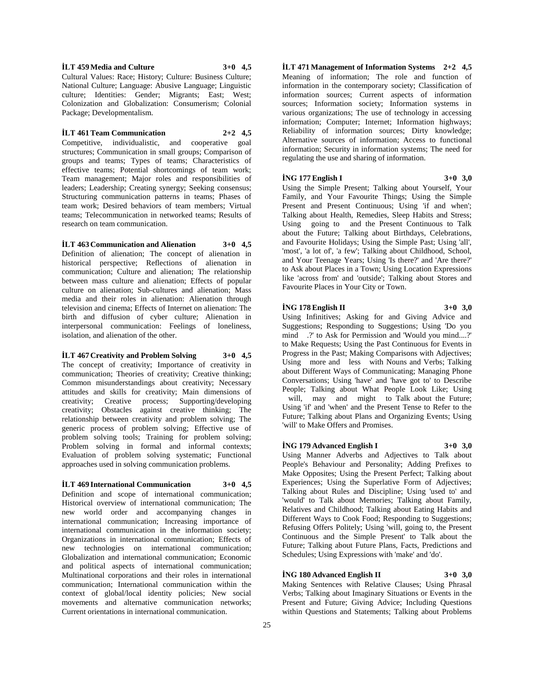**İLT 459 Media and Culture 3+0 4,5**

Cultural Values: Race; History; Culture: Business Culture; National Culture; Language: Abusive Language; Linguistic culture; Identities: Gender; Migrants; East; West; Colonization and Globalization: Consumerism; Colonial Package; Developmentalism.

# **İLT 461 Team Communication 2+2 4,5**

Competitive, individualistic, and cooperative goal structures; Communication in small groups; Comparison of groups and teams; Types of teams; Characteristics of effective teams; Potential shortcomings of team work; Team management; Major roles and responsibilities of leaders; Leadership; Creating synergy; Seeking consensus; Structuring communication patterns in teams; Phases of team work; Desired behaviors of team members; Virtual teams; Telecommunication in networked teams; Results of research on team communication.

**İLT 463 Communication and Alienation 3+0 4,5** Definition of alienation; The concept of alienation in historical perspective; Reflections of alienation in communication; Culture and alienation; The relationship between mass culture and alienation; Effects of popular culture on alienation; Sub-cultures and alienation; Mass media and their roles in alienation: Alienation through television and cinema; Effects of Internet on alienation: The birth and diffusion of cyber culture; Alienation in interpersonal communication: Feelings of loneliness, isolation, and alienation of the other.

# **İLT 467 Creativity and Problem Solving 3+0 4,5**

The concept of creativity; Importance of creativity in communication; Theories of creativity; Creative thinking; Common misunderstandings about creativity; Necessary attitudes and skills for creativity; Main dimensions of creativity; Creative process; Supporting/developing creativity; Obstacles against creative thinking; The relationship between creativity and problem solving; The generic process of problem solving; Effective use of problem solving tools; Training for problem solving; Problem solving in formal and informal contexts; Evaluation of problem solving systematic; Functional approaches used in solving communication problems.

**İLT 469 International Communication 3+0 4,5** Definition and scope of international communication; Historical overview of international communication; The new world order and accompanying changes in international communication; Increasing importance of international communication in the information society; Organizations in international communication; Effects of new technologies on international communication; Globalization and international communication; Economic and political aspects of international communication; Multinational corporations and their roles in international communication; International communication within the context of global/local identity policies; New social movements and alternative communication networks; Current orientations in international communication.

**İLT 471 Management of Information Systems 2+2 4,5** Meaning of information; The role and function of information in the contemporary society; Classification of information sources; Current aspects of information sources; Information society; Information systems in various organizations; The use of technology in accessing information; Computer; Internet; Information highways; Reliability of information sources; Dirty knowledge; Alternative sources of information; Access to functional information; Security in information systems; The need for regulating the use and sharing of information.

# **İNG 177 English I 3+0 3,0**

Using the Simple Present; Talking about Yourself, Your Family, and Your Favourite Things; Using the Simple Present and Present Continuous; Using 'if and when'; Talking about Health, Remedies, Sleep Habits and Stress; Using going to and the Present Continuous to Talk about the Future; Talking about Birthdays, Celebrations, and Favourite Holidays; Using the Simple Past; Using 'all', 'most', 'a lot of', 'a few'; Talking about Childhood, School, and Your Teenage Years; Using 'Is there?' and 'Are there?' to Ask about Places in a Town; Using Location Expressions like 'across from' and 'outside'; Talking about Stores and Favourite Places in Your City or Town.

# **İNG 178 English II 3+0 3,0**

Using Infinitives; Asking for and Giving Advice and Suggestions; Responding to Suggestions; Using 'Do you mind .?' to Ask for Permission and 'Would you mind....?' to Make Requests; Using the Past Continuous for Events in Progress in the Past; Making Comparisons with Adjectives; Using more and less with Nouns and Verbs; Talking about Different Ways of Communicating; Managing Phone Conversations; Using 'have' and 'have got to' to Describe People; Talking about What People Look Like; Using will, may and might to Talk about the Future; Using 'if' and 'when' and the Present Tense to Refer to the Future; Talking about Plans and Organizing Events; Using 'will' to Make Offers and Promises.

# **İNG 179 Advanced English I 3+0 3,0**

Using Manner Adverbs and Adjectives to Talk about People's Behaviour and Personality; Adding Prefixes to Make Opposites; Using the Present Perfect; Talking about Experiences; Using the Superlative Form of Adjectives; Talking about Rules and Discipline; Using 'used to' and 'would' to Talk about Memories; Talking about Family, Relatives and Childhood; Talking about Eating Habits and Different Ways to Cook Food; Responding to Suggestions; Refusing Offers Politely; Using 'will, going to, the Present Continuous and the Simple Present' to Talk about the Future; Talking about Future Plans, Facts, Predictions and Schedules; Using Expressions with 'make' and 'do'.

# **İNG 180 Advanced English II 3+0 3,0**

Making Sentences with Relative Clauses; Using Phrasal Verbs; Talking about Imaginary Situations or Events in the Present and Future; Giving Advice; Including Questions within Questions and Statements; Talking about Problems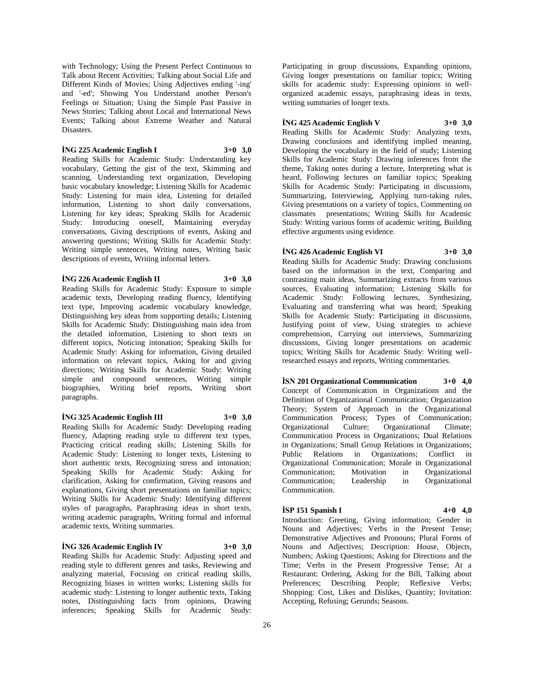with Technology; Using the Present Perfect Continuous to Talk about Recent Activities; Talking about Social Life and Different Kinds of Movies; Using Adjectives ending '-ing' and '-ed'; Showing You Understand another Person's Feelings or Situation; Using the Simple Past Passive in News Stories; Talking about Local and International News Events; Talking about Extreme Weather and Natural Disasters.

# **İNG 225 Academic English I 3+0 3,0**

Reading Skills for Academic Study: Understanding key vocabulary, Getting the gist of the text, Skimming and scanning, Understanding text organization, Developing basic vocabulary knowledge; Listening Skills for Academic Study: Listening for main idea, Listening for detailed information, Listening to short daily conversations, Listening for key ideas; Speaking Skills for Academic Study: Introducing oneself, Maintaining everyday conversations, Giving descriptions of events, Asking and answering questions; Writing Skills for Academic Study: Writing simple sentences, Writing notes, Writing basic descriptions of events, Writing informal letters.

# **İNG 226 Academic English II 3+0 3,0**

Reading Skills for Academic Study: Exposure to simple academic texts, Developing reading fluency, Identifying text type, Improving academic vocabulary knowledge, Distinguishing key ideas from supporting details; Listening Skills for Academic Study: Distinguishing main idea from the detailed information, Listening to short texts on different topics, Noticing intonation; Speaking Skills for Academic Study: Asking for information, Giving detailed information on relevant topics, Asking for and giving directions; Writing Skills for Academic Study: Writing simple and compound sentences, Writing simple biographies, Writing brief reports, Writing short paragraphs.

# **İNG 325 Academic English III 3+0 3,0**

Reading Skills for Academic Study: Developing reading fluency, Adapting reading style to different text types, Practicing critical reading skills; Listening Skills for Academic Study: Listening to longer texts, Listening to short authentic texts, Recognizing stress and intonation; Speaking Skills for Academic Study: Asking for clarification, Asking for confirmation, Giving reasons and explanations, Giving short presentations on familiar topics; Writing Skills for Academic Study: Identifying different styles of paragraphs, Paraphrasing ideas in short texts, writing academic paragraphs, Writing formal and informal academic texts, Writing summaries.

# **İNG 326 Academic English IV 3+0 3,0**

Reading Skills for Academic Study: Adjusting speed and reading style to different genres and tasks, Reviewing and analyzing material, Focusing on critical reading skills, Recognizing biases in written works; Listening skills for academic study: Listening to longer authentic texts, Taking notes, Distinguishing facts from opinions, Drawing inferences; Speaking Skills for Academic Study:

Participating in group discussions, Expanding opinions, Giving longer presentations on familiar topics; Writing skills for academic study: Expressing opinions in wellorganized academic essays, paraphrasing ideas in texts, writing summaries of longer texts.

# **İNG 425 Academic English V 3+0 3,0**

Reading Skills for Academic Study: Analyzing texts, Drawing conclusions and identifying implied meaning, Developing the vocabulary in the field of study; Listening Skills for Academic Study: Drawing inferences from the theme, Taking notes during a lecture, Interpreting what is heard, Following lectures on familiar topics; Speaking Skills for Academic Study: Participating in discussions, Summarizing, Interviewing, Applying turn-taking rules, Giving presentations on a variety of topics, Commenting on classmates presentations; Writing Skills for Academic Study: Writing various forms of academic writing, Building effective arguments using evidence.

# **İNG 426 Academic English VI 3+0 3,0**

Reading Skills for Academic Study: Drawing conclusions based on the information in the text, Comparing and contrasting main ideas, Summarizing extracts from various sources, Evaluating information; Listening Skills for Academic Study: Following lectures, Synthesizing, Evaluating and transferring what was heard; Speaking Skills for Academic Study: Participating in discussions, Justifying point of view, Using strategies to achieve comprehension, Carrying out interviews, Summarizing discussions, Giving longer presentations on academic topics; Writing Skills for Academic Study: Writing wellresearched essays and reports, Writing commentaries.

**İSN 201 Organizational Communication 3+0 4,0** Concept of Communication in Organizations and the Definition of Organizational Communication; Organization Theory; System of Approach in the Organizational Communication Process; Types of Communication; Organizational Culture; Organizational Climate; Communication Process in Organizations; Dual Relations in Organizations; Small Group Relations in Organizations; Public Relations in Organizations; Conflict in Organizational Communication; Morale in Organizational Communication; Motivation in Organizational<br>Communication; Leadership in Organizational Communication; Leadership in Communication.

# **İSP 151 Spanish I 4+0 4,0**

Introduction: Greeting, Giving information; Gender in Nouns and Adjectives; Verbs in the Present Tense; Demonstrative Adjectives and Pronouns; Plural Forms of Nouns and Adjectives; Description: House, Objects, Numbers; Asking Questions; Asking for Directions and the Time; Verbs in the Present Progressive Tense; At a Restaurant: Ordering, Asking for the Bill, Talking about Preferences; Describing People; Reflexive Verbs; Shopping: Cost, Likes and Dislikes, Quantity; Invitation: Accepting, Refusing; Gerunds; Seasons.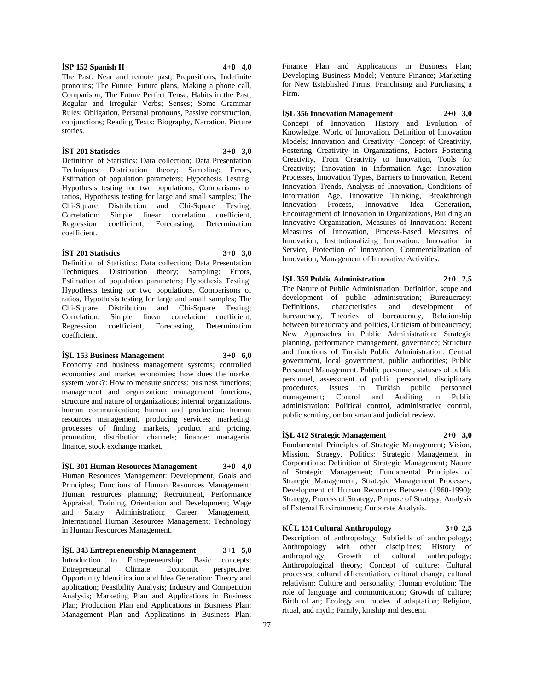The Past: Near and remote past, Prepositions, Indefinite pronouns; The Future: Future plans, Making a phone call,

Comparison; The Future Perfect Tense; Habits in the Past; Regular and Irregular Verbs; Senses; Some Grammar Rules: Obligation, Personal pronouns, Passive construction, conjunctions; Reading Texts: Biography, Narration, Picture stories.

# **İST 201 Statistics 3+0 3,0**

Definition of Statistics: Data collection; Data Presentation Techniques, Distribution theory; Sampling: Errors, Estimation of population parameters; Hypothesis Testing: Hypothesis testing for two populations, Comparisons of ratios, Hypothesis testing for large and small samples; The Chi-Square Distribution and Chi-Square Testing; Distribution and Chi-Square Testing; Correlation: Simple linear correlation coefficient, Regression coefficient, Forecasting, Determination coefficient.

# **İST 201 Statistics 3+0 3,0**

Definition of Statistics: Data collection; Data Presentation Techniques, Distribution theory; Sampling: Errors, Estimation of population parameters; Hypothesis Testing: Hypothesis testing for two populations, Comparisons of ratios, Hypothesis testing for large and small samples; The Chi-Square Distribution and Chi-Square Testing; Correlation: Simple linear correlation coefficient, Regression coefficient, Forecasting, Determination coefficient.

# **İŞL 153 Business Management 3+0 6,0**

Economy and business management systems; controlled economies and market economies; how does the market system work?: How to measure success; business functions; management and organization: management functions, structure and nature of organizations; internal organizations, human communication; human and production: human resources management, producing services; marketing: processes of finding markets, product and pricing, promotion, distribution channels; finance: managerial finance, stock exchange market.

**İŞL 301 Human Resources Management 3+0 4,0** Human Resources Management: Development, Goals and Principles; Functions of Human Resources Management: Human resources planning; Recruitment, Performance Appraisal, Training, Orientation and Development; Wage and Salary Administration; Career Management; International Human Resources Management; Technology in Human Resources Management.

**İŞL 343 Entrepreneurship Management 3+1 5,0** Introduction to Entrepreneurship: Basic concepts; Entrepreneurial Climate: Economic perspective; Opportunity Identification and Idea Generation: Theory and application; Feasibility Analysis; Industry and Competition Analysis; Marketing Plan and Applications in Business Plan; Production Plan and Applications in Business Plan; Management Plan and Applications in Business Plan;

Finance Plan and Applications in Business Plan; Developing Business Model; Venture Finance; Marketing for New Established Firms; Franchising and Purchasing a Firm.

**İŞL 356 Innovation Management 2+0 3,0**

Concept of Innovation: History and Evolution of Knowledge, World of Innovation, Definition of Innovation Models; Innovation and Creativity: Concept of Creativity, Fostering Creativity in Organizations, Factors Fostering Creativity, From Creativity to Innovation, Tools for Creativity; Innovation in Information Age: Innovation Processes, Innovation Types, Barriers to Innovation, Recent Innovation Trends, Analysis of Innovation, Conditions of Information Age, Innovative Thinking, Breakthrough Innovation Process, Innovative Idea Generation, Encouragement of Innovation in Organizations, Building an Innovative Organization, Measures of Innovation: Recent Measures of Innovation, Process-Based Measures of Innovation; Institutionalizing Innovation: Innovation in Service, Protection of Innovation, Commercialization of Innovation, Management of Innovative Activities.

# **İŞL 359 Public Administration 2+0 2,5** The Nature of Public Administration: Definition, scope and development of public administration; Bureaucracy:<br>Definitions, characteristics and development of Definitions, characteristics and development of bureaucracy, Theories of bureaucracy, Relationship between bureaucracy and politics, Criticism of bureaucracy; New Approaches in Public Administration: Strategic planning, performance management, governance; Structure and functions of Turkish Public Administration: Central government, local government, public authorities; Public Personnel Management: Public personnel, statuses of public personnel, assessment of public personnel, disciplinary procedures, issues in Turkish public personnel management; Control and Auditing in Public administration: Political control, administrative control, public scrutiny, ombudsman and judicial review.

**İŞL 412 Strategic Management 2+0 3,0** Fundamental Principles of Strategic Management; Vision, Mission, Straegy, Politics: Strategic Management in Corporations: Definition of Strategic Management; Nature of Strategic Management; Fundamental Principles of Strategic Management; Strategic Management Processes; Development of Human Recources Between (1960-1990); Strategy; Process of Strategy, Purpose of Strategy; Analysis of External Environment; Corporate Analysis.

**KÜL 151 Cultural Anthropology 3+0 2,5** Description of anthropology; Subfields of anthropology; Anthropology with other disciplines; History of anthropology; Growth of cultural anthropology; Growth of cultural anthropology; Anthropological theory; Concept of culture: Cultural processes, cultural differentiation, cultural change, cultural relativism; Culture and personality; Human evolution: The role of language and communication; Growth of culture; Birth of art; Ecology and modes of adaptation; Religion,

ritual, and myth; Family, kinship and descent.

# **İSP 152 Spanish II 4+0 4,0**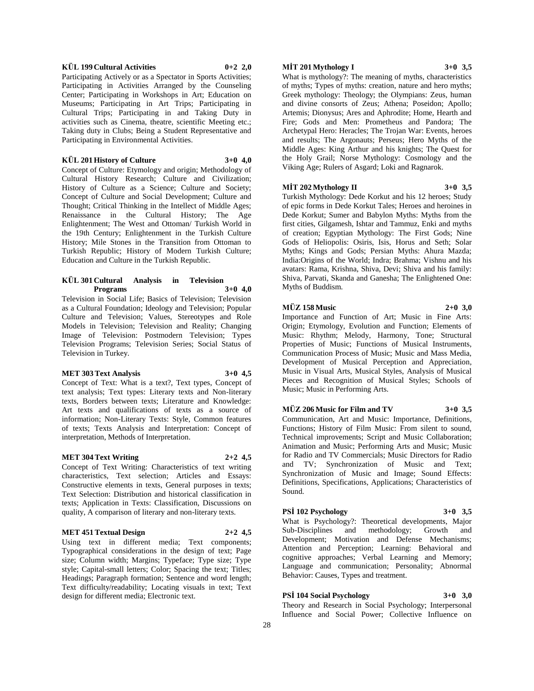#### **KÜL 199 Cultural Activities 0+2 2,0**

Participating Actively or as a Spectator in Sports Activities; Participating in Activities Arranged by the Counseling Center; Participating in Workshops in Art; Education on Museums; Participating in Art Trips; Participating in Cultural Trips; Participating in and Taking Duty in activities such as Cinema, theatre, scientific Meeting etc.; Taking duty in Clubs; Being a Student Representative and Participating in Environmental Activities.

# **KÜL 201 History of Culture 3+0 4,0**

Concept of Culture: Etymology and origin; Methodology of Cultural History Research; Culture and Civilization; History of Culture as a Science; Culture and Society; Concept of Culture and Social Development; Culture and Thought; Critical Thinking in the Intellect of Middle Ages; Renaissance in the Cultural History; The Age Enlightenment; The West and Ottoman/ Turkish World in the 19th Century; Enlightenment in the Turkish Culture History; Mile Stones in the Transition from Ottoman to Turkish Republic; History of Modern Turkish Culture; Education and Culture in the Turkish Republic.

#### **KÜL 301 Cultural Analysis in Television Programs 3+0 4,0**

Television in Social Life; Basics of Television; Television as a Cultural Foundation; Ideology and Television; Popular Culture and Television; Values, Stereotypes and Role Models in Television; Television and Reality; Changing Image of Television: Postmodern Television; Types Television Programs; Television Series; Social Status of Television in Turkey.

#### **MET 303 Text Analysis 3+0 4,5**

Concept of Text: What is a text?, Text types, Concept of text analysis; Text types: Literary texts and Non-literary texts, Borders between texts; Literature and Knowledge: Art texts and qualifications of texts as a source of information; Non-Literary Texts: Style, Common features of texts; Texts Analysis and Interpretation: Concept of interpretation, Methods of Interpretation.

#### **MET 304 Text Writing 2+2 4,5**

Concept of Text Writing: Characteristics of text writing characteristics, Text selection; Articles and Essays: Constructive elements in texts, General purposes in texts; Text Selection: Distribution and historical classification in texts; Application in Texts: Classification, Discussions on quality, A comparison of literary and non-literary texts.

# **MET 451 Textual Design 2+2 4,5**

Using text in different media; Text components; Typographical considerations in the design of text; Page size; Column width; Margins; Typeface; Type size; Type style; Capital-small letters; Color; Spacing the text; Titles; Headings; Paragraph formation; Sentence and word length; Text difficulty/readability; Locating visuals in text; Text design for different media; Electronic text.

# **MİT 201 Mythology I 3+0 3,5**

What is mythology?: The meaning of myths, characteristics of myths; Types of myths: creation, nature and hero myths; Greek mythology: Theology; the Olympians: Zeus, human and divine consorts of Zeus; Athena; Poseidon; Apollo; Artemis; Dionysus; Ares and Aphrodite; Home, Hearth and Fire; Gods and Men: Prometheus and Pandora; The Archetypal Hero: Heracles; The Trojan War: Events, heroes and results; The Argonauts; Perseus; Hero Myths of the Middle Ages: King Arthur and his knights; The Quest for the Holy Grail; Norse Mythology: Cosmology and the Viking Age; Rulers of Asgard; Loki and Ragnarok.

# **MİT 202 Mythology II 3+0 3,5**

Turkish Mythology: Dede Korkut and his 12 heroes; Study of epic forms in Dede Korkut Tales; Heroes and heroines in Dede Korkut; Sumer and Babylon Myths: Myths from the first cities, Gilgamesh, Ishtar and Tammuz, Enki and myths of creation; Egyptian Mythology: The First Gods; Nine Gods of Heliopolis: Osiris, Isis, Horus and Seth; Solar Myths; Kings and Gods; Persian Myths: Ahura Mazda; India:Origins of the World; Indra; Brahma; Vishnu and his avatars: Rama, Krishna, Shiva, Devi; Shiva and his family: Shiva, Parvati, Skanda and Ganesha; The Enlightened One: Myths of Buddism.

# **MÜZ 158 Music 2+0 3,0**

Importance and Function of Art; Music in Fine Arts: Origin; Etymology, Evolution and Function; Elements of Music: Rhythm; Melody, Harmony, Tone; Structural Properties of Music; Functions of Musical Instruments, Communication Process of Music; Music and Mass Media, Development of Musical Perception and Appreciation, Music in Visual Arts, Musical Styles, Analysis of Musical Pieces and Recognition of Musical Styles; Schools of Music; Music in Performing Arts.

#### **MÜZ 206 Music for Film and TV 3+0 3,5**

Communication, Art and Music: Importance, Definitions, Functions; History of Film Music: From silent to sound, Technical improvements; Script and Music Collaboration; Animation and Music; Performing Arts and Music; Music for Radio and TV Commercials; Music Directors for Radio and TV; Synchronization of Music and Text; Synchronization of Music and Image; Sound Effects: Definitions, Specifications, Applications; Characteristics of Sound.

# **PSİ 102 Psychology 3+0 3,5**

What is Psychology?: Theoretical developments, Major Sub-Disciplines and methodology; Growth and Development; Motivation and Defense Mechanisms; Attention and Perception; Learning: Behavioral and cognitive approaches; Verbal Learning and Memory; Language and communication; Personality; Abnormal Behavior: Causes, Types and treatment.

# **PSİ 104 Social Psychology 3+0 3,0**

Theory and Research in Social Psychology; Interpersonal Influence and Social Power; Collective Influence on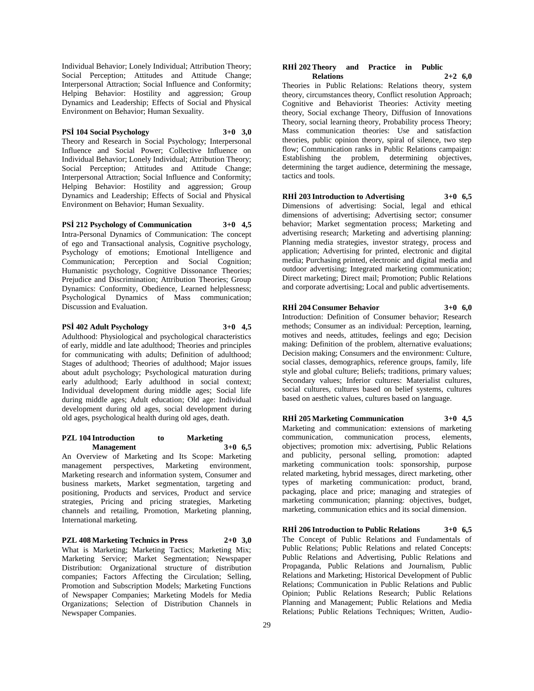Individual Behavior; Lonely Individual; Attribution Theory; Social Perception; Attitudes and Attitude Change; Interpersonal Attraction; Social Influence and Conformity; Helping Behavior: Hostility and aggression; Group Dynamics and Leadership; Effects of Social and Physical Environment on Behavior; Human Sexuality.

# **PSİ 104 Social Psychology 3+0 3,0**

Theory and Research in Social Psychology; Interpersonal Influence and Social Power; Collective Influence on Individual Behavior; Lonely Individual; Attribution Theory; Social Perception; Attitudes and Attitude Change; Interpersonal Attraction; Social Influence and Conformity; Helping Behavior: Hostility and aggression; Group Dynamics and Leadership; Effects of Social and Physical Environment on Behavior; Human Sexuality.

**PSİ 212 Psychology of Communication 3+0 4,5**

Intra-Personal Dynamics of Communication: The concept of ego and Transactional analysis, Cognitive psychology, Psychology of emotions; Emotional Intelligence and Communication; Perception and Social Cognition; Humanistic psychology, Cognitive Dissonance Theories; Prejudice and Discrimination; Attribution Theories; Group Dynamics: Conformity, Obedience, Learned helplessness; Psychological Dynamics of Mass communication; Discussion and Evaluation.

#### **PSİ 402 Adult Psychology 3+0 4,5**

Adulthood: Physiological and psychological characteristics of early, middle and late adulthood; Theories and principles for communicating with adults; Definition of adulthood; Stages of adulthood; Theories of adulthood; Major issues about adult psychology; Psychological maturation during early adulthood; Early adulthood in social context; Individual development during middle ages; Social life during middle ages; Adult education; Old age: Individual development during old ages, social development during old ages, psychological health during old ages, death.

#### **PZL 104 Introduction to Marketing Management 3+0 6,5**

An Overview of Marketing and Its Scope: Marketing management perspectives, Marketing environment, Marketing research and information system, Consumer and business markets, Market segmentation, targeting and positioning, Products and services, Product and service strategies, Pricing and pricing strategies, Marketing channels and retailing, Promotion, Marketing planning, International marketing.

**PZL 408 Marketing Technics in Press 2+0 3,0** What is Marketing; Marketing Tactics; Marketing Mix;

Marketing Service; Market Segmentation; Newspaper Distribution: Organizational structure of distribution companies; Factors Affecting the Circulation; Selling, Promotion and Subscription Models; Marketing Functions of Newspaper Companies; Marketing Models for Media Organizations; Selection of Distribution Channels in Newspaper Companies.

#### **RHİ 202 Theory and Practice in Public Relations 2+2 6,0**

Theories in Public Relations: Relations theory, system theory, circumstances theory, Conflict resolution Approach; Cognitive and Behaviorist Theories: Activity meeting theory, Social exchange Theory, Diffusion of Innovations Theory, social learning theory, Probability process Theory; Mass communication theories: Use and satisfaction theories, public opinion theory, spiral of silence, two step flow; Communication ranks in Public Relations campaign: Establishing the problem, determining objectives, determining the target audience, determining the message, tactics and tools.

# **RHİ 203 Introduction to Advertising 3+0 6,5**

Dimensions of advertising: Social, legal and ethical dimensions of advertising; Advertising sector; consumer behavior; Market segmentation process; Marketing and advertising research; Marketing and advertising planning: Planning media strategies, investor strategy, process and application; Advertising for printed, electronic and digital media; Purchasing printed, electronic and digital media and outdoor advertising; Integrated marketing communication; Direct marketing; Direct mail; Promotion; Public Relations and corporate advertising; Local and public advertisements.

# **RHİ 204 Consumer Behavior 3+0 6,0**

Introduction: Definition of Consumer behavior; Research methods; Consumer as an individual: Perception, learning, motives and needs, attitudes, feelings and ego; Decision making: Definition of the problem, alternative evaluations; Decision making; Consumers and the environment: Culture, social classes, demographics, reference groups, family, life style and global culture; Beliefs; traditions, primary values; Secondary values; Inferior cultures: Materialist cultures, social cultures, cultures based on belief systems, cultures based on aesthetic values, cultures based on language.

**RHİ 205 Marketing Communication 3+0 4,5** Marketing and communication: extensions of marketing communication, communication process, elements, objectives; promotion mix: advertising, Public Relations and publicity, personal selling, promotion: adapted marketing communication tools: sponsorship, purpose related marketing, hybrid messages, direct marketing, other types of marketing communication: product, brand, packaging, place and price; managing and strategies of marketing communication; planning: objectives, budget, marketing, communication ethics and its social dimension.

**RHİ 206 Introduction to Public Relations 3+0 6,5** The Concept of Public Relations and Fundamentals of Public Relations; Public Relations and related Concepts: Public Relations and Advertising, Public Relations and Propaganda, Public Relations and Journalism, Public Relations and Marketing; Historical Development of Public Relations; Communication in Public Relations and Public Opinion; Public Relations Research; Public Relations Planning and Management; Public Relations and Media Relations; Public Relations Techniques; Written, Audio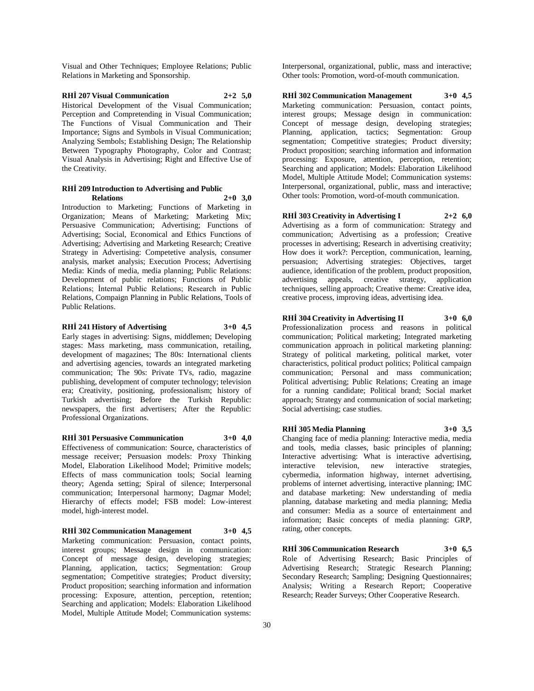Visual and Other Techniques; Employee Relations; Public Relations in Marketing and Sponsorship.

**RHİ 207 Visual Communication 2+2 5,0** Historical Development of the Visual Communication; Perception and Compretending in Visual Communication; The Functions of Visual Communication and Their Importance; Signs and Symbols in Visual Communication; Analyzing Sembols; Establishing Design; The Relationship Between Typography Photography, Color and Contrast; Visual Analysis in Advertising; Right and Effective Use of the Creativity.

#### **RHİ 209 Introduction to Advertising and Public Relations 2+0 3,0**

Introduction to Marketing; Functions of Marketing in Organization; Means of Marketing; Marketing Mix; Persuasive Communication; Advertising; Functions of Advertising; Social, Economical and Ethics Functions of Advertising; Advertising and Marketing Research; Creative Strategy in Advertising: Competetive analysis, consumer analysis, market analysis; Execution Process; Advertising Media: Kinds of media, media planning; Public Relations: Development of public relations; Functions of Public Relations; İnternal Public Relations; Research in Public Relations, Compaign Planning in Public Relations, Tools of Public Relations.

# **RHİ 241 History of Advertising 3+0 4,5**

Early stages in advertising: Signs, middlemen; Developing stages: Mass marketing, mass communication, retailing, development of magazines; The 80s: International clients and advertising agencies, towards an integrated marketing communication; The 90s: Private TVs, radio, magazine publishing, development of computer technology; television era; Creativity, positioning, professionalism; history of Turkish advertising; Before the Turkish Republic: newspapers, the first advertisers; After the Republic: Professional Organizations.

# **RHİ 301 Persuasive Communication 3+0 4,0**

Effectiveness of communication: Source, characteristics of message receiver; Persuasion models: Proxy Thinking Model, Elaboration Likelihood Model; Primitive models; Effects of mass communication tools; Social learning theory; Agenda setting; Spiral of silence; Interpersonal communication; Interpersonal harmony; Dagmar Model; Hierarchy of effects model; FSB model: Low-interest model, high-interest model.

**RHİ 302 Communication Management 3+0 4,5** Marketing communication: Persuasion, contact points, interest groups; Message design in communication: Concept of message design, developing strategies; Planning, application, tactics; Segmentation: Group segmentation; Competitive strategies; Product diversity; Product proposition; searching information and information processing: Exposure, attention, perception, retention; Searching and application; Models: Elaboration Likelihood Model, Multiple Attitude Model; Communication systems:

Interpersonal, organizational, public, mass and interactive; Other tools: Promotion, word-of-mouth communication.

**RHİ 302 Communication Management 3+0 4,5** Marketing communication: Persuasion, contact points, interest groups; Message design in communication: Concept of message design, developing strategies; Planning, application, tactics; Segmentation: Group segmentation; Competitive strategies; Product diversity; Product proposition; searching information and information processing: Exposure, attention, perception, retention; Searching and application; Models: Elaboration Likelihood Model, Multiple Attitude Model; Communication systems: Interpersonal, organizational, public, mass and interactive; Other tools: Promotion, word-of-mouth communication.

**RHİ 303 Creativity in Advertising I 2+2 6,0** Advertising as a form of communication: Strategy and communication; Advertising as a profession; Creative processes in advertising; Research in advertising creativity; How does it work?: Perception, communication, learning, persuasion; Advertising strategies: Objectives, target audience, identification of the problem, product proposition, advertising appeals, creative strategy, application techniques, selling approach; Creative theme: Creative idea, creative process, improving ideas, advertising idea.

**RHİ 304 Creativity in Advertising II 3+0 6,0** Professionalization process and reasons in political communication; Political marketing; Integrated marketing communication approach in political marketing planning: Strategy of political marketing, political market, voter characteristics, political product politics; Political campaign communication; Personal and mass communication; Political advertising; Public Relations; Creating an image for a running candidate; Political brand; Social market approach; Strategy and communication of social marketing; Social advertising; case studies.

**RHİ 305 Media Planning 3+0 3,5** Changing face of media planning: Interactive media, media and tools, media classes, basic principles of planning; Interactive advertising: What is interactive advertising, interactive television, new interactive strategies, cybermedia, information highway, internet advertising, problems of internet advertising, interactive planning; IMC and database marketing: New understanding of media planning, database marketing and media planning; Media and consumer: Media as a source of entertainment and information; Basic concepts of media planning: GRP, rating, other concepts.

**RHİ 306 Communication Research 3+0 6,5** Role of Advertising Research; Basic Principles of Advertising Research; Strategic Research Planning; Secondary Research; Sampling; Designing Questionnaires; Analysis; Writing a Research Report; Cooperative Research; Reader Surveys; Other Cooperative Research.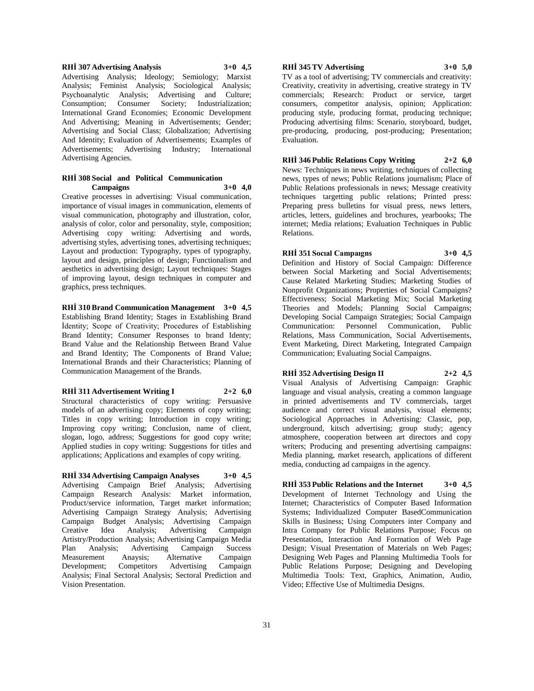# **RHİ 307 Advertising Analysis 3+0 4,5** Advertising Analysis; Ideology; Semiology; Marxist Analysis; Feminist Analysis; Sociological Analysis; Psychoanalytic Analysis; Advertising and Culture; Consumption; Consumer Society; Industrialization; International Grand Economies; Economic Development And Advertising; Meaning in Advertisements; Gender; Advertising and Social Class; Globalization; Advertising And Identity; Evaluation of Advertisements; Examples of Advertisements; Advertising Industry; International Advertising Agencies.

### **RHİ 308 Social and Political Communication Campaigns 3+0 4,0**

Creative processes in advertising: Visual communication, importance of visual images in communication, elements of visual communication, photography and illustration, color, analysis of color, color and personality, style, composition; Advertising copy writing: Advertising and words, advertising styles, advertising tones, advertising techniques; Layout and production: Typography, types of typography, layout and design, principles of design; Functionalism and aesthetics in advertising design; Layout techniques: Stages of improving layout, design techniques in computer and graphics, press techniques.

**RHİ 310 Brand Communication Management 3+0 4,5** Establishing Brand Identity; Stages in Establishing Brand İdentity; Scope of Creativity; Procedures of Establishing Brand Identity; Consumer Responses to brand Identy; Brand Value and the Relationship Between Brand Value and Brand Identity; The Components of Brand Value; International Brands and their Characteristics; Planning of Communication Management of the Brands.

# **RHİ 311 Advertisement Writing I 2+2 6,0**

Structural characteristics of copy writing: Persuasive models of an advertising copy; Elements of copy writing; Titles in copy writing; Introduction in copy writing; Improving copy writing; Conclusion, name of client, slogan, logo, address; Suggestions for good copy write; Applied studies in copy writing: Suggestions for titles and applications; Applications and examples of copy writing.

**RHİ 334 Advertising Campaign Analyses 3+0 4,5** Advertising Campaign Brief Analysis; Advertising Campaign Research Analysis: Market information, Product/service information, Target market information; Advertising Campaign Strategy Analysis; Advertising Campaign Budget Analysis; Advertising Campaign<br>Creative Idea Analysis; Advertising Campaign Creative Idea Analysis; Advertising Campaign Artistry/Production Analysis; Advertising Campaign Media Plan Analysis; Advertising Campaign Success Measurement Anaysis; Alternative Campaign Development; Competitors Advertising Campaign Analysis; Final Sectoral Analysis; Sectoral Prediction and Vision Presentation.

# **RHİ 345 TV Advertising 3+0 5,0**

TV as a tool of advertising; TV commercials and creativity: Creativity, creativity in advertising, creative strategy in TV commercials; Research: Product or service, target consumers, competitor analysis, opinion; Application: producing style, producing format, producing technique; Producing advertising films: Scenario, storyboard, budget, pre-producing, producing, post-producing; Presentation; Evaluation.

**RHİ 346 Public Relations Copy Writing 2+2 6,0** News: Techniques in news writing, techniques of collecting news, types of news; Public Relations journalism; Place of Public Relations professionals in news; Message creativity techniques targetting public relations; Printed press: Preparing press bulletins for visual press, news letters, articles, letters, guidelines and brochures, yearbooks; The internet; Media relations; Evaluation Techniques in Public Relations.

**RHİ 351 Socıal Campaıgns 3+0 4,5** Definition and History of Social Campaign: Difference

between Social Marketing and Social Advertisements; Cause Related Marketing Studies; Marketing Studies of Nonprofit Organizations; Properties of Social Campaigns? Effectiveness; Social Marketing Mix; Social Marketing Theories and Models; Planning Social Campaigns; Developing Social Campaign Strategies; Social Campaign Communication: Personnel Communication, Public Relations, Mass Communication, Social Advertisements, Event Marketing, Direct Marketing, Integrated Campaign Communication; Evaluating Social Campaigns.

**RHİ 352 Advertising Design II 2+2 4,5** Visual Analysis of Advertising Campaign: Graphic language and visual analysis, creating a common language in printed advertisements and TV commercials, target audience and correct visual analysis, visual elements; Sociological Approaches in Advertising: Classic, pop, underground, kitsch advertising; group study; agency atmosphere, cooperation between art directors and copy writers; Producing and presenting advertising campaigns: Media planning, market research, applications of different media, conducting ad campaigns in the agency.

**RHİ 353 Public Relations and the Internet 3+0 4,5** Development of Internet Technology and Using the Internet; Characteristics of Computer Based Information Systems; Individualized Computer BasedCommunication Skills in Business; Using Computers inter Company and Intra Company for Public Relations Purpose; Focus on Presentation, Interaction And Formation of Web Page Design; Visual Presentation of Materials on Web Pages; Designing Web Pages and Planning Multimedia Tools for Public Relations Purpose; Designing and Developing Multimedia Tools: Text, Graphics, Animation, Audio, Video; Effective Use of Multimedia Designs.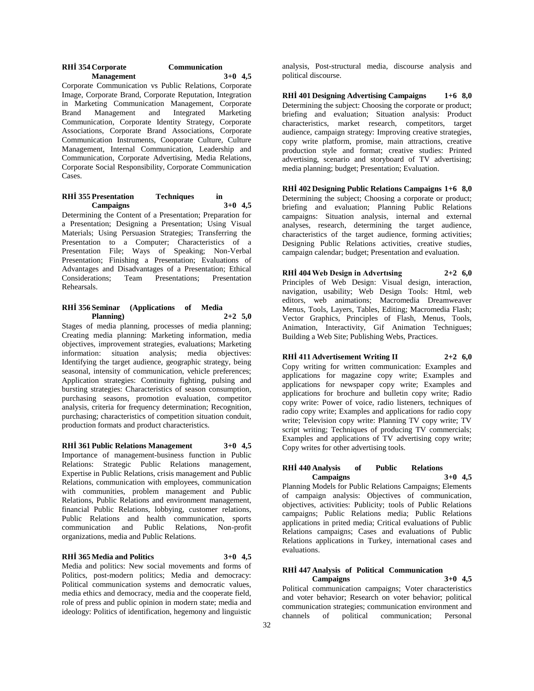| RHI 354 Corporate | <b>Communication</b> |
|-------------------|----------------------|
| <b>Management</b> | $3+0$ 4.5            |

Corporate Communication vs Public Relations, Corporate Image, Corporate Brand, Corporate Reputation, Integration in Marketing Communication Management, Corporate Brand Management and Integrated Marketing Communication, Corporate Identity Strategy, Corporate Associations, Corporate Brand Associations, Corporate Communication Instruments, Cooporate Culture, Culture Management, Internal Communication, Leadership and Communication, Corporate Advertising, Media Relations, Corporate Social Responsibility, Corporate Communication Cases.

### **RHİ 355 Presentation Techniques in Campaigns 3+0 4,5**

Determining the Content of a Presentation; Preparation for a Presentation; Designing a Presentation; Using Visual Materials; Using Persuasion Strategies; Transferring the Presentation to a Computer; Characteristics of a Presentation File; Ways of Speaking; Non-Verbal Presentation; Finishing a Presentation; Evaluations of Advantages and Disadvantages of a Presentation; Ethical Considerations; Team Presentations; Presentation Rehearsals.

# **RHİ 356 Seminar (Applications of Media Planning) 2+2 5,0**

Stages of media planning, processes of media planning; Creating media planning: Marketing information, media objectives, improvement strategies, evaluations; Marketing information: situation analysis; media objectives: Identifying the target audience, geographic strategy, being seasonal, intensity of communication, vehicle preferences; Application strategies: Continuity fighting, pulsing and bursting strategies: Characteristics of season consumption, purchasing seasons, promotion evaluation, competitor analysis, criteria for frequency determination; Recognition, purchasing; characteristics of competition situation conduit, production formats and product characteristics.

**RHİ 361 Public Relations Management 3+0 4,5** Importance of management-business function in Public Relations: Strategic Public Relations management, Expertise in Public Relations, crisis management and Public Relations, communication with employees, communication with communities, problem management and Public Relations, Public Relations and environment management, financial Public Relations, lobbying, customer relations, Public Relations and health communication, sports communication and Public Relations, Non-profit organizations, media and Public Relations.

# **RHİ 365 Media and Politics 3+0 4,5**

Media and politics: New social movements and forms of Politics, post-modern politics; Media and democracy: Political communication systems and democratic values, media ethics and democracy, media and the cooperate field, role of press and public opinion in modern state; media and ideology: Politics of identification, hegemony and linguistic

analysis, Post-structural media, discourse analysis and political discourse.

**RHİ 401 Designing Advertising Campaigns 1+6 8,0** Determining the subject: Choosing the corporate or product; briefing and evaluation; Situation analysis: Product characteristics, market research, competitors, target audience, campaign strategy: Improving creative strategies, copy write platform, promise, main attractions, creative production style and format; creative studies: Printed advertising, scenario and storyboard of TV advertising; media planning; budget; Presentation; Evaluation.

**RHİ 402 Designing Public Relations Campaigns 1+6 8,0** Determining the subject; Choosing a corporate or product; briefing and evaluation; Planning Public Relations campaigns: Situation analysis, internal and external analyses, research, determining the target audience, characteristics of the target audience, forming activities; Designing Public Relations activities, creative studies, campaign calendar; budget; Presentation and evaluation.

**RHİ 404 Web Design in Advertısing 2+2 6,0** Principles of Web Design: Visual design, interaction, navigation, usability; Web Design Tools: Html, web editors, web animations; Macromedia Dreamweaver Menus, Tools, Layers, Tables, Editing; Macromedia Flash; Vector Graphics, Principles of Flash, Menus, Tools, Animation, Interactivity, Gif Animation Technigues; Building a Web Site; Publishing Webs, Practices.

# **RHİ 411 Advertisement Writing II 2+2 6,0**

Copy writing for written communication: Examples and applications for magazine copy write; Examples and applications for newspaper copy write; Examples and applications for brochure and bulletin copy write; Radio copy write: Power of voice, radio listeners, techniques of radio copy write; Examples and applications for radio copy write; Television copy write: Planning TV copy write; TV script writing; Techniques of producing TV commercials; Examples and applications of TV advertising copy write; Copy writes for other advertising tools.

# **RHİ 440 Analysis of Public Relations Campaigns 3+0 4,5**

Planning Models for Public Relations Campaigns; Elements of campaign analysis: Objectives of communication, objectives, activities: Publicity; tools of Public Relations campaigns; Public Relations media; Public Relations applications in prited media; Critical evaluations of Public Relations campaigns; Cases and evaluations of Public Relations applications in Turkey, international cases and evaluations.

# **RHİ 447 Analysis of Political Communication Campaigns 3+0 4,5**

Political communication campaigns; Voter characteristics and voter behavior; Research on voter behavior; political communication strategies; communication environment and channels of political communication; Personal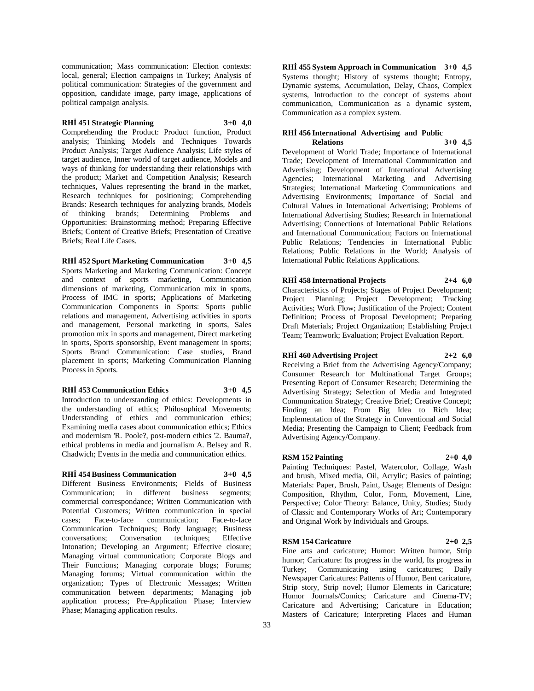communication; Mass communication: Election contexts: local, general; Election campaigns in Turkey; Analysis of political communication: Strategies of the government and opposition, candidate image, party image, applications of political campaign analysis.

# **RHİ 451 Strategic Planning 3+0 4,0**

Comprehending the Product: Product function, Product analysis; Thinking Models and Techniques Towards Product Analysis; Target Audience Analysis; Life styles of target audience, Inner world of target audience, Models and ways of thinking for understanding their relationships with the product; Market and Competition Analysis; Research techniques, Values representing the brand in the market, Research techniques for positioning; Comprehending Brands: Research techniques for analyzing brands, Models of thinking brands; Determining Problems and Opportunities: Brainstorming method; Preparing Effective Briefs; Content of Creative Briefs; Presentation of Creative Briefs; Real Life Cases.

# **RHİ 452 Sport Marketing Communication 3+0 4,5**

Sports Marketing and Marketing Communication: Concept and context of sports marketing, Communication dimensions of marketing, Communication mix in sports, Process of IMC in sports; Applications of Marketing Communication Components in Sports: Sports public relations and management, Advertising activities in sports and management, Personal marketing in sports, Sales promotion mix in sports and management, Direct marketing in sports, Sports sponsorship, Event management in sports; Sports Brand Communication: Case studies, Brand placement in sports; Marketing Communication Planning Process in Sports.

#### **RHİ 453 Communication Ethics 3+0 4,5**

Introduction to understanding of ethics: Developments in the understanding of ethics; Philosophical Movements; Understanding of ethics and communication ethics; Examining media cases about communication ethics; Ethics and modernism 'R. Poole?, post-modern ethics '2. Bauma?, ethical problems in media and journalism A. Belsey and R. Chadwich; Events in the media and communication ethics.

# **RHİ 454 Business Communication 3+0 4,5**

Different Business Environments; Fields of Business Communication; in different business segments; commercial correspondance; Written Communication with Potential Customers; Written communication in special cases; Face-to-face communication: Face-to-face cases; Face-to-face communication; Communication Techniques; Body language; Business conversations; Conversation techniques; Effective Intonation; Developing an Argument; Effective closure; Managing virtual communication; Corporate Blogs and Their Functions; Managing corporate blogs; Forums; Managing forums; Virtual communication within the organization; Types of Electronic Messages; Written communication between departments; Managing job application process; Pre-Application Phase; Interview Phase; Managing application results.

**RHİ 455 System Approach in Communication 3+0 4,5** Systems thought; History of systems thought; Entropy, Dynamic systems, Accumulation, Delay, Chaos, Complex systems, Introduction to the concept of systems about communication, Communication as a dynamic system, Communication as a complex system.

# **RHİ 456 International Advertising and Public Relations 3+0 4,5**

Development of World Trade; Importance of International Trade; Development of International Communication and Advertising; Development of International Advertising Agencies; International Marketing and Advertising Strategies; International Marketing Communications and Advertising Environments; Importance of Social and Cultural Values in International Advertising; Problems of International Advertising Studies; Research in International Advertising; Connections of International Public Relations and International Communication; Factors on International Public Relations; Tendencies in International Public Relations; Public Relations in the World; Analysis of International Public Relations Applications.

# **RHİ 458 International Projects 2+4 6,0**

Characteristics of Projects; Stages of Project Development; Project Planning; Project Development; Tracking Activities; Work Flow; Justification of the Project; Content Definition; Process of Proposal Development; Preparing Draft Materials; Project Organization; Establishing Project Team; Teamwork; Evaluation; Project Evaluation Report.

# **RHİ 460 Advertising Project 2+2 6,0**

Receiving a Brief from the Advertising Agency/Company; Consumer Research for Multinational Target Groups; Presenting Report of Consumer Research; Determining the Advertising Strategy; Selection of Media and Integrated

Communication Strategy; Creative Brief; Creative Concept; Finding an Idea; From Big Idea to Rich Idea; Implementation of the Strategy in Conventional and Social Media; Presenting the Campaign to Client; Feedback from Advertising Agency/Company.

# **RSM 152 Painting 2+0 4,0**

Painting Techniques: Pastel, Watercolor, Collage, Wash and brush, Mixed media, Oil, Acrylic; Basics of painting; Materials: Paper, Brush, Paint, Usage; Elements of Design: Composition, Rhythm, Color, Form, Movement, Line, Perspective; Color Theory: Balance, Unity, Studies; Study of Classic and Contemporary Works of Art; Contemporary and Original Work by Individuals and Groups.

# **RSM 154 Caricature 2+0 2,5**

Fine arts and caricature; Humor: Written humor, Strip humor; Caricature: Its progress in the world, Its progress in Turkey; Communicating using caricatures; Daily Newspaper Caricatures: Patterns of Humor, Bent caricature, Strip story, Strip novel; Humor Elements in Caricature; Humor Journals/Comics; Caricature and Cinema-TV; Caricature and Advertising; Caricature in Education; Masters of Caricature; Interpreting Places and Human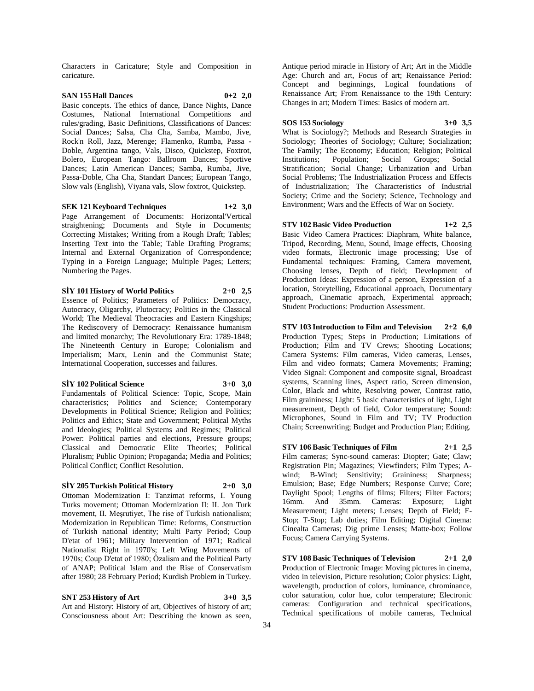Characters in Caricature; Style and Composition in caricature.

# **SAN 155 Hall Dances 0+2 2,0**

Basic concepts. The ethics of dance, Dance Nights, Dance Costumes, National International Competitions and rules/grading, Basic Definitions, Classifications of Dances: Social Dances; Salsa, Cha Cha, Samba, Mambo, Jive, Rock'n Roll, Jazz, Merenge; Flamenko, Rumba, Passa - Doble, Argentina tango, Vals, Disco, Quickstep, Foxtrot, Bolero, European Tango: Ballroom Dances; Sportive Dances; Latin American Dances; Samba, Rumba, Jive, Passa-Doble, Cha Cha, Standart Dances; European Tango, Slow vals (English), Viyana vals, Slow foxtrot, Quickstep.

**SEK 121 Keyboard Techniques 1+2 3,0** Page Arrangement of Documents: Horizontal'Vertical straightening; Documents and Style in Documents; Correcting Mistakes; Writing from a Rough Draft; Tables; Inserting Text into the Table; Table Drafting Programs; Internal and External Organization of Correspondence; Typing in a Foreign Language; Multiple Pages; Letters; Numbering the Pages.

**SİY 101 History of World Politics 2+0 2,5**

Essence of Politics; Parameters of Politics: Democracy, Autocracy, Oligarchy, Plutocracy; Politics in the Classical World; The Medieval Theocracies and Eastern Kingships; The Rediscovery of Democracy: Renaissance humanism and limited monarchy; The Revolutionary Era: 1789-1848; The Nineteenth Century in Europe; Colonialism and Imperialism; Marx, Lenin and the Communist State; International Cooperation, successes and failures.

**SİY 102 Political Science 3+0 3,0**

Fundamentals of Political Science: Topic, Scope, Main characteristics; Politics and Science; Contemporary Developments in Political Science; Religion and Politics; Politics and Ethics; State and Government; Political Myths and Ideologies; Political Systems and Regimes; Political Power: Political parties and elections, Pressure groups; Classical and Democratic Elite Theories; Political Pluralism; Public Opinion; Propaganda; Media and Politics; Political Conflict; Conflict Resolution.

#### **SİY 205 Turkish Political History 2+0 3,0**

Ottoman Modernization I: Tanzimat reforms, I. Young Turks movement; Ottoman Modernization II: II. Jon Turk movement, II. Meşrutiyet, The rise of Turkish nationalism; Modernization in Republican Time: Reforms, Construction of Turkish national identity; Multi Party Period; Coup D'etat of 1961; Military Intervention of 1971; Radical Nationalist Right in 1970's; Left Wing Movements of 1970s; Coup D'etat of 1980; Özalism and the Political Party of ANAP; Political Islam and the Rise of Conservatism after 1980; 28 February Period; Kurdish Problem in Turkey.

# **SNT 253 History of Art 3+0 3,5**

Art and History: History of art, Objectives of history of art; Consciousness about Art: Describing the known as seen,

Antique period miracle in History of Art; Art in the Middle Age: Church and art, Focus of art; Renaissance Period: Concept and beginnings, Logical foundations of Renaissance Art; From Renaissance to the 19th Century: Changes in art; Modern Times: Basics of modern art.

**SOS 153 Sociology 3+0 3,5** What is Sociology?; Methods and Research Strategies in Sociology; Theories of Sociology; Culture; Socialization; The Family; The Economy; Education; Religion; Political Institutions; Population; Social Groups; Social Stratification; Social Change; Urbanization and Urban Social Problems; The Industrialization Process and Effects of Industrialization; The Characteristics of Industrial Society; Crime and the Society; Science, Technology and Environment; Wars and the Effects of War on Society.

# **STV 102 Basic Video Production 1+2 2,5**

Basic Video Camera Practices: Diaphram, White balance, Tripod, Recording, Menu, Sound, Image effects, Choosing video formats, Electronic image processing; Use of Fundamental techniques: Framing, Camera movement, Choosing lenses, Depth of field; Development of Production Ideas: Expression of a person, Expression of a location, Storytelling, Educational approach, Documentary approach, Cinematic aproach, Experimental approach; Student Productions: Production Assessment.

**STV 103 Introduction to Film and Television 2+2 6,0** Production Types; Steps in Production; Limitations of Production; Film and TV Crews; Shooting Locations; Camera Systems: Film cameras, Video cameras, Lenses, Film and video formats; Camera Movements; Framing; Video Signal: Component and composite signal, Broadcast systems, Scanning lines, Aspect ratio, Screen dimension, Color, Black and white, Resolving power, Contrast ratio, Film graininess; Light: 5 basic characteristics of light, Light measurement, Depth of field, Color temperature; Sound: Microphones, Sound in Film and TV; TV Production Chain; Screenwriting; Budget and Production Plan; Editing.

**STV 106 Basic Techniques of Film 2+1 2,5** Film cameras; Sync-sound cameras: Diopter; Gate; Claw; Registration Pin; Magazines; Viewfinders; Film Types; Awind; B-Wind; Sensitivity; Graininess; Sharpness; Emulsion; Base; Edge Numbers; Response Curve; Core; Daylight Spool; Lengths of films; Filters; Filter Factors; 16mm. And 35mm. Cameras: Exposure; Light Measurement; Light meters; Lenses; Depth of Field; F-Stop; T-Stop; Lab duties; Film Editing; Digital Cinema: Cinealta Cameras; Dig prime Lenses; Matte-box; Follow Focus; Camera Carrying Systems.

**STV 108 Basic Techniques of Television 2+1 2,0** Production of Electronic Image: Moving pictures in cinema, video in television, Picture resolution; Color physics: Light, wavelength, production of colors, luminance, chrominance, color saturation, color hue, color temperature; Electronic cameras: Configuration and technical specifications, Technical specifications of mobile cameras, Technical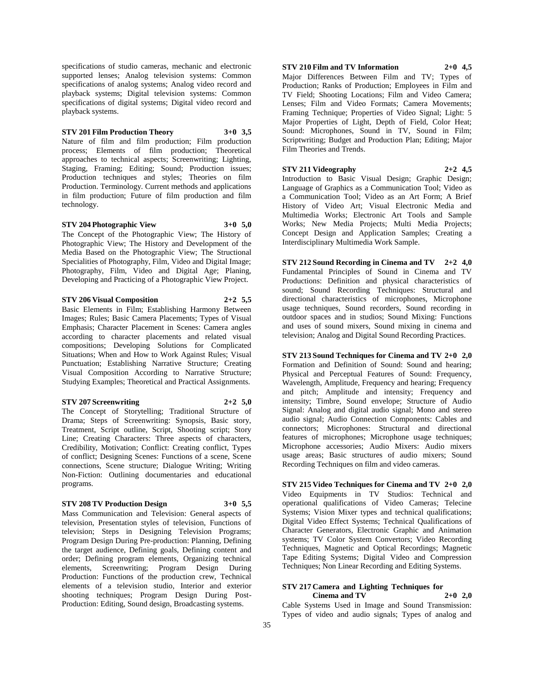specifications of studio cameras, mechanic and electronic supported lenses; Analog television systems: Common specifications of analog systems; Analog video record and playback systems; Digital television systems: Common specifications of digital systems; Digital video record and playback systems.

#### **STV 201 Film Production Theory 3+0 3,5**

Nature of film and film production; Film production process; Elements of film production; Theoretical approaches to technical aspects; Screenwriting; Lighting, Staging, Framing; Editing; Sound; Production issues; Production techniques and styles; Theories on film Production. Terminology. Current methods and applications in film production; Future of film production and film technology.

**STV 204 Photographic View 3+0 5,0**

The Concept of the Photographic View; The History of Photographic View; The History and Development of the Media Based on the Photographic View; The Structional Specialities of Photography, Film, Video and Digital Image; Photography, Film, Video and Digital Age; Planing, Developing and Practicing of a Photographic View Project.

**STV 206 Visual Composition 2+2 5,5**

Basic Elements in Film; Establishing Harmony Between Images; Rules; Basic Camera Placements; Types of Visual Emphasis; Character Placement in Scenes: Camera angles according to character placements and related visual compositions; Developing Solutions for Complicated Situations; When and How to Work Against Rules; Visual Punctuation; Establishing Narrative Structure; Creating Visual Composition According to Narrative Structure; Studying Examples; Theoretical and Practical Assignments.

#### **STV 207 Screenwriting 2+2 5,0**

The Concept of Storytelling; Traditional Structure of Drama; Steps of Screenwriting: Synopsis, Basic story,

Treatment, Script outline, Script, Shooting script; Story Line; Creating Characters: Three aspects of characters, Credibility, Motivation; Conflict: Creating conflict, Types of conflict; Designing Scenes: Functions of a scene, Scene connections, Scene structure; Dialogue Writing; Writing Non-Fiction: Outlining documentaries and educational programs.

# **STV 208 TV Production Design 3+0 5,5**

Mass Communication and Television: General aspects of television, Presentation styles of television, Functions of television; Steps in Designing Television Programs; Program Design During Pre-production: Planning, Defining the target audience, Defining goals, Defining content and order; Defining program elements, Organizing technical elements, Screenwriting; Program Design During Production: Functions of the production crew, Technical elements of a television studio, Interior and exterior shooting techniques; Program Design During Post-Production: Editing, Sound design, Broadcasting systems.

# **STV 210 Film and TV Information 2+0 4,5**

Major Differences Between Film and TV; Types of Production; Ranks of Production; Employees in Film and TV Field; Shooting Locations; Film and Video Camera; Lenses; Film and Video Formats; Camera Movements; Framing Technique; Properties of Video Signal; Light: 5 Major Properties of Light, Depth of Field, Color Heat; Sound: Microphones, Sound in TV, Sound in Film; Scriptwriting; Budget and Production Plan; Editing; Major Film Theories and Trends.

**STV 211 Videography 2+2 4,5** Introduction to Basic Visual Design; Graphic Design; Language of Graphics as a Communication Tool; Video as a Communication Tool; Video as an Art Form; A Brief History of Video Art; Visual Electronic Media and Multimedia Works; Electronic Art Tools and Sample Works; New Media Projects; Multi Media Projects; Concept Design and Application Samples; Creating a Interdisciplinary Multimedia Work Sample.

**STV 212 Sound Recording in Cinema and TV 2+2 4,0** Fundamental Principles of Sound in Cinema and TV Productions: Definition and physical characteristics of sound; Sound Recording Techniques: Structural and directional characteristics of microphones, Microphone usage techniques, Sound recorders, Sound recording in outdoor spaces and in studios; Sound Mixing: Functions and uses of sound mixers, Sound mixing in cinema and television; Analog and Digital Sound Recording Practices.

**STV 213 Sound Techniques for Cinema and TV 2+0 2,0** Formation and Definition of Sound: Sound and hearing; Physical and Perceptual Features of Sound: Frequency, Wavelength, Amplitude, Frequency and hearing; Frequency and pitch; Amplitude and intensity; Frequency and intensity; Timbre, Sound envelope; Structure of Audio Signal: Analog and digital audio signal; Mono and stereo audio signal; Audio Connection Components: Cables and connectors; Microphones: Structural and directional features of microphones; Microphone usage techniques; Microphone accessories; Audio Mixers: Audio mixers usage areas; Basic structures of audio mixers; Sound Recording Techniques on film and video cameras.

**STV 215 Video Techniques for Cinema and TV 2+0 2,0** Video Equipments in TV Studios: Technical and operational qualifications of Video Cameras; Telecine Systems; Vision Mixer types and technical qualifications; Digital Video Effect Systems; Technical Qualifications of Character Generators, Electronic Graphic and Animation systems; TV Color System Convertors; Video Recording Techniques, Magnetic and Optical Recordings; Magnetic Tape Editing Systems; Digital Video and Compression Techniques; Non Linear Recording and Editing Systems.

# **STV 217 Camera and Lighting Techniques for Cinema and TV 2+0 2,0**

Cable Systems Used in Image and Sound Transmission: Types of video and audio signals; Types of analog and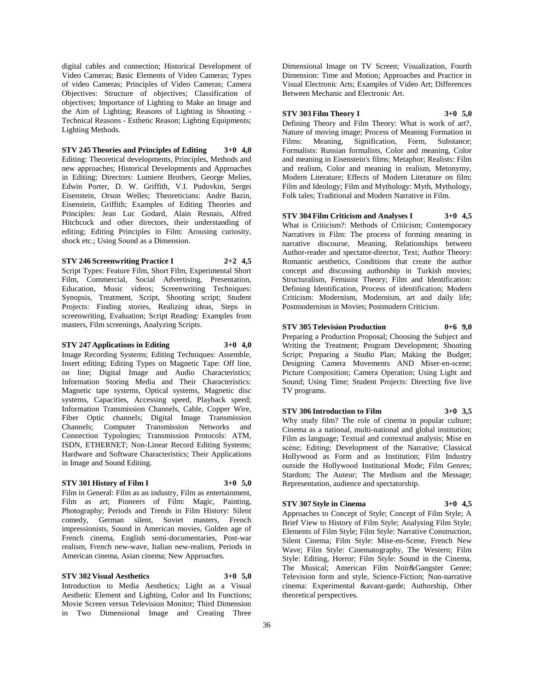digital cables and connection; Historical Development of Video Cameras; Basic Elements of Video Cameras; Types of video Cameras; Principles of Video Cameras; Camera Objectives: Structure of objectives; Classification of objectives; Importance of Lighting to Make an Image and the Aim of Lighting; Reasons of Lighting in Shooting - Technical Reasons - Esthetic Reason; Lighting Equipments; Lighting Methods.

**STV 245 Theories and Principles of Editing 3+0 4,0** Editing: Theoretical developments, Principles, Methods and new approaches; Historical Developments and Approaches in Editing; Directors: Lumiere Brothers, George Melies, Edwin Porter, D. W. Griffith, V.I. Pudovkin, Sergei Eisenstein, Orson Welles; Theoreticians: Andre Bazin, Eisenstein, Griffith; Examples of Editing Theories and Principles: Jean Luc Godard, Alain Resnais, Alfred Hitchcock and other directors, their understanding of editing; Editing Principles in Film: Arousing curiosity, shock etc.; Using Sound as a Dimension.

**STV 246 Screenwriting Practice I 2+2 4,5** Script Types: Feature Film, Short Film, Experimental Short Film, Commercial, Social Advertising, Presentation, Education, Music videos; Screenwriting Techniques: Synopsis, Treatment, Script, Shooting script; Student Projects: Finding stories, Realizing ideas, Steps in screenwriting, Evaluation; Script Reading: Examples from masters, Film screenings, Analyzing Scripts.

# **STV 247 Applications in Editing 3+0 4,0**

Image Recording Systems; Editing Techniques: Assemble, Insert editing; Editing Types on Magnetic Tape: Off line, on line; Digital Image and Audio Characteristics; Information Storing Media and Their Characteristics: Magnetic tape systems, Optical systems, Magnetic disc systems, Capacities, Accessing speed, Playback speed; Information Transmission Channels, Cable, Copper Wire, Fiber Optic channels; Digital Image Transmission Channels; Computer Transmission Networks and Connection Typologies; Transmission Protocols: ATM, ISDN, ETHERNET; Non-Linear Record Editing Systems; Hardware and Software Characteristics; Their Applications in Image and Sound Editing.

#### **STV 301 History of Film I 3+0 5,0**

Film in General: Film as an industry, Film as entertainment, Film as art; Pioneers of Film: Magic, Painting, Photography; Periods and Trends in Film History: Silent comedy, German silent, Soviet masters, French impressionists, Sound in American movies, Golden age of French cinema, English semi-documentaries, Post-war realism, French new-wave, Italian new-realism, Periods in American cinema, Asian cinema; New Approaches.

# **STV 302 Visual Aesthetics 3+0 5,0**

Introduction to Media Aesthetics; Light as a Visual Aesthetic Element and Lighting, Color and Its Functions; Movie Screen versus Television Monitor; Third Dimension in Two Dimensional Image and Creating Three

Dimensional Image on TV Screen; Visualization, Fourth Dimension: Time and Motion; Approaches and Practice in Visual Electronic Arts; Examples of Video Art; Differences Between Mechanic and Electronic Art.

#### **STV 303 Film Theory I 3+0 5,0**

Defining Theory and Film Theory: What is work of art?, Nature of moving image; Process of Meaning Formation in Films: Meaning, Signification, Form, Substance; Formalists: Russian formalists, Color and meaning, Color and meaning in Eisenstein's films; Metaphor; Realists: Film and realism, Color and meaning in realism, Metonymy, Modern Literature; Effects of Modern Literature on film; Film and Ideology; Film and Mythology: Myth, Mythology, Folk tales; Traditional and Modern Narrative in Film.

**STV 304 Film Criticism and Analyses I 3+0 4,5** What is Criticism?: Methods of Criticism; Contemporary Narratives in Film: The process of forming meaning in narrative discourse, Meaning, Relationships between Author-reader and spectator-director, Text; Author Theory: Romantic aesthetics, Conditions that create the author concept and discussing authorship in Turkish movies; Structuralism, Feminist Theory; Film and Identification: Defining Identification, Process of identification; Modern Criticism: Modernism, Modernism, art and daily life; Postmodernism in Movies; Postmodern Criticism.

**STV 305 Television Production 0+6 9,0** Preparing a Production Proposal; Choosing the Subject and Writing the Treatment; Program Development; Shooting Script; Preparing a Studio Plan; Making the Budget; Designing Camera Movements AND Miser-en-scene; Picture Composition; Camera Operation; Using Light and

Sound; Using Time; Student Projects: Directing five live

# **STV 306 Introduction to Film 3+0 3,5**

Why study film? The role of cinema in popular culture; Cinema as a national, multi-national and global institution; Film as language; Textual and contextual analysis; Mise en scène; Editing; Development of the Narrative; Classical Hollywood as Form and as Institution; Film Industry outside the Hollywood Institutional Mode; Film Genres; Stardom; The Auteur; The Medium and the Message; Representation, audience and spectatorship.

# **STV 307 Style in Cinema 3+0 4,5**

TV programs.

Approaches to Concept of Style; Concept of Film Style; A Brief View to History of Film Style; Analysing Film Style; Elements of Film Style; Film Style: Narrative Construction, Silent Cinema; Film Style: Mise-en-Scene, French New Wave; Film Style: Cinematography, The Western; Film Style: Editing, Horror; Film Style: Sound in the Cinema, The Musical; American Film Noir&Gangster Genre; Television form and style, Science-Fiction; Non-narrative cinema: Experimental &avant-garde; Authorship, Other theoretical perspectives.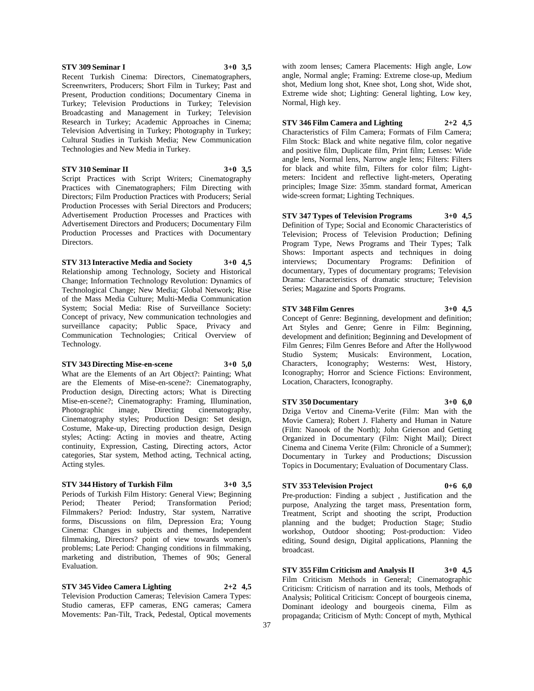# **STV 309 Seminar I 3+0 3,5**

Recent Turkish Cinema: Directors, Cinematographers, Screenwriters, Producers; Short Film in Turkey; Past and Present, Production conditions; Documentary Cinema in Turkey; Television Productions in Turkey; Television Broadcasting and Management in Turkey; Television Research in Turkey; Academic Approaches in Cinema; Television Advertising in Turkey; Photography in Turkey; Cultural Studies in Turkish Media; New Communication Technologies and New Media in Turkey.

**STV 310 Seminar II 3+0 3,5** Script Practices with Script Writers; Cinematography Practices with Cinematographers; Film Directing with Directors; Film Production Practices with Producers; Serial Production Processes with Serial Directors and Producers; Advertisement Production Processes and Practices with Advertisement Directors and Producers; Documentary Film Production Processes and Practices with Documentary Directors.

**STV 313 Interactive Media and Society 3+0 4,5** Relationship among Technology, Society and Historical Change; Information Technology Revolution: Dynamics of Technological Change; New Media; Global Network; Rise of the Mass Media Culture; Multi-Media Communication System; Social Media: Rise of Surveillance Society: Concept of privacy, New communication technologies and surveillance capacity; Public Space, Privacy and Communication Technologies; Critical Overview of Technology.

#### **STV 343 Directing Mise-en-scene 3+0 5,0**

What are the Elements of an Art Object?: Painting; What are the Elements of Mise-en-scene?: Cinematography, Production design, Directing actors; What is Directing Mise-en-scene?; Cinematography: Framing, Illumination, Photographic image, Directing cinematography, Cinematography styles; Production Design: Set design, Costume, Make-up, Directing production design, Design styles; Acting: Acting in movies and theatre, Acting continuity, Expression, Casting, Directing actors, Actor categories, Star system, Method acting, Technical acting, Acting styles.

# **STV 344 History of Turkish Film 3+0 3,5**

Periods of Turkish Film History: General View; Beginning<br>Period; Theater Period; Transformation Period; Period; Transformation Filmmakers? Period: Industry, Star system, Narrative forms, Discussions on film, Depression Era; Young Cinema: Changes in subjects and themes, Independent filmmaking, Directors? point of view towards women's problems; Late Period: Changing conditions in filmmaking, marketing and distribution, Themes of 90s; General Evaluation.

#### **STV 345 Video Camera Lighting 2+2 4,5**

Television Production Cameras; Television Camera Types: Studio cameras, EFP cameras, ENG cameras; Camera Movements: Pan-Tilt, Track, Pedestal, Optical movements

with zoom lenses; Camera Placements: High angle, Low angle, Normal angle; Framing: Extreme close-up, Medium shot, Medium long shot, Knee shot, Long shot, Wide shot, Extreme wide shot; Lighting: General lighting, Low key, Normal, High key.

# **STV 346 Film Camera and Lighting 2+2 4,5**

Characteristics of Film Camera; Formats of Film Camera; Film Stock: Black and white negative film, color negative and positive film, Duplicate film, Print film; Lenses: Wide angle lens, Normal lens, Narrow angle lens; Filters: Filters for black and white film, Filters for color film; Lightmeters: Incident and reflective light-meters, Operating principles; Image Size: 35mm. standard format, American wide-screen format; Lighting Techniques.

**STV 347 Types of Television Programs 3+0 4,5** Definition of Type; Social and Economic Characteristics of

Television; Process of Television Production; Defining Program Type, News Programs and Their Types; Talk Shows: Important aspects and techniques in doing interviews; Documentary Programs: Definition of documentary, Types of documentary programs; Television Drama: Characteristics of dramatic structure; Television Series; Magazine and Sports Programs.

#### **STV 348 Film Genres 3+0 4,5**

Concept of Genre: Beginning, development and definition; Art Styles and Genre; Genre in Film: Beginning, development and definition; Beginning and Development of Film Genres; Film Genres Before and After the Hollywood Studio System; Musicals: Environment, Location, Characters, Iconography; Westerns: West, History, Iconography; Horror and Science Fictions: Environment, Location, Characters, Iconography.

#### **STV 350 Documentary 3+0 6,0**

Dziga Vertov and Cinema-Verite (Film: Man with the Movie Camera); Robert J. Flaherty and Human in Nature (Film: Nanook of the North); John Grierson and Getting Organized in Documentary (Film: Night Mail); Direct Cinema and Cinema Verite (Film: Chronicle of a Summer); Documentary in Turkey and Productions; Discussion Topics in Documentary; Evaluation of Documentary Class.

#### **STV 353 Television Project 0+6 6,0**

Pre-production: Finding a subject , Justification and the purpose, Analyzing the target mass, Presentation form, Treatment, Script and shooting the script, Production planning and the budget; Production Stage; Studio workshop, Outdoor shooting; Post-production: Video editing, Sound design, Digital applications, Planning the broadcast.

**STV 355 Film Criticism and Analysis II 3+0 4,5** Film Criticism Methods in General; Cinematographic Criticism: Criticism of narration and its tools, Methods of Analysis; Political Criticism: Concept of bourgeois cinema, Dominant ideology and bourgeois cinema, Film as propaganda; Criticism of Myth: Concept of myth, Mythical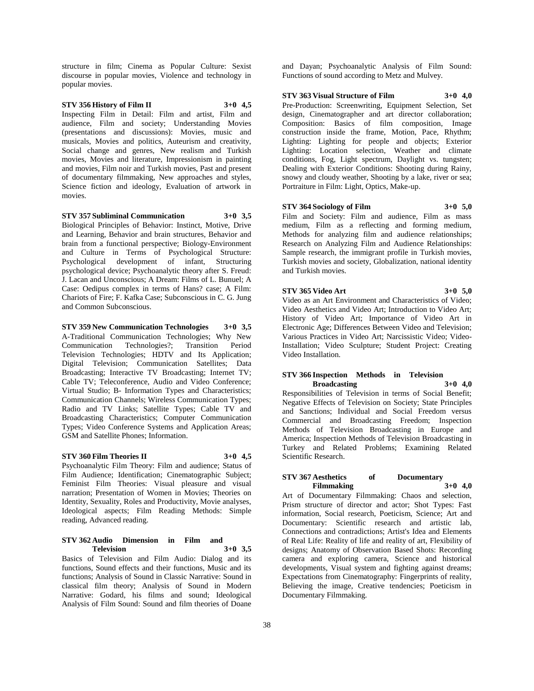structure in film; Cinema as Popular Culture: Sexist discourse in popular movies, Violence and technology in popular movies.

# **STV 356 History of Film II 3+0 4,5**

Inspecting Film in Detail: Film and artist, Film and audience, Film and society; Understanding Movies (presentations and discussions): Movies, music and musicals, Movies and politics, Auteurism and creativity, Social change and genres, New realism and Turkish movies, Movies and literature, Impressionism in painting and movies, Film noir and Turkish movies, Past and present of documentary filmmaking, New approaches and styles, Science fiction and ideology, Evaluation of artwork in movies.

**STV 357 Subliminal Communication 3+0 3,5** Biological Principles of Behavior: Instinct, Motive, Drive and Learning, Behavior and brain structures, Behavior and brain from a functional perspective; Biology-Environment and Culture in Terms of Psychological Structure: Psychological development of infant, Structuring psychological device; Psychoanalytic theory after S. Freud: J. Lacan and Unconscious; A Dream: Films of L. Bunuel; A Case: Oedipus complex in terms of Hans? case; A Film: Chariots of Fire; F. Kafka Case; Subconscious in C. G. Jung and Common Subconscious.

**STV 359 New Communication Technologies 3+0 3,5** A-Traditional Communication Technologies; Why New Communication Technologies?; Transition Period Television Technologies; HDTV and Its Application; Digital Television; Communication Satellites; Data Broadcasting; Interactive TV Broadcasting; Internet TV; Cable TV; Teleconference, Audio and Video Conference; Virtual Studio; B- Information Types and Characteristics; Communication Channels; Wireless Communication Types; Radio and TV Links; Satellite Types; Cable TV and Broadcasting Characteristics; Computer Communication Types; Video Conference Systems and Application Areas; GSM and Satellite Phones; Information.

# **STV 360 Film Theories II 3+0 4,5**

Psychoanalytic Film Theory: Film and audience; Status of Film Audience; Identification; Cinematographic Subject; Feminist Film Theories: Visual pleasure and visual narration; Presentation of Women in Movies; Theories on Identity, Sexuality, Roles and Productivity, Movie analyses, Ideological aspects; Film Reading Methods: Simple reading, Advanced reading.

#### **STV 362 Audio Dimension in Film and Television 3+0 3,5**

Basics of Television and Film Audio: Dialog and its functions, Sound effects and their functions, Music and its functions; Analysis of Sound in Classic Narrative: Sound in classical film theory; Analysis of Sound in Modern Narrative: Godard, his films and sound; Ideological Analysis of Film Sound: Sound and film theories of Doane

and Dayan; Psychoanalytic Analysis of Film Sound: Functions of sound according to Metz and Mulvey.

# **STV 363 Visual Structure of Film 3+0 4,0**

Pre-Production: Screenwriting, Equipment Selection, Set design, Cinematographer and art director collaboration; Composition: Basics of film composition, Image construction inside the frame, Motion, Pace, Rhythm; Lighting: Lighting for people and objects; Exterior Lighting: Location selection, Weather and climate conditions, Fog, Light spectrum, Daylight vs. tungsten; Dealing with Exterior Conditions: Shooting during Rainy, snowy and cloudy weather, Shooting by a lake, river or sea; Portraiture in Film: Light, Optics, Make-up.

# **STV 364 Sociology of Film 3+0 5,0**

Film and Society: Film and audience, Film as mass medium, Film as a reflecting and forming medium, Methods for analyzing film and audience relationships; Research on Analyzing Film and Audience Relationships: Sample research, the immigrant profile in Turkish movies, Turkish movies and society, Globalization, national identity and Turkish movies.

#### **STV 365 Video Art 3+0 5,0**

Video as an Art Environment and Characteristics of Video; Video Aesthetics and Video Art; Introduction to Video Art; History of Video Art; Importance of Video Art in Electronic Age; Differences Between Video and Television; Various Practices in Video Art; Narcissistic Video; Video-Installation; Video Sculpture; Student Project: Creating Video Installation.

#### **STV 366 Inspection Methods in Television Broadcasting 3+0 4,0**

Responsibilities of Television in terms of Social Benefit; Negative Effects of Television on Society; State Principles and Sanctions; Individual and Social Freedom versus Commercial and Broadcasting Freedom; Inspection Methods of Television Broadcasting in Europe and America; Inspection Methods of Television Broadcasting in Turkey and Related Problems; Examining Related Scientific Research.

#### **STV 367 Aesthetics of Documentary Filmmaking 3+0 4,0**

Art of Documentary Filmmaking: Chaos and selection, Prism structure of director and actor; Shot Types: Fast information, Social research, Poeticism, Science; Art and Documentary: Scientific research and artistic lab, Connections and contradictions; Artist's Idea and Elements of Real Life: Reality of life and reality of art, Flexibility of designs; Anatomy of Observation Based Shots: Recording camera and exploring camera, Science and historical developments, Visual system and fighting against dreams; Expectations from Cinematography: Fingerprints of reality, Believing the image, Creative tendencies; Poeticism in Documentary Filmmaking.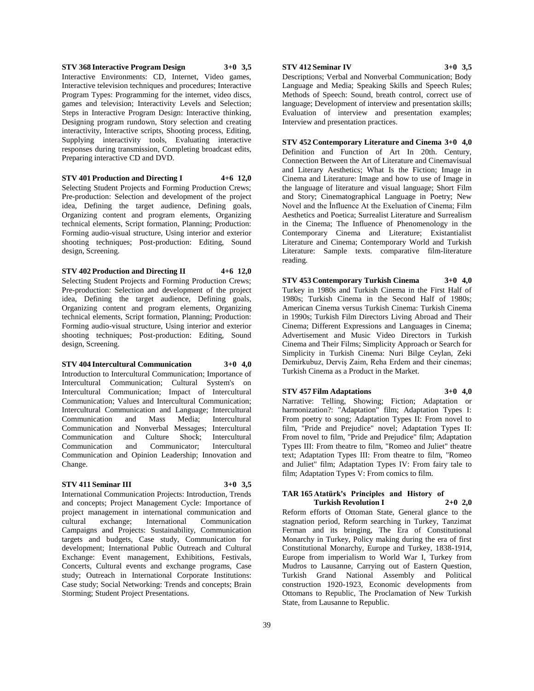**STV 368 Interactive Program Design 3+0 3,5** Interactive Environments: CD, Internet, Video games, Interactive television techniques and procedures; Interactive Program Types: Programming for the internet, video discs, games and television; Interactivity Levels and Selection; Steps in Interactive Program Design: Interactive thinking, Designing program rundown, Story selection and creating interactivity, Interactive scripts, Shooting process, Editing, Supplying interactivity tools, Evaluating interactive responses during transmission, Completing broadcast edits, Preparing interactive CD and DVD.

**STV 401 Production and Directing I 4+6 12,0** Selecting Student Projects and Forming Production Crews; Pre-production: Selection and development of the project idea, Defining the target audience, Defining goals, Organizing content and program elements, Organizing technical elements, Script formation, Planning; Production: Forming audio-visual structure, Using interior and exterior shooting techniques; Post-production: Editing, Sound design, Screening.

**STV 402 Production and Directing II 4+6 12,0** Selecting Student Projects and Forming Production Crews; Pre-production: Selection and development of the project idea, Defining the target audience, Defining goals, Organizing content and program elements, Organizing technical elements, Script formation, Planning; Production: Forming audio-visual structure, Using interior and exterior shooting techniques; Post-production: Editing, Sound design, Screening.

# **STV 404 Intercultural Communication 3+0 4,0**

Introduction to Intercultural Communication; Importance of Intercultural Communication; Cultural System's on Intercultural Communication; Impact of Intercultural Communication; Values and Intercultural Communication; Intercultural Communication and Language; Intercultural Communication and Mass Media; Intercultural Communication and Nonverbal Messages; Intercultural Communication and Culture Shock; Intercultural Communication and Communicator; Intercultural Communication and Opinion Leadership; Innovation and Change.

#### **STV 411 Seminar III 3+0 3,5**

International Communication Projects: Introduction, Trends and concepts; Project Management Cycle: Importance of project management in international communication and cultural exchange; International Communication Campaigns and Projects: Sustainability, Communication targets and budgets, Case study, Communication for development; International Public Outreach and Cultural Exchange: Event management, Exhibitions, Festivals, Concerts, Cultural events and exchange programs, Case study; Outreach in International Corporate Institutions: Case study; Social Networking: Trends and concepts; Brain Storming; Student Project Presentations.

# **STV 412 Seminar IV 3+0 3,5**

Descriptions; Verbal and Nonverbal Communication; Body Language and Media; Speaking Skills and Speech Rules; Methods of Speech: Sound, breath control, correct use of language; Development of interview and presentation skills; Evaluation of interview and presentation examples; Interview and presentation practices.

**STV 452 Contemporary Literature and Cinema 3+0 4,0**

Definition and Function of Art In 20th. Century, Connection Between the Art of Literature and Cinemavisual and Literary Aesthetics; What Is the Fiction; Image in Cinema and Literature: Image and how to use of Image in the language of literature and visual language; Short Film and Story; Cinematographical Language in Poetry; New Novel and the İnfluence At the Exeluation of Cinema; Film Aesthetics and Poetica; Surrealist Literature and Surrealism in the Cinema; The Influence of Phenomenology in the Contemporary Cinema and Literature; Existantialist Literature and Cinema; Contemporary World and Turkish Literature: Sample texts. comparative film-literature reading.

**STV 453 Contemporary Turkish Cinema 3+0 4,0** Turkey in 1980s and Turkish Cinema in the First Half of 1980s; Turkish Cinema in the Second Half of 1980s; American Cinema versus Turkish Cinema: Turkish Cinema in 1990s; Turkish Film Directors Living Abroad and Their Cinema; Different Expressions and Languages in Cinema; Advertisement and Music Video Directors in Turkish Cinema and Their Films; Simplicity Approach or Search for Simplicity in Turkish Cinema: Nuri Bilge Ceylan, Zeki Demirkubuz, Derviş Zaim, Reha Erdem and their cinemas; Turkish Cinema as a Product in the Market.

#### **STV 457 Film Adaptations 3+0 4,0**

Narrative: Telling, Showing; Fiction; Adaptation or harmonization?: "Adaptation" film; Adaptation Types I: From poetry to song; Adaptation Types II: From novel to film, "Pride and Prejudice" novel; Adaptation Types II: From novel to film, "Pride and Prejudice" film; Adaptation Types III: From theatre to film, "Romeo and Juliet" theatre text; Adaptation Types III: From theatre to film, "Romeo and Juliet" film; Adaptation Types IV: From fairy tale to film; Adaptation Types V: From comics to film.

#### **TAR 165 Atatürk's Principles and History of Turkish Revolution I 2+0 2,0**

Reform efforts of Ottoman State, General glance to the stagnation period, Reform searching in Turkey, Tanzimat Ferman and its bringing, The Era of Constitutional Monarchy in Turkey, Policy making during the era of first Constitutional Monarchy, Europe and Turkey, 1838-1914, Europe from imperialism to World War I, Turkey from Mudros to Lausanne, Carrying out of Eastern Question, Turkish Grand National Assembly and Political construction 1920-1923, Economic developments from Ottomans to Republic, The Proclamation of New Turkish State, from Lausanne to Republic.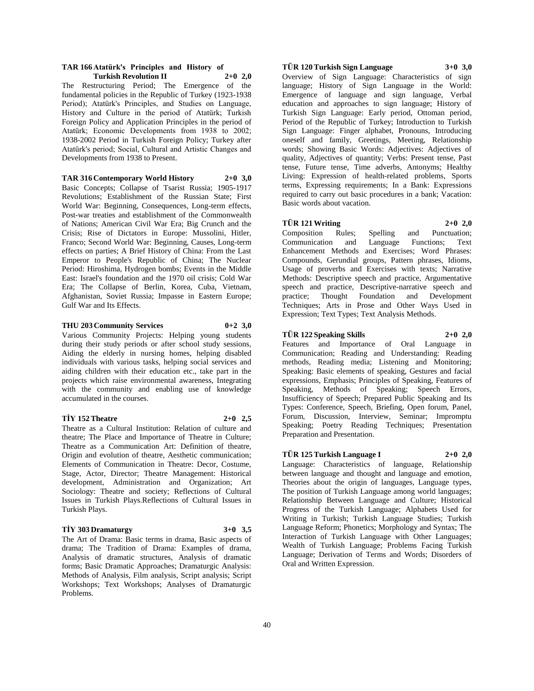#### **TAR 166 Atatürk's Principles and History of Turkish Revolution II 2+0 2,0**

The Restructuring Period; The Emergence of the fundamental policies in the Republic of Turkey (1923-1938 Period); Atatürk's Principles, and Studies on Language, History and Culture in the period of Atatürk; Turkish Foreign Policy and Application Principles in the period of Atatürk; Economic Developments from 1938 to 2002; 1938-2002 Period in Turkish Foreign Policy; Turkey after Atatürk's period; Social, Cultural and Artistic Changes and Developments from 1938 to Present.

**TAR 316 Contemporary World History 2+0 3,0**

Basic Concepts; Collapse of Tsarist Russia; 1905-1917 Revolutions; Establishment of the Russian State; First World War: Beginning, Consequences, Long-term effects, Post-war treaties and establishment of the Commonwealth of Nations; American Civil War Era; Big Crunch and the Crisis; Rise of Dictators in Europe: Mussolini, Hitler, Franco; Second World War: Beginning, Causes, Long-term effects on parties; A Brief History of China: From the Last Emperor to People's Republic of China; The Nuclear Period: Hiroshima, Hydrogen bombs; Events in the Middle East: Israel's foundation and the 1970 oil crisis; Cold War Era; The Collapse of Berlin, Korea, Cuba, Vietnam, Afghanistan, Soviet Russia; Impasse in Eastern Europe; Gulf War and Its Effects.

### **THU 203 Community Services 0+2 3,0**

Various Community Projects: Helping young students during their study periods or after school study sessions, Aiding the elderly in nursing homes, helping disabled individuals with various tasks, helping social services and aiding children with their education etc., take part in the projects which raise environmental awareness, Integrating with the community and enabling use of knowledge accumulated in the courses.

# **TİY 152 Theatre 2+0 2,5**

Theatre as a Cultural Institution: Relation of culture and theatre; The Place and Importance of Theatre in Culture; Theatre as a Communication Art: Definition of theatre, Origin and evolution of theatre, Aesthetic communication; Elements of Communication in Theatre: Decor, Costume, Stage, Actor, Director; Theatre Management: Historical development, Administration and Organization; Art Sociology: Theatre and society; Reflections of Cultural Issues in Turkish Plays.Reflections of Cultural Issues in Turkish Plays.

# **TİY 303 Dramaturgy 3+0 3,5**

The Art of Drama: Basic terms in drama, Basic aspects of drama; The Tradition of Drama: Examples of drama, Analysis of dramatic structures, Analysis of dramatic forms; Basic Dramatic Approaches; Dramaturgic Analysis: Methods of Analysis, Film analysis, Script analysis; Script Workshops; Text Workshops; Analyses of Dramaturgic Problems.

# **TÜR 120 Turkish Sign Language 3+0 3,0**

Overview of Sign Language: Characteristics of sign language; History of Sign Language in the World: Emergence of language and sign language, Verbal education and approaches to sign language; History of Turkish Sign Language: Early period, Ottoman period, Period of the Republic of Turkey; Introduction to Turkish Sign Language: Finger alphabet, Pronouns, Introducing oneself and family, Greetings, Meeting, Relationship words; Showing Basic Words: Adjectives: Adjectives of quality, Adjectives of quantity; Verbs: Present tense, Past tense, Future tense, Time adverbs, Antonyms; Healthy Living: Expression of health-related problems, Sports terms, Expressing requirements; In a Bank: Expressions required to carry out basic procedures in a bank; Vacation: Basic words about vacation.

# **TÜR 121 Writing 2+0 2,0**

Composition Rules; Spelling and Punctuation;<br>Communication and Language Functions; Text Communication and Language Functions; Text Enhancement Methods and Exercises; Word Phrases: Compounds, Gerundial groups, Pattern phrases, Idioms, Usage of proverbs and Exercises with texts; Narrative Methods: Descriptive speech and practice, Argumentative speech and practice, Descriptive-narrative speech and practice; Thought Foundation and Development Techniques; Arts in Prose and Other Ways Used in Expression; Text Types; Text Analysis Methods.

# **TÜR 122 Speaking Skills 2+0 2,0**

Features and Importance of Oral Language in Communication; Reading and Understanding: Reading methods, Reading media; Listening and Monitoring; Speaking: Basic elements of speaking, Gestures and facial expressions, Emphasis; Principles of Speaking, Features of Speaking, Methods of Speaking; Speech Errors, Insufficiency of Speech; Prepared Public Speaking and Its Types: Conference, Speech, Briefing, Open forum, Panel, Forum, Discussion, Interview, Seminar; Impromptu Speaking; Poetry Reading Techniques; Presentation Preparation and Presentation.

# **TÜR 125 Turkish Language I 2+0 2,0**

Language: Characteristics of language, Relationship between language and thought and language and emotion, Theories about the origin of languages, Language types, The position of Turkish Language among world languages; Relationship Between Language and Culture; Historical Progress of the Turkish Language; Alphabets Used for Writing in Turkish; Turkish Language Studies; Turkish Language Reform; Phonetics; Morphology and Syntax; The Interaction of Turkish Language with Other Languages; Wealth of Turkish Language; Problems Facing Turkish Language; Derivation of Terms and Words; Disorders of Oral and Written Expression.